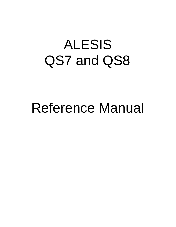# ALESIS QS7 and QS8

# Reference Manual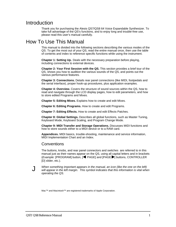## Introduction

Thank you for purchasing the Alesis QS7/QS8 64 Voice Expandable Synthesizer. To take full advantage of the QS's functions, and to enjoy long and trouble-free use, please read this user's manual carefully.

# How To Use This Manual

This manual is divided into the following sections describing the various modes of the QS. To get the most out of your QS, read the entire manual once, then use the table of contents and index to reference specific functions while using the instrument.

**Chapter 1: Setting Up.** Deals with the necessary preparation before playing, including connections to external devices.

**Chapter 2: Your First Session with the QS.** This section provides a brief tour of the QS, shows you how to audition the various sounds of the QS, and points out the various performance features.

**Chapter 3: Connections.** Details rear panel connections (like MIDI, footpedals and the serial interface), proper hook-up procedures, plus application examples.

**Chapter 4: Overview.** Covers the structure of sound sources within the QS, how to read and navigate through the LCD display pages, how to edit parameters, and how to store edited Programs and Mixes.

**Chapter 5: Editing Mixes.** Explains how to create and edit Mixes.

**Chapter 6: Editing Programs.** How to create and edit Programs.

**Chapter 7: Editing Effects.** How to create and edit Effects Patches.

**Chapter 8: Global Settings.** Describes all global functions, such as Master Tuning, Keyboard Mode, Keyboard Scaling, and Program Change Mode.

**Chapter 9: MIDI Transfer and Storage Operations.** Discusses MIDI functions and how to store sounds either to a MIDI device or to a RAM card.

**Appendices.** MIDI basics, trouble-shooting, maintenance and service information, MIDI Implementation Chart and an Index.

#### **Conventions**

The buttons, knobs, and rear panel connectors and switches are referred to in this manual just as their names appear on the QS, using all capital letters and in brackets (Example: [PROGRAM] button, [ PAGE] and [PAGE ] buttons, CONTROLLER [D] slider, etc.).

When something important appears in the manual, an icon (like the one on the left) will appear in the left margin. This symbol indicates that this information is vital when operating the QS.

Mac™ and Macintosh™ are registered trademarks of Apple Corporation.

J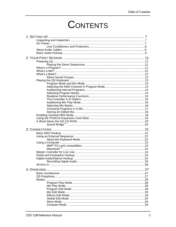# CONTENTS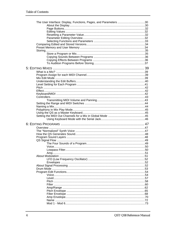| The User Interface: Display, Functions, Pages, and Parameters 30 |  |
|------------------------------------------------------------------|--|
|                                                                  |  |
|                                                                  |  |
|                                                                  |  |
|                                                                  |  |
|                                                                  |  |
|                                                                  |  |
|                                                                  |  |
|                                                                  |  |
|                                                                  |  |
|                                                                  |  |
|                                                                  |  |
|                                                                  |  |
|                                                                  |  |
|                                                                  |  |
|                                                                  |  |
|                                                                  |  |
|                                                                  |  |
|                                                                  |  |
|                                                                  |  |
|                                                                  |  |
|                                                                  |  |
|                                                                  |  |
|                                                                  |  |
|                                                                  |  |
|                                                                  |  |
|                                                                  |  |
|                                                                  |  |
|                                                                  |  |
|                                                                  |  |
|                                                                  |  |
|                                                                  |  |
|                                                                  |  |
|                                                                  |  |
|                                                                  |  |
|                                                                  |  |
|                                                                  |  |
|                                                                  |  |
|                                                                  |  |
|                                                                  |  |
|                                                                  |  |
|                                                                  |  |
|                                                                  |  |
|                                                                  |  |
|                                                                  |  |
|                                                                  |  |
|                                                                  |  |
|                                                                  |  |
|                                                                  |  |
|                                                                  |  |
|                                                                  |  |
|                                                                  |  |
|                                                                  |  |
|                                                                  |  |
|                                                                  |  |
|                                                                  |  |
|                                                                  |  |
|                                                                  |  |
|                                                                  |  |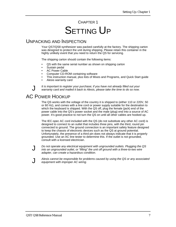# CHAPTER 1 **SETTING UP**

#### UNPACKING AND INSPECTION

Your QS7/QS8 synthesizer was packed carefully at the factory. The shipping carton was designed to protect the unit during shipping. Please retain this container in the highly unlikely event that you need to return the QS for servicing.

The shipping carton should contain the following items:

- QS with the same serial number as shown on shipping carton
- Sustain pedal
- AC Power Cable
- Computer CD-ROM containing software
- This instruction manual, plus lists of Mixes and Programs, and Quick Start guide
- Alesis warranty card

It is important to register your purchase; if you have not already filled out your warranty card and mailed it back to Alesis, please take the time to do so now.

# AC POWER HOOKUP

J

J

J

The QS works with the voltage of the country it is shipped to (either 110 or 220V, 50 or 60 Hz), and comes with a line cord or power supply suitable for the destination to which the keyboard is shipped. With the QS off, plug the female (jack) end of the power cable into the QS's power socket and the male (plug) end into a source of AC power. It's good practice to not turn the QS on until all other cables are hooked up.

The IEC-spec AC cord included with the QS (do not substitute any other AC cord) is designed to connect to an outlet that includes three pins, with the third, round pin connected to ground. The ground connection is an important safety feature designed to keep the chassis of electronic devices such as the QS at ground potential. Unfortunately, the presence of a third pin does not always indicate that it is properly grounded. Use an AC line tester to determine this. If the outlet is not grounded, consult with a licensed electrician.

Do not operate any electrical equipment with ungrounded outlets. Plugging the QS into an ungrounded outlet, or "lifting" the unit off ground with a three-to-two wire adapter, can create a hazardous condition.

Alesis cannot be responsible for problems caused by using the QS or any associated equipment with improper AC wiring.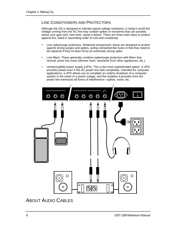#### LINE CONDITIONERS AND PROTECTORS

Although the QS is designed to tolerate typical voltage variations, in today's world the voltage coming from the AC line may contain spikes or transients that can possibly stress your gear and, over time, cause a failure. There are three main ways to protect against this, listed in ascending order of cost and complexity:

- Line spike/surge protectors. Relatively inexpensive, these are designed to protect against strong surges and spikes, acting somewhat like fuses in that they need to be replaced if they've been hit by an extremely strong spike.
- Line filters. These generally combine spike/surge protection with filters that remove some line noise (dimmer hash, transients from other appliances, etc.).
- Uninterruptible power supply (UPS). This is the most sophisticated option. A UPS provides power even if the AC power line fails completely. Intended for computer applications, a UPS allows you to complete an orderly shutdown of a computer system in the event of a power outage, and the isolation it provides from the power line minimizes all forms of interference—spikes, noise, etc.



# ABOUT AUDIO CABLES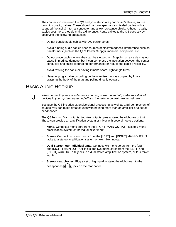The connections between the QS and your studio are your music's lifeline, so use only high quality cables. These should be low-capacitance shielded cables with a stranded (not solid) internal conductor and a low-resistance shield. Although quality cables cost more, they do make a difference. Route cables to the QS correctly by observing the following precautions:

- Do not bundle audio cables with AC power cords.
- Avoid running audio cables near sources of electromagnetic interference such as transformers (such as the QS's Power Supply), monitors, computers, etc.
- Do not place cables where they can be stepped on. Stepping on a cable may not cause immediate damage, but it can compress the insulation between the center conductor and shield (degrading performance) or reduce the cable's reliability.
- Avoid twisting the cable or having it make sharp, right angle turns.
- Never unplug a cable by pulling on the wire itself. Always unplug by firmly grasping the body of the plug and pulling directly outward.

# BASIC AUDIO HOOKUP

J

When connecting audio cables and/or turning power on and off, make sure that all devices in your system are turned off and the volume controls are turned down.

Because the QS includes extensive signal processing as well as a full complement of sounds, you can make great sounds with nothing more than an amplifier or a set of headphones.

The QS has two Main outputs, two Aux outputs, plus a stereo headphones output. These can provide an amplification system or mixer with several hookup options:

- **Mono.** Connect a mono cord from the [RIGHT] MAIN OUTPUT jack to a mono amplification system or individual mixer input.
- **Stereo.** Connect two mono cords from the [LEFT] and [RIGHT] MAIN OUTPUT jacks to a stereo amplification system or two mixer inputs.
- **Dual Stereo/Four Individual Outs.** Connect two mono cords from the [LEFT] and [RIGHT] MAIN OUTPUT jacks and two mono cords from the [LEFT] and [RIGHT] AUX OUTPUT jacks to a dual stereo amplification system, or four mixer inputs.
- **Stereo Headphones.** Plug a set of high-quality stereo headphones into the headphones  $\begin{bmatrix} 1 \\ 1 \end{bmatrix}$  jack on the rear panel.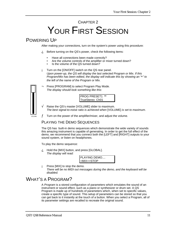# CHAPTER 2 YOUR FIRST SESSION

# POWERING UP

After making your connections, turn on the system's power using this procedure:

- ¿ Before turning on the QS's power, check the following items:
	- Have all connections been made correctly?
	- Are the volume controls of the amplifier or mixer turned down?
	- Is the volume of the QS turned down?
- ¡ Turn on the [ON/OFF] switch on the QS rear panel. Upon power-up, the QS will display the last selected Program or Mix. If this Program/Mix has been edited, the display will indicate this by showing an "\*" to the left of the name of the Program or Mix.



Press [PROGRAM] to select Program Play Mode. The display should look something like this:

| PROG PRESET1 00 |  |
|-----------------|--|
| TrueStereo Ch01 |  |

- Raise the QS's master [VOLUME] slider to maximum. The best signal-to-noise ratio is achieved when [VOLUME] is set to maximum.
- $f$  Turn on the power of the amplifier/mixer, and adjust the volume.

#### PLAYING THE DEMO SEQUENCES

The QS has built-in demo sequences which demonstrate the wide variety of sounds this amazing instrument is capable of generating. In order to get the full effect of the demo, we recommend that you connect both the [LEFT] and [RIGHT] outputs to your sound system, or listen on headphones.

To play the demo sequence:

¿ Hold the [MIX] button, and press [GLOBAL]. The display will read:



¡ Press [MIX] to stop the demo.

There will be no MIDI out messages during the demo, and the keyboard will be disabled.

# WHAT'S A PROGRAM?

A Program is a stored configuration of parameters which emulates the sound of an instrument or sound effect, such as a piano or synthesizer or drum set. A QS Program is made up of hundreds of parameters which, when set to specific values, create a specific type of sound. This setup of parameters can be stored so that you can get back to it instantly at the touch of a button. When you select a Program, all of its parameter settings are recalled to recreate the original sound.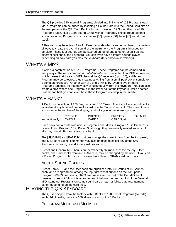The QS provides 640 internal Programs, divided into 5 Banks of 128 Programs each. More Programs can be added by inserting a Sound Card into the Sound Card slot on the rear panel of the QS. Each Bank is broken down into 12 Sound Groups of 10 Programs each, plus a 13th Sound Group with 8 Programs. These group together similar sounding Programs, such as pianos [00], guitars [30], bass [40] and drums [120].

A Program may have from 1 to 4 different sounds which can be combined in a variety of ways to create the overall sound of the instrument the Program is intended to emulate. These four sounds can be layered on top of one another, or split up into different sections of the keyboard. You can even have different sounds played depending on how hard you play the keyboard (this is known as velocity).

# WHAT'S A MIX?

A *Mix* is a combination of 1 to 16 Programs. These Programs can be combined in many ways. The most common is *multi-timbral* when connected to a MIDI sequencer, which means that for each MIDI channel the QS receives (up to 16), a different Program may be selected, thus creating anything from a small pop/rock ensemble to a complete orchestra. Another way of using a Mix is by layering two or more Programs together, so that they play simultaneously from the keyboard. You can also create a split, where one Program is in the lower half of the keyboard, while another is at the top half; you can even have these Programs overlap in the middle.

# WHAT'S A BANK?

A Bank is a collection of 128 Programs and 100 Mixes. There are five internal banks available at any time, with more if a card is in the Sound Card slot. The current bank is shown on the top line of the display, and will cycle in the following order:

| <b>USER</b>    | PRESET1 | PRESET3           | PRESET2      | GenMIDI |
|----------------|---------|-------------------|--------------|---------|
| and optionally | CARD 1  | CARD <sub>2</sub> | CARD 3, etc. |         |

Each bank contains its own unique Programs and Mixes. Program 10 in Preset 1 is different from Program 10 in Preset 3, although they are usually related sounds. A Mix may contain Programs from any bank.

The  $\left[ \begin{array}{c} \blacksquare \end{array} \right]$  BANK] and  $\left[ \text{BANK} \right]$  buttons change the current bank from the top panel, and MIDI Bank Select commands may also be used to select any of the 640 Programs on board, or additional card programs.

Preset and General MIDI banks are permanently "burned in" at the factory. User banks, and Card banks from an SRAM card, may be changed by the user. If you edit a Preset Program or Mix, it can be saved to a User or SRAM card bank only.

#### ABOUT SOUND GROUPS

Preset Banks 1-3 and the User bank are organized into 13 Groups of 10 Sounds each, and are spread out among the top-right row of buttons on the front panel (programs 00-09 are pianos, 50-59 are basses, and so on). The GenMIDI bank, however, does not follow this arrangement; it follows the program list of the General MIDI standard. Programs on some sound cards may not follow that arrangement either, depending on the card type.

## PLAYING THE QS KEYBOARD

The QS is shipped from the factory with 5 Banks of 128 Preset Programs (sounds) each. Additionally, there are 100 Mixes in each of the 5 Banks.

#### PROGRAM MODE AND MIX MODE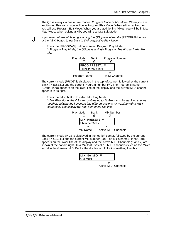The QS is always in one of two modes: Program Mode or Mix Mode. When you are auditioning Programs, you will be in Program Play Mode. When editing a Program, you will use Program Edit Mode. When you are auditioning Mixes, you will be in Mix Play Mode. When editing a Mix, you will use Mix Edit Mode.

If you ever get lost while programming the QS, press either the [PROGRAM] button or the [MIX] button to get back to their respective Play Mode.

• Press the [PROGRAM] button to select Program Play Mode. In Program Play Mode, the QS plays a single Program. The display looks like this:



The current mode (PROG) is displayed in the top-left corner, followed by the current Bank (PRESET1) and the current Program number (ºº). The Program's name (GrandPiano) appears on the lower line of the display and the current MIDI channel appears to its right.

Press the [MIX] button to select Mix Play Mode. In Mix Play Mode, the QS can combine up to 16 Programs for stacking sounds together, splitting the keyboard into different regions, or working with a MIDI sequencer. The display will look something like this:

| Play Mode | Bank           | Mix Number                  |  |
|-----------|----------------|-----------------------------|--|
|           |                |                             |  |
|           | MIX PRESET1 00 |                             |  |
|           | ShimmerGrd     |                             |  |
|           |                | ≠                           |  |
| Mix Name  |                | <b>Active MIDI Channels</b> |  |

The current mode (MIX) is displayed in the top-left corner, followed by the current Bank (PRESET1) and the current Mix number (00). The Mix's name (Piano&Pad) appears on the lower line of the display and the Active MIDI Channels (1 and 2) are shown at the bottom right. In a Mix that uses all 16 MIDI channels (such as the Mixes found in the General MIDI Bank), the display would look something like this:



Active MIDI Channels

J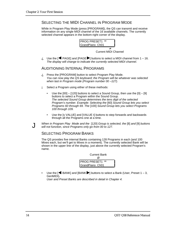#### SELECTING THE MIDI CHANNEL IN PROGRAM MODE

While in Program Play Mode (press [PROGRAM]), the QS can transmit and receive information on any single MIDI channel of the 16 available channels. The currently selected channel appears in the bottom-right corner of the display.



Current MIDI Channel

¿ Use the [ PAGE] and [PAGE ] buttons to select a MIDI channel from 1 – 16. The display will change to indicate the currently selected MIDI channel.

#### AUDITIONING INTERNAL PROGRAMS

- ¿ Press the [PROGRAM] button to select Program Play Mode. You can now play the QS keyboard; the Program will be whatever was selected when last in Program mode (Program number 00 –127).
- ¡ Select a Program using either of these methods:
	- Use the  $[00] [120]$  buttons to select a Sound Group, then use the  $[0] [9]$ buttons to select a Program within the Sound Group. The selected Sound Group determines the tens digit of the selected Program's number. Example: Selecting the [60] Sound Group lets you select Programs 60 through 69. The [100] Sound Group lets you select Programs 100 through 109.
	- Use the [s VALUE] and [VALUE t] buttons to step forwards and backwards through all the Programs one at a time.

When in Program Play Mode and the [120] Group is selected, the [8] and [9] buttons will not function, since Programs only go from 00 to 127.

#### SELECTING PROGRAM BANKS

The QS provides five internal Banks containing 128 Programs in each (and 100 Mixes each, but we'll get to Mixes in a moment). The currently selected Bank will be shown in the upper line of the display, just above the currently selected Program's name.



Use the  $\left[\begin{array}{c} \blacksquare \end{array} \right]$  BANK] and  $\left[\begin{array}{c} BANK \\ \blacksquare \end{array} \right]$  buttons to select a Bank (User, Preset 1 – 3, GenMIDI)**.**

User and Preset Banks are described in detail in Chapter 4.

J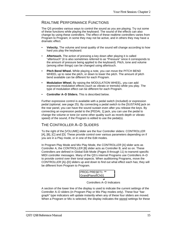#### REALTIME PERFORMANCE FUNCTIONS

The QS provides various ways to control the sound as you are playing. Try out some of these functions while playing the keyboard. The sound of the effects can also change by using these controllers. The effect of these realtime controllers varies from Program to Program; in some they may not be active, and in others they may have a dramatic effect.

- **Velocity.** The volume and tonal quality of the sound will change according to how hard you play the keyboard.
- **Aftertouch.** The action of pressing a key down after playing it is called "aftertouch" (it is also sometimes referred to as "Pressure" since it corresponds to the amount of pressure being applied to the keyboard). Pitch, tone and volume (among other things) can be changed using aftertouch.
- **Pitch Bend Wheel.** While playing a note, you can move the PITCH BEND WHEEL up to raise the pitch, or down to lower the pitch. The amount of pitch bend available can be different for each Program.
- **Modulation Wheel.** By raising the MODULATION WHEEL, you can add expressive modulation effects (such as vibrato or tremolo) while you play. The type of modulation effect can be different for each Program.
- **Controller A–D Sliders.** This is described below.

Further expressive control is available with a pedal switch (included) or expression pedal (optional, see page 25). By connecting a pedal switch to the [SUSTAIN] jack on the rear panel, you can have the sound sustain even after you release the keys. By connecting an expression pedal to the [PEDAL 1] jack, you can use the pedal to change the volume or tone (or some other quality such as reverb depth or vibrato speed) of the sound, if the Program is edited to use the pedal(s).

#### THE CONTROLLER A–D SLIDERS

To the right of the [VOLUME] slider are the four Controller sliders: CONTROLLER [A], [B], [C] and [D]. These provide control over various parameters depending on if you are in a Play mode, or in one of the Edit modes.

In Program Play Mode and Mix Play Mode, the CONTROLLER [A] slider acts as Controller A, the CONTROLLER [B] slider acts as Controller B, and so on. These Controllers are defined in Global Edit Mode (Pages 8 through 11) to transmit specific MIDI controller messages. Many of the QS's internal Programs use Controllers A–D to provide control over their tonal aspects. When auditioning Programs, move the CONTROLLER [A]–[D] sliders up and down to find out what effect each has; they will be different from Program to Program.

| <b>PROG PRESET1 00</b> |  |
|------------------------|--|
| GrandPianollCh01       |  |

≠ Controllers A–D Indicators

A section of the lower line of the display is used to indicate the current settings of the Controller A–D sliders (in Program Play or Mix Play modes only). These four "bargraph" type indicators will update instantly when any of these four sliders are moved. When a Program or Mix is selected, the display indicates the stored settings for these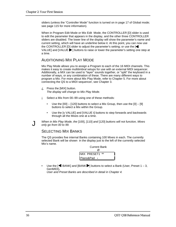sliders (unless the "Controller Mode" function is turned on in page 17 of Global mode; see page 115 for more information).

When in Program Edit Mode or Mix Edit Mode, the CONTROLLER [D] slider is used to edit the parameter that appears in the display, and the other three CONTROLLER sliders are disabled. The lower line of the display will show the parameter's name and current setting, which will have an underline below it. At this point, you can now use the CONTROLLER [D] slider to adjust the parameter's setting; or use the [ VALUE] and [VALUE  $\blacktriangleright$  ] buttons to raise or lower the parameter's setting one step at a time.

#### AUDITIONING MIX PLAY MODE

Mix Play Mode allows you to assign a Program to each of the 16 MIDI channels. This makes it easy to create multitimbral setups for use with an external MIDI sequencer. Additionally, a MIX can be used to "layer" sounds together, or "split" the keyboard in a number of ways, or any combination of these. There are many different ways to program a Mix. For more about Mix Play Mode, refer to Chapter 5. For more about connecting the QS to a MIDI sequencer, see Chapter 3.

- ¿ Press the [MIX] button. The display will change to Mix Play Mode.
- ¡ Select a Mix from 00–99 using one of these methods:
	- Use the  $[00] [120]$  buttons to select a Mix Group, then use the  $[0] [9]$ buttons to select a Mix within the Group.
	- Use the [s VALUE] and [VALUE t] buttons to step forwards and backwards through all the Mixes one at a time.

When in Mix Play Mode, the [100], [110] and [120] buttons will not function, Mixes only go from 00 to 99.

#### SELECTING MIX BANKS

The QS provides five internal Banks containing 100 Mixes in each. The currently selected Bank will be shown in the display just to the left of the currently selected Mix's name.



Use the  $\left[\begin{array}{c} \blacksquare \end{array} \right]$  BANK] and  $\left[\begin{array}{c} BANK \\ \end{array} \right]$  buttons to select a Bank (User, Preset 1 – 3, GenMIDI)**.**

User and Preset Banks are described in detail in Chapter 4.

J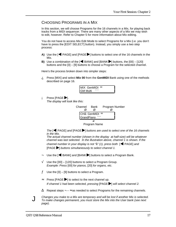#### CHOOSING PROGRAMS IN A MIX

In this section, we will choose Programs for the 16 channels in a Mix, for playing back tracks from a MIDI sequencer. There are many other aspects of a Mix we may wish to edit, however. Refer to Chapter 5 for more information about Mix editing.

You do not have to access Mix Edit Mode to select Programs for a Mix (i.e. you don't have to press the [EDIT SELECT] button). Instead, you simply use a two step process:

- **A)** Use the [ PAGE] and [PAGE ] buttons to select one of the 16 channels in the Mix.
- **B)** Use a combination of the  $\left[\begin{array}{c} \blacksquare \end{array}\right]$  BANK  $\blacksquare$  buttons, the  $[00] [120]$ buttons and the [0] – [9] buttons to choose a Program for the selected channel.

Here's the process broken down into simpler steps:

¿ Press [MIX] and select **Mix 00** from the **GenMIDI** Bank using one of the methods described on page 16.



¡ Press [PAGE ]. The display will look like this:



The  $\lceil \cdot \rceil$  PAGE] and  $\lceil \text{PAGE} \rceil$  buttons are used to select one of the 16 channels in the Mix.

The actual channel number (shown in the display at half-size) will be whatever channel was last selected. In the illustration above, channel 1 is shown. If the channel number in your display is not " $a$ " (1), press both  $\blacksquare$  PAGE] and [PAGE ] buttons simultaneously to select channel 1.

- Use the  $\lceil \cdot \cdot \rceil$  BANK] and [BANK  $\blacktriangleright$ ] buttons to select a Program Bank.
- Use the [00] [120] buttons to select a Program Group. Example: Press [00] for pianos, [20] for organs, etc.
- f Use the  $[0]$   $[9]$  buttons to select a Program.
- ≈ Press [PAGE ] to select to the next channel up. If channel 1 had been selected, pressing [PAGE **]** will select channel 2.
- $\Delta$  Repeat steps  $\neg$   $\approx$  as needed to select Programs for the remaining channels.

Changes you make to a Mix are temporary and will be lost if another Mix is selected. To make changes permanent, you must store the Mix into the User bank (see next page).

J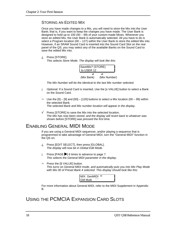#### STORING AN EDITED MIX

Once you have made changes to a Mix, you will need to store the Mix into the User Bank; that is, if you want to keep the changes you have made. The User Bank is designed to hold up to  $100 (00 - 99)$  of your custom-made Mixes. Whenever you store an edited Mix, the User Bank is automatically selected. All you have to do is select a Program location (00 – 127) within the User Bank to store the edited Mix into. However, if an SRAM Sound Card is inserted into the Sound Card Slot on the rear panel of the QS, you may select any of the available Banks on the Sound Card to save the edited Mix into.

¿ Press [STORE].

This selects Store Mode. The display will look like this:

| SaveMix? (STORE)<br>to USER 12 |              |
|--------------------------------|--------------|
|                                | ≠            |
| (Mix Bank)                     | (Mix Number) |

The Mix Number will be the identical to the last Mix number selected.

- **i** Optional: If a Sound Card is inserted, Use the [s VALUE] button to select a Bank on the Sound Card.
- Use the  $[0] [9]$  and  $[00] [120]$  buttons to select a Mix location  $(00 99)$  within the selected Bank. The selected Bank and Mix number location will appear in the display.
- Press [STORE] to save the Mix into the selected location. The Mix has now been stored, and the display will revert back to whatever was shown before [STORE] was pressed the first time.

### ENABLING GENERAL MIDI MODE

If you are using a General MIDI sequencer, and/or playing a sequence that is programmed to take advantage of General MIDI, turn the "General MIDI" function in the QS on.

- ¿ Press [EDIT SELECT], then press [GLOBAL]. The display will now be in Global Edit Mode.
- $i$  Press [PAGE | 6 times to advance to page 7. This selects the General MIDI parameter in the display.
- Press the [S VALUE] button. This turns on General MIDI mode, and automatically puts you into Mix Play Mode with Mix 00 of Preset Bank 4 selected. This display should look like this:

| MIX GenMIDI 00       |  |
|----------------------|--|
| <b>GM Multi</b><br>. |  |

For more information about General MIDI, refer to the MIDI Supplement in Appendix B.

## USING THE PCMCIA EXPANSION CARD SLOTS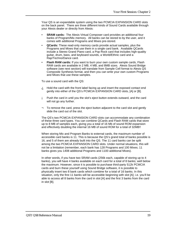Your QS is an expandable system using the two PCMCIA EXPANSION CARD slots on the back panel. There are three different kinds of Sound Cards available through your Alesis dealer or directly from Alesis:

- **SRAM cards:** The Alesis Virtual Composer card provides an additional four banks of Program/Mix memory. All banks can be stored to by the user, and it comes with additional Programs and Mixes pre-stored.
- **QCards:** These read-only memory cards provide actual samples, plus the Programs and Mixes that use them in a single card bank. Available QCards include a Stereo Grand Piano card, a Pop Rock card that includes high-quality guitar, drum, bass, and keyboard sounds, a World/Ethnic card and a Rap/Techno/Dance card.
- **Flash RAM cards:** If you want to burn your own custom sample cards, Flash RAM cards are available in 2 MB, 4 MB, and 8MB sizes. Alesis Sound Bridge software (see next section) will translate from Sample Cell format to Alesis QS Composite Synthesis format, and then you can write your own custom Programs and Mixes that use these samples.

To use a sound card with the QS:

- ¿ Hold the card with the front label facing up and insert the exposed contact end gently into either of the QS's PCMCIA EXPANSION CARD slots, [A] or [B].
- ¡ Push the card in until you the slot's eject button extends outward, and the card will not go any further.
- ¬ To remove the card, press the eject button adjacent to the card slot and gently slide the card out of the slot.

The QS's two PCMCIA EXPANSION CARD slots can accommodate any combination of these three card types. You can combine QCards and Flash RAM cards that store up to 8 MB of samples each, giving you a total of 16 Mb of sound ROM expansion and effectively doubling the internal 16 MB of sound ROM for a total of 32MB!!

When storing Mix and Program Banks to external cards, the maximum number of accessible card banks is 11. This is because the QS's grand total of banks possible is 16, and 5 of them are already built into the QS. The 11 card banks can be split among the two PCMCIA EXPANSION CARD slots. Under normal situations, this will not be a limitation (remember, each bank has 128 Programs and 100 Mixes; 11 banks gives you 1408 additional Programs and 1100 additional Mixes).

In other words, if you have two SRAM cards (256k each, capable of storing up to 4 banks), you will have 4 banks available on each card for a total of 8 banks; well below the maximum. However, since it is possible to purchase third-party 512k PCMCIA cards and burn these yourself using Sound Bridge software, it is possible to physically insert two 8 bank cards which combine for a total of 16 banks. In this situation, only the first 11 banks will be accessible beginning with slot [A]; i.e. you'll be able to access all 8 banks from the card in slot [A] and the first 3 banks from the card in slot [B].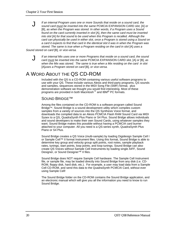J If an internal Program uses one or more Sounds that reside on a sound card, the sound card must be inserted into the same PCMCIA EXPANSION CARD slot, [A] or [B], as when the Program was stored. In other words, if a Program uses a Sound found on the card currently inserted in slot [A], then the same card must be inserted into slot [A] for that sound to be used when this Program is recalled. Although the card can physically be used in either slot, once a Program is stored using a Sound on a card it expects to find that card in the identical slot it was in when the Program was stored. The same is true when a Program residing on the card in slot [A] uses a Sound stored on card [B], or vice-versa.

J

If an internal Mix uses one or more Programs that reside on a sound card, the sound card must be inserted into the same PCMCIA EXPANSION CARD slot, [A] or [B], as when the Mix was stored. The same is true when a Mix residing on the card in slot [A]uses a Program stored on card [B], or vice-versa.

# A WORD ABOUT THE QS CD-ROM

Included with the QS is a CD-ROM containing various useful software programs to use with your QS. These include various Alesis and third-party programs, QS sounds and samples, sequences stored in the MIDI Song File (SMF) format, plus demonstration software we thought you would find interesting. Most of these programs are provided in both Macintosh™ and IBM® PC formats.

#### SOUND BRIDGE™

Among the files contained on the CD-ROM is a software program called Sound Bridge™. Sound Bridge is a sound development utility which compiles custom samples from a variety of sources into the QS Synthesis Voice format, and downloads the compiled data to an Alesis PCMCIA Flash RAM Sound Card via MIDI Sysex to a QS, QuadraSynth Plus Piano or S4 Plus. Sound Bridge allows individuals and sound developers to make their own Sound Cards, using whatever samples they want. Sound Bridge makes this possible without having a PCMCIA card burner attached to your computer. All you need is a QS-series synth, QuadraSynth Plus Piano or S4 Plus.

Sound Bridge creates a QS Voice (multi-sample) by loading Digidesign Sample Cell I or Sample Cell™ II format Instrument files. Using this format, Sound Bridge is able to determine key group and velocity group split points, root notes, sample playback rates, tunings, start points, loop points, and loop tunings. Sound Bridge can also create QS Voices without Sample Cell Instruments by loading single AIFF, Sound Designer, or Sound Designer™ II files.

Sound Bridge does NOT require Sample Cell hardware. The Sample Cell Instrument file, or sample file, may be loaded directly into Sound Bridge from any disk (i.e. CD-ROM, floppy disk, hard disk, etc.). For example, a user may load data from a Sample Cell CD-ROM, and send this data to the QuadraSynth PCMCIA Card, without ever using Sample Cell!

The Sound Bridge folder on the CD-ROM contains the Sound Bridge application, and an electronic manual which will give you all the information you need to know to run Sound Bridge.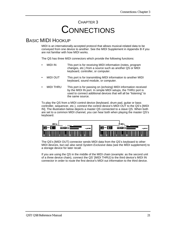# CHAPTER 3 CONNECTIONS

# BASIC MIDI HOOKUP

MIDI is an internationally-accepted protocol that allows musical-related data to be conveyed from one device to another. See the MIDI Supplement in Appendix B if you are not familiar with how MIDI works.

The QS has three MIDI connectors which provide the following functions:

- MIDI IN This port is for receiving MIDI information (notes, program changes, etc.) from a source such as another QS or MIDI keyboard, controller, or computer.
- MIDI OUT This port is for transmitting MIDI information to another MIDI keyboard, sound module, or computer.
- MIDI THRU This port is for passing on (echoing) MIDI information received by the MIDI IN port. In simple MIDI setups, the THRU port is used to connect additional devices that will all be "listening" to the same source.

To play the QS from a MIDI control device (keyboard, drum pad, guitar or bass controller, sequencer, etc.), connect the control device's MIDI OUT to the QS's [MIDI IN]. The illustration below depicts a master QS connected to a slave QS. When both are set to a common MIDI channel, you can hear both when playing the master QS's keyboard.



The QS's [MIDI OUT] connector sends MIDI data from the QS's keyboard to other MIDI devices, but can also send System Exclusive data (see the MIDI supplement) to a storage device for later recall.

If you are using the QS in the middle of the MIDI chain (example: as the second unit of a three device chain), connect the QS' [MIDI THRU] to the third device's MIDI IN connector in order to route the first device's MIDI out information to the third device.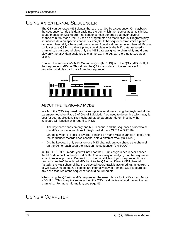# USING AN EXTERNAL SEQUENCER

The QS can generate MIDI signals that are recorded by a sequencer. On playback, the sequencer sends this data back into the QS, which then serves as a multitimbral sound module (in Mix Mode). The sequencer can generate data over several channels; in Mix Mode, the QS can be programmed so that individual Programs play sequenced data on specific channels. Example: If the sequencer transmits a piano part over channel 1, a bass part over channel 2, and a drum part over channel 10, you could set up a QS Mix so that a piano sound plays only the MIDI data assigned to channel 1, a bass sound plays only the MIDI data assigned to channel 2, and drums play only the MIDI data assigned to channel 10. The QS can store up to 100 User Mixes.

Connect the sequencer's MIDI Out to the QS's [MIDI IN], and the QS's [MIDI OUT] to the sequencer's MIDI In. This allows the QS to send data to the sequencer for recording, and play back data from the sequencer.



#### ABOUT THE KEYBOARD MODE

In a Mix, the QS's keyboard may be set up in several ways using the Keyboard Mode parameter found on Page 6 of Global Edit Mode. You need to determine which way is best for your application. The Keyboard Mode parameter determines how the keyboard will function with regard to MIDI:

- The keyboard sends on only one MIDI channel and the sequencer is used to set the MIDI channel of each track (Keyboard Mode =  $OUT 1 - OUT 16)$ .
- Or, the keyboard is split or layered, sending on many MIDI channels at once, and the sequencer records each channel onto a different track (NORMAL).
- Or, the keyboard only sends on one MIDI channel, but you change the channel on the QS for each separate track on the sequencer (CH SOLO).

In OUT 1 – OUT 16 mode, you will not hear the QS unless your sequencer echoes the MIDI data back to the QS's MIDI IN. This is a way of verifying that the sequencer is set to receive properly. Depending on the capabilities of your sequencer, it may "auto-channelize" the echoed MIDI back to the QS on a different MIDI channel (usually, the MIDI channel that the selected record track is assigned to). In NORMAL or CH SOLO mode, the QS sounds are internally played from the QS keyboard, so any echo features of the sequencer should be turned off.

When using the QS with a MIDI sequencer, the usual choice for the Keyboard Mode is "OUT 1." This is equivalent to turning the QS's local control off and transmitting on channel 1. For more information, see page 41.

# USING A COMPUTER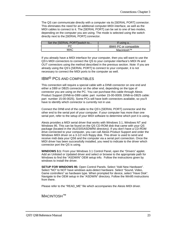The QS can communicate directly with a computer via its [SERIAL PORT] connector. This eliminates the need for an additional computer-MIDI interface, as well as the MIDI cables to connect to it. The [SERIAL PORT] can be set to one of two modes, depending on the computer you are using. The mode is selected using the switch directly next to the [SERIAL PORT] connector.

| Set the [SERIAL PORT] switch to | If using a                   |
|---------------------------------|------------------------------|
|                                 | <b>IBM® PC or compatible</b> |
| MAC                             | Macintosh™                   |

If you already have a MIDI interface for your computer, then you will want to use the QS's MIDI connectors to connect the QS to your computer interface's MIDI IN and OUT connectors using the method described in the previous section. Note: If you are already using the QS's [SERIAL PORT] to connect to your computer, it is not necessary to connect the MIDI ports to the computer as well.

#### IBM® PCS AND COMPATIBLES

This connection will require a special cable with a DIN8 connector on one end and either a DB9 or DB25 connector on the other end, depending on the type of connector you are using on the PC. You can purchase this cable through Alesis Product Support (DIN8-to-DB9 cable: part number 15-00-0009; DIN8-to-DB25 cable: part number 15-00-0025). Some PCs will have both connectors available, so you'll have to identify which connector is currently not in use.

Connect the DIN8 end of the cable to the QS's [SERIAL PORT] connector and the other end to the serial port of your computer. If your computer has more than one serial port, refer to the setup of your MIDI software to determine which port it is using.

Alesis provides a MIDI serial driver that works with Windows 3.1, Windows NT and Windows 95. This can be found on the QS CD-ROM disk that came with your QS package (located in the \ALESIS\ASDWIN\ directory). If you don't have a CD-ROM drive connected to your computer, you can call Alesis Product Support and order the Windows MIDI driver on a 3-1/2 inch floppy disk. This driver is used to send and receive midi data your QS6 and the computer via a serial port connection. Once the MIDI driver has been successfully installed, you need to indicate to the driver which connector port the QS is using.

**WINDOWS 3.1:** From your Windows 3.1 Control Panel, open the "Drivers" applet. Add an Unlisted or Updated driver and select or browse to the appropriate path for Windows to find the "ASDWIN" OEM setup info. Follow the instructions given by windows to install the driver.

**SETUP FOR WINDOWS 95:** Open Control Panels. Select "Add New Hardware". Select "NO" to NOT have windows auto-detect hardware. Select "Sound, Video, Game controllers" as hardware type. When prompted for device, select "Have Disk". Navigate to the OEM setup in the "ASDWIN" directory. Follow the Win95 instructions from there.

Please refer to the "READ\_ME" file which accompanies the Alesis MIDI driver.

#### MACINTOSH<sup>™</sup>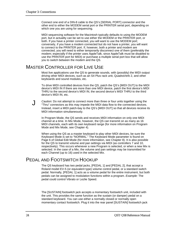J

Connect one end of a DIN-8 cable to the QS's [SERIAL PORT] connector and the other end to either the MODEM serial port or the PRINTER serial port, depending on which one you are using for sequencing.

MIDI sequencing software for the Macintosh typically defaults to using the MODEM port, but in actuality can be set to use either the MODEM or the PRINTER port, or both. If you have a printer connected, you will want to use the MODEM port; conversely, if you have a modem connected but do not have a printer, you will want to connect to the PRINTER port. If, however, both a printer and modem are connected, you will need to either temporarily disconnect one of them (preferably the modem; especially if the printer uses AppleTalk, since AppleTalk must be disabled to use the PRINTER port for MIDI) or purchase a multiple serial port box that will allow you to switch between the modem and the QS.

# MASTER CONTROLLER FOR LIVE USE

Most live applications use the QS to generate sounds, with (possibly) the MIDI output driving other MIDI devices, such as an S4 Plus rack unit, QuadraVerb 2, and other keyboards and sound modules, etc.

To drive MIDI controlled devices from the QS, patch the QS's [MIDI OUT] to the MIDI device's MIDI IN If there are more than one MIDI device, patch the first device's MIDI THRU to the second device's MIDI IN, the second device's MIDI THRU to the third device's MIDI IN, etc.

Caution: Do not attempt to connect more than three or four units together using the "Thru" connectors as this may impede the MIDI data flow to the connected devices. Instead, insert a MIDI patch-bay to the QS's [MIDI OUT] so that all devices receive its MIDI information simultaneously.

In Program Mode, the QS sends and receives MIDI information on only one MIDI channel at a time. In Mix Mode, however, the QS can transmit on as many as 16 MIDI channels, each with its own keyboard range (for more information on Program Mode and Mix Mode, see Chapter 4).

When using the QS as a master keyboard to play other MIDI devices, be sure the Keyboard Mode is set to "NORMAL." The Keyboard Mode parameter is found on Page 6 of Global Edit Mode (for more information, see Chapter 8). It is also possible for the QS to transmit volume and pan settings via MIDI (as controllers 7 and 10, respectively). This occurs whenever a new Program is selected, or when a new Mix is selected. In the case of a Mix, the volume and pan settings may be transmitted for each Channel (up to 16) used in the selected Mix.

# PEDAL AND FOOTSWITCH HOOKUP

The QS keyboard has two pedal jacks, [PEDAL 1] and [PEDAL 2], that accept a Roland model EV-5 (or equivalent type) volume control pedal, or a standard switch pedal. Normally, [PEDAL 1] acts as a volume pedal for the entire instrument, but both pedals can be assigned to modulation functions within a program. Example: The pedal could control Vibrato or Lezlie Speed.

The [SUSTAIN] footswitch jack accepts a momentary footswitch unit, included with the unit. This provides the same function as the sustain (or damper) pedal on a standard keyboard. You can use either a normally closed or normally open momentary contact footswitch. Plug it into the rear panel [SUSTAIN] footswitch jack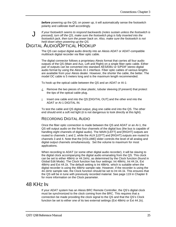**before** powering up the QS; on power up, it will automatically sense the footswitch polarity and calibrate itself accordingly.

J If your footswitch seems to respond backwards (notes sustain unless the footswitch is pressed), turn off the QS, make sure the footswitch plug is fully inserted into the footswitch jack, then turn the power back on. Also, make sure the footswitch is not held down when powering up the QS.

# DIGITAL AUDIO/OPTICAL HOOKUP

The QS can output digital audio directly into an Alesis ADAT or ADAT-compatible multitrack digital recorder via fiber optic cable.

The digital connector follows a proprietary Alesis format that carries all four audio outputs of the QS (Main and Aux, Left and Right) on a single fiber optic cable. Either pair of outputs can be converted into standard AES/EBU or S/PDIF stereo digital audio format by using the Alesis AI-1 interface. Fiber optic cables of various lengths are available from your Alesis dealer. However, the shorter the cable, the better. The model OC cable is 5 meters long and is the maximum length recommended.

To hook up the optical cable between the QS and an ADAT or AI-1:

- ¿ Remove the two pieces of clear plastic, tubular sleeving (if present) that protect the tips of the optical cable plug.
- ¡ Insert one cable end into the QS [DIGITAL OUT] and the other end into the ADAT or AI-1 DIGITAL IN.

To test the cable and QS digital output, plug one cable end into the QS. The other end should emit a soft red light (it is not dangerous to look directly at this light).

#### RECORDING DIGITAL AUDIO

Once the fiber optic connection is made between the QS and ADAT or an AI-1, the QS will output audio on the first four channels of the digital bus (the bus is capable of handling eight channels of digital audio). The MAIN [LEFT] and [RIGHT] outputs are routed to channels 1 and 2, while the AUX [LEFT] and [RIGHT] outputs are routed to channels 3 and 4. Note that the [VOLUME] slider controls the level of all analog and digital output channels simultaneously. Set the volume to maximum for most applications.

When recording to ADAT (or some other digital audio recorder), it will be slaving to the digital clock accompanying the digital audio emanating from the QS. This clock can be set to either 48kHz or 44.1kHz, as determined by the Clock function (found in Global Edit Mode). The Clock function has four settings: Int 48kHz, Int 44.1k, Ext 48kHz and Ext 44.1k. The default setting is Int 48kHz. which is suitable when the digital recorder is using the 48kHz sample rate. However, if the recorder is using the 44.1kHz sample rate, the Clock function should be set to Int 44.1k. This ensures that the QS will be in tune with previously recorded material. See page 119 in Chapter 8 for more information on the Clock parameter.

# 48 KHZ IN

If your ADAT system has an Alesis BRC Remote Controller, the QS's digital clock must be synchronized to the clock coming from the BRC. This requires that a connection be made providing the clock signal to the QS and that the QS's Clock function be set to either one of its two external settings (Ext 48kHz or Ext 44.1k).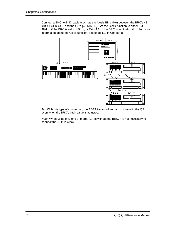Connect a BNC-to-BNC cable (such as the Alesis BN cable) between the BRC's 48 kHz CLOCK OUT and the QS's [48 KHZ IN]. Set the Clock function to either Ext 48kHz if the BRC is set to 48kHz, or Ext 44.1k if the BRC is set to 44.1kHz. For more information about the Clock function, see page 119 in Chapter 8.



Tip: With this type of connection, the ADAT tracks will remain in tune with the QS even when the BRC's pitch value is adjusted.

Note: When using only one or more ADATs without the BRC, it is not necessary to connect the 48 kHz Clock.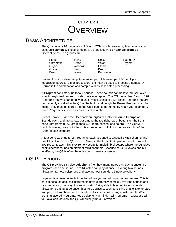# CHAPTER 4 **OVERVIEW**

## BASIC ARCHITECTURE

The QS contains 16 megabytes of Sound ROM which provide digitized acoustic and electronic **samples**. These samples are organized into 17 **sample groups** of different types. The groups are:

| Sound FX |
|----------|
| Rhythm   |
|          |
|          |
|          |
|          |

Several functions (filter, amplitude envelope, pitch envelope, LFO, multiple modulation sources, signal processors, etc.) can be used to process a sample. A **Sound** is the combination of a sample with its associated processing.

A **Program** consists of up to four sounds. These sounds can be layered, split over specific keyboard ranges, or selectively overlapped. The QS has a User Bank of 128 Programs that you can modify, plus 4 Preset Banks of 512 Preset Programs that are permanently installed in the QS at the factory (although the Preset Programs can be edited, they must be stored into the User bank to permanently retain your changes). Each Program is linked to its own Effects Patch.

Preset Banks 1-3 and the User bank are organized into 13 **Sound Groups** of 10 Sounds each, and are spread out among the top-right row of buttons on the front panel (programs 00-09 are pianos, 50-59 are basses, and so on). The GenMIDI bank, however, does not follow this arrangement; it follows the program list of the General MIDI standard.

A **Mix** consists of up to 16 Programs, each assigned to a specific MIDI channel and one Effect Patch. The QS has 100 Mixes in the User Bank, plus 4 Preset Banks of 400 Preset Mixes. This is extremely useful for multitimbral setups where the QS plays back different sounds on different MIDI channels. Because of its 64 voices and builtin effects, the QS is often the only sound generator needed.

# QS POLYPHONY

The QS provides 64-voice **polyphony** (i.e., how many notes can play at once). If a program uses one sound, up to 64 notes can play at once. Layering two sounds allows for 32-note polyphony and layering four sounds, 16-note polyphony.

Layering is a powerful technique that allows you to build up complex timbres. This is crucial because acoustic instruments have extremely complex, evolving sounds and by comparison, many synths sound static. Being able to layer up to four sounds allows for creating large ensembles (e.g., brass section consisting of alto & tenor sax, trumpet, and trombone) or extremely realistic versions of single instruments. When creating layered Programs, keep polyphony in mind. If all Programs in a Mix use all four available sounds, the QS will quickly run out of voices.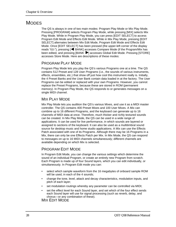# **MODES**

The QS is always in one of two main modes: Program Play Mode or Mix Play Mode. Pressing [PROGRAM] selects Program Play Mode, while pressing [MIX] selects Mix Play Mode. While in Program Play Mode, you can press [EDIT SELECT] to access Program Edit Mode and Effects Edit Mode. While in Mix Play Mode, pressing [EDIT SELECT] alternates between Mix Edit Mode, Program Edit Mode and Effects Edit Mode. Once [EDIT SELECT] has been pressed (the upper-left corner of the display reads "ED:"), pressing [ BANK] accesses Compare Mode (if the Program/Mix has been edited, and pressing [BANK  $\blacktriangleright$ ] accesses Global Edit Mode. Pressing [STORE] accesses Store Mode. Here are descriptions of these modes:

#### PROGRAM PLAY MODE

Program Play Mode lets you play the QS's various Programs one at a time. The QS contains 512 Preset and 128 User Programs (i.e., the sounds of various instruments, effects, ensembles, etc.) that show off just how cool this instrument really is. Initially, the 4 Preset Banks and the User Bank contain data loaded in at the factory. The User Programs can be edited or replaced with your own Programs. However, you cannot replace the Preset Programs, because these are stored in ROM (permanent memory). In Program Play Mode, the QS responds to or generates messages on a single MIDI channel.

### MIX PLAY MODE

Mix Play Mode lets you audition the QS's various Mixes, and use it as a MIDI master controller. The QS contains 400 Preset Mixes and 100 User Mixes. A Mix can combine up to 16 different Programs, and the keyboard can generate up to 16 channels of MIDI data at once. Therefore, much thicker and richly textured sounds can be created. In Mix Play Mode, the QS can be used in a wide range of applications. It can be used for live performance, in which sounds are layered or assigned to sections of the keyboard. It can also be used as a multitimbral sound source for desktop music and home studio applications. A Mix can use the Effects Patch associated with one of its Programs. Although there may be 16 Programs in a Mix, there can only be one Effects Patch per Mix. In Mix Mode, the QS can respond to messages on up to 16 MIDI channels simultaneously; different channels are available depending on which Mix is selected.

#### PROGRAM EDIT MODE

In Program Edit Mode, you can change the various settings which determine the sound of an individual Program, or create an entirely new Program from scratch. Each Program is made up of four Sound layers, which you can edit individually, or simultaneously. In Program Edit mode you can:

- select which sample waveform from the 16 megabytes of onboard sample ROM will be used, in each of the 4 sounds;
- change the tone, level, attack and decay characteristics, modulation inputs, and pitch of each layer;
- set modulation routings whereby any parameter can be controlled via MIDI;
- set the effect level for each Sound layer, and set which of the four effect sends each Sound layer will use for signal processing (such as reverb, delay, and chorus—or any combination of these).

MIX EDIT MODE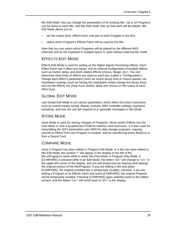Mix Edit Mode lets you change the parameters of an existing Mix. Up to 16 Programs can be active in each Mix, and Mix Edit mode sets up how each will be played. Mix Edit Mode allows you to:

- set the output level, effects level, and pan of each Program in the Mix;
- select which Program's Effects Patch will be used by the Mix.

Note that you can select which Programs will be played by the different MIDI channels and by the keyboard in multiple layers or splits without entering Mix mode.

#### EFFECTS EDIT MODE

Effects Edit Mode is used for setting up the Digital Signal Processing effects. Each Effect Patch has 4 effect bus inputs, and an internal configuration of multiple effects such as reverb, delay, and pitch-related effects (chorus, flange, etc.). You can determine what kinds of effects are used on each bus (called a "Configuration"), change each effect's parameters (such as reverb decay time or chorus speed), set modulation routings (such as having the modulation wheel change the decay time), and set the effects mix (how much reverb, delay and chorus on the output of each effect bus).

#### GLOBAL EDIT MODE

Use Global Edit Mode to set various parameters which effect the entire instrument, such as overall master tuning, display contrast, MIDI controller settings, keyboard sensitivity, and how the unit will respond to or generate messages in Mix Mode.

#### STORE MODE

Store Mode is used for storing changes of Programs, Mixes and/or Effects into the User Bank or onto a QuadraCard PCMCIA memory card accessory. It is also used for transmitting the QS's parameters over MIDI for data storage purposes, copying sounds or effects from one Program to another, and for transferring entire Banks to or from a Sound Card.

#### COMPARE MODE

Once a Program has been edited in Program Edit Mode, or a Mix has been edited in Mix Edit Mode, the symbol "\*" will appear in the display to the left of the Mix's/Program's name while in either Mix Play Mode or Program Play Mode. If [COMPARE] is pressed while in an Edit Mode, the letters "ED:" will change to "Cm:" in the upper-left corner of the display, and you will temporarily be hearing (and seeing) the original version of the Mix/Program. If you are editing a Mix and press [COMPARE], the original unedited Mix is temporarily recalled. Likewise, if you are editing a Program or its Effects Patch and press [COMPARE], the original Program will be temporarily recalled. Pressing [COMPARE] again switches back to the edited version, and the letters "Cm:" will revert back to "ED:" in the display.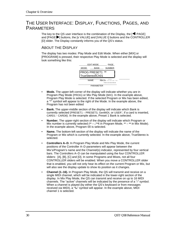# THE USER INTERFACE: DISPLAY, FUNCTIONS, PAGES, AND PARAMETERS

The key to the QS user interface is the combination of the Display, the  $\lceil \cdot \cdot \rceil$  PAGE] and [PAGE  $\blacktriangleright$ ] buttons, the [s VALUE] and [VALUE t] buttons and the CONTROLLER [D] slider. The Display constantly informs you of the QS's status.

#### ABOUT THE DISPLAY

The display has two modes: Play Mode and Edit Mode. When either [MIX] or [PROGRAM] is pressed, their respective Play Mode is selected and the display will look something like this:



- **Mode.** The upper-left corner of the display will indicate whether you are in Program Play Mode (PROG) or Mix Play Mode (MIX). In the example above, Program Play Mode is selected. If the selected Program or Mix has been edited, a "\*" symbol will appear to the right of the Mode. In the example above, the Program has not been edited
- **Bank.** The upper-middle section of the display will indicate which Bank is currently selected (PRESET1 – PRESET3, GenMIDI, or USER`; if a card is inserted, CARD1 - CARD8). In the example above, Preset 1 Bank is selected.
- **Number.** The upper-right section of the display will indicate which Program or Mix number is currently selected ( $0^{\circ}$  – i<sup>TM</sup>, in Program Mode,  $0^{\circ}$  – <sup>aa</sup> in Mix Mode). In the example above, Program 00 is selected.
- **Name.** The bottom-left section of the display will indicate the name of the Program or Mix which is currently selected. In the example above, TrueStereo is selected.
- **Controllers A–D.** In Program Play Mode and Mix Play Mode, the current positions of the Controller A–D parameters will appear between the Mix's/Program's name and the Channel(s) indicator, represented by four vertical bars. The Controllers A–D can be manipulated using the four CONTROLLER sliders: [A], [B], [C] and [D]. In some Programs and Mixes, not all four CONTROLLER sliders will be enabled. When you move a CONTROLLER slider that is enabled, you will not only hear its effect on the current Program or Mix, but will also see the display update to show its position as it changes.
- **Channel (1–16).** In Program Play Mode, the QS will transmit and receive on a single MIDI channel, which will be indicated in the lower-right section of the display. In Mix Play Mode, the QS can transmit and receive on up to 16 MIDI channels. The "active" channels will be indicated by the presence of a "/" symbol. When a channel is played (by either the QS's keyboard or from messages received via MIDI), a "‰" symbol will appear. In the example above, MIDI channel 1 is selected.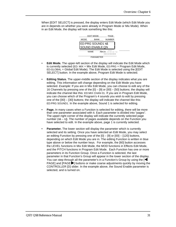When [EDIT SELECT] is pressed, the display enters Edit Mode (which Edit Mode you are in depends on whether you were already in Program Mode or Mix Mode). When in an Edit Mode, the display will look something like this:



- **Edit Mode.** The upper-left section of the display will indicate the Edit Mode which is currently selected (ED: MIX = Mix Edit Mode, ED:PRG = Program Edit Mode, ED:GLOBAL = Global Edit Mode). The Edit Mode is selected using the [EDIT SELECT] button. In the example above, Program Edit Mode is selected.
- **Editing Status.** The upper-middle section of the display indicates what you are editing. This information will change depending on the Edit Mode you have selected. Example: If you are in Mix Edit Mode, you can choose to edit any of the 16 Channels by pressing one of the [0] – [9] or [00] – [50] buttons; the display will indicate the channel like this: ED:MIX CHAN 01. If you are in Program Edit Mode, you can choose which of the Program's 4 sounds you wish to edit by pressing one of the [00] – [30] buttons; the display will indicate the channel like this: ED:PRG SOUND1. In the example above, Sound 1 is selected for editing.
- **Page.** In many cases when a Function is selected for editing, there will be more than one parameter associated with it. Each parameter is divided into "pages". The upper-right corner of the display will indicate the currently selected page number ( $\pi$ å –  $\pi$ ). The number of pages available depends on the Function you have selected to edit. In the example above, page 1 is currently selected.
- **Parameter.** The lower section will display the parameter which is currently selected and its setting. Once you have selected an Edit Mode, you may select an editing Function by pressing one of the [0] – [9] or [00] – [120] buttons, depending on which Edit Mode you are in. The editing Function is written in blue type above or below the number keys. For example, the [60] button accesses the LEVEL functions in Mix Edit Mode, the MOD functions in Effects Edit Mode, and the PITCH functions in Program Edit Mode. Each Function has one or more parameters in its Function Group. Once a Function is selected, the last parameter in that Function's Group will appear in the lower section of the display. You can step through all the parameter's in a Function's Group by using the  $\blacksquare$ PAGE] and [PAGE  $\blacktriangleright$ ] buttons or make coarse adjustments quickly by moving the CONTROLLER [D] slider. In the example above, the Sound Enable parameter is selected, and is turned on.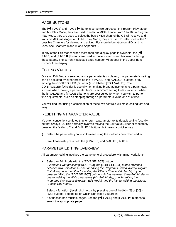#### PAGE BUTTONS

The [<sup>4</sup> PAGE] and [PAGE<sup>1</sup>] buttons serve two purposes. In Program Play Mode and Mix Play Mode, they are used to select a MIDI channel from 1 to 16. In Program Play Mode, they are used to select the basic MIDI channel the QS will receive and transmit MIDI messages on. In Mix Play Mode, they are used to select one of the 16 possible Channels for viewing and editing. For more information on MIDI and its uses, see Chapters 8 and 9, and Appendix B.

In any of the Edit Modes when more than one display page is available, the  $\blacksquare$ PAGE] and [PAGE  $\blacktriangleright$ ] buttons are used to move forwards and backwards through these pages. The currently selected page number will appear in the upper-right corner of the display.

#### EDITING VALUES

Once an Edit Mode is selected and a parameter is displayed, that parameter's setting can be adjusted by either pressing the [s VALUE] and [VALUE t] buttons, or by moving the CONTROLLER [D] slider (also labeled [EDIT VALUE]). The CONTROLLER [D] slider is useful when making broad adjustments to a parameter, such as when moving a parameter from its minimum setting to its maximum, while the [s VALUE] and [VALUE t] buttons are best suited for when you wish to perform fine adjustments, such as stepping through a parameters value one at a time.

You will find that using a combination of these two controls will make editing fast and easy.

#### RESETTING A PARAMETER VALUE

It's often convenient while editing to return a parameter to its default setting (usually, but not always, 0). This normally involves moving the Edit Value Slider or repeatedly pressing the [s VALUE] and [VALUE t] buttons, but here's a quicker way:

- $\lambda$ . Select the parameter you wish to reset using the methods described earlier.
- ¡ Simultaneously press both the [s VALUE] and [VALUE t] buttons.

#### PARAMETER EDITING OVERVIEW

All parameter editing involves the same general procedure, with minor variations:

- ¿ Select an Edit Mode with the [EDIT SELECT] button.
	- Example: If you pressed [PROGRAM], the [EDIT SELECT] button switches between two Edit Modes—one for editing the Program's Sound layers(Program Edit Mode), and the other for editing the Effects (Effects Edit Mode). If you pressed [MIX], the [EDIT SELECT] button switches between three Edit Modes one for editing the Mix's parameters (Mix Edit Mode), one for editing the Programs themselves (Program Edit Mode), and the last for editing the Effects (Effects Edit Mode).
- ¡ Select a **function** (level, pitch, etc.). by pressing one of the [0] [9] or [00] [120] buttons, depending on which Edit Mode you are in.
- ¬ If a function has multiple pages, use the [ PAGE] and [PAGE ] buttons to select the appropriate **page**.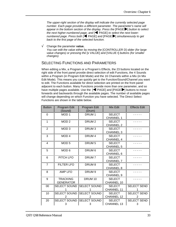The upper-right section of the display will indicate the currently selected page number. Each page provides a different parameter. The parameter's name will appear in the bottom section of the display. Press the [PAGE  $\blacktriangleright$ ] button to select the next higher-numbered page, and [ PAGE] to select the next lowernumbered page. Press both [ $\blacksquare$  PAGE] and [PAGE  $\blacksquare$ ] simultaneously to get back to the first page of the selected function.

#### √ Change the parameter **value.**

You can edit the value either by moving the [CONTROLLER D] slider (for large value changes) or pressing the [s VALUE] and [VALUE t] buttons (for smaller changes).

#### SELECTING FUNCTIONS AND PARAMETERS

When editing a Mix, a Program or a Program's Effects, the 23 buttons located on the right side of the front panel provide direct selection of edit Functions, the 4 Sounds within a Program (in Program Edit Mode) and the 16 Channels within a Mix (in Mix Edit Mode). This means you can quickly get to the Function/Sound/Channel you want to edit. The Functions available for direct selection are printed on the front panel adjacent to each button. Many Functions provide more than one parameter, and so have multiple pages available. Use the [<sup>4</sup> PAGE] and [PAGE<sup>1</sup>] buttons to move forwards and backwards through the available pages. The number of available pages will change depending on which Function you have selected. The Direct Select Functions are shown in the table below.

| <b>Button</b>  | Program Edit<br>(Sound)             | Program Edit<br>(Drum)   | Mix Edit                           | <b>Effects Edit</b>     |
|----------------|-------------------------------------|--------------------------|------------------------------------|-------------------------|
| $\overline{0}$ | MOD <sub>1</sub>                    | DRUM <sub>1</sub>        | <b>SELECT</b><br><b>CHANNEL 1</b>  |                         |
| 1              | MOD <sub>2</sub>                    | DRUM <sub>2</sub>        | <b>SELECT</b><br><b>CHANNEL 2</b>  |                         |
| $\overline{2}$ | MOD <sub>3</sub>                    | DRUM <sub>3</sub>        | <b>SELECT</b><br><b>CHANNEL 3</b>  |                         |
| 3              | MOD <sub>4</sub>                    | DRUM <sub>4</sub>        | <b>SELECT</b><br><b>CHANNEL 4</b>  |                         |
| 4              | MOD <sub>5</sub>                    | DRUM <sub>5</sub>        | <b>SELECT</b><br><b>CHANNEL 5</b>  |                         |
| 5              | MOD <sub>6</sub>                    | DRUM <sub>6</sub>        | <b>SELECT</b><br><b>CHANNEL 6</b>  |                         |
| 6              | PITCH LFO                           | DRUM <sub>7</sub>        | <b>SELECT</b><br><b>CHANNEL 7</b>  |                         |
| $\overline{7}$ | <b>FILTER LFO</b>                   | DRUM <sub>8</sub>        | <b>SELECT</b><br><b>CHANNEL 8</b>  |                         |
| 8              | <b>AMP LFO</b>                      | DRUM <sub>9</sub>        | <b>SELECT</b><br><b>CHANNEL 9</b>  |                         |
| 9              | <b>TRACKING</b><br><b>GENERATOR</b> | DRUM 10                  | <b>SELECT</b><br><b>CHANNEL 10</b> |                         |
| 00             | <b>SELECT SOUND</b>                 | <b>SELECT SOUND</b>      | <b>SELECT</b><br><b>CHANNEL 11</b> | <b>SELECT SEND</b><br>1 |
| 10             | <b>SELECT SOUND</b>                 | <b>SELECT SOUND</b>      | <b>SELECT</b><br><b>CHANNEL 12</b> | <b>SELECT SEND</b>      |
| 20             | <b>SELECT SOUND</b><br>3            | <b>SELECT SOUND</b><br>3 | <b>SELECT</b><br><b>CHANNEL 13</b> | <b>SELECT SEND</b><br>3 |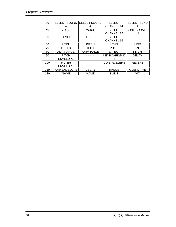| 30  | SELECT SOUND    | <b>SELECT SOUND</b> | <b>SELECT</b>      | <b>SELECT SEND</b>  |
|-----|-----------------|---------------------|--------------------|---------------------|
|     | 4               | 4                   | <b>CHANNEL 14</b>  |                     |
| 40  | <b>VOICE</b>    | <b>VOICE</b>        | <b>SELECT</b>      | <b>CONFIGURATIO</b> |
|     |                 |                     | <b>CHANNEL 15</b>  | N                   |
| 50  | LEVEL           | <b>LEVEL</b>        | <b>SELECT</b>      | EQ                  |
|     |                 |                     | <b>CHANNEL 16</b>  |                     |
| 60  | <b>PITCH</b>    | <b>PITCH</b>        | LEVEL              | <b>MOD</b>          |
| 70  | <b>FILTER</b>   | <b>FILTER</b>       | <b>PITCH</b>       | LEZLIE              |
| 80  | AMP/RANGE       | AMP/RANGE           | <b>EFFECT</b>      | <b>PITCH</b>        |
| 90  | <b>PITCH</b>    |                     | KEYBOARD/MID       | <b>DELAY</b>        |
|     | <b>ENVELOPE</b> |                     |                    |                     |
| 100 | <b>FILTER</b>   |                     | <b>CONTROLLERS</b> | <b>REVERB</b>       |
|     | <b>ENVELOPE</b> |                     |                    |                     |
| 110 | AMP ENVELOPE    | <b>DECAY</b>        | <b>RANGE</b>       | <b>OVERDRIVE</b>    |
| 120 | <b>NAME</b>     | <b>NAME</b>         | <b>NAME</b>        | <b>MIX</b>          |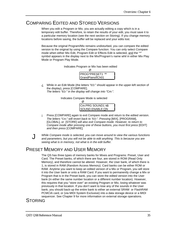# COMPARING EDITED AND STORED VERSIONS

When you edit a Program or Mix, you are actually editing a copy which is in a temporary edit buffer. Therefore, to retain the results of your edit, you must save it to a particular memory location (see the next section on Storing). If you change memory locations before saving, the buffer will be replaced and your edits lost.

Because the original Program/Mix remains undisturbed, you can compare the edited version to the original by using the Compare function. You can only select Compare mode when either Mix Edit, Program Edit or Effects Edit is selected, and the "\*" symbol appears in the display next to the Mix/Program's name whil in either Mix Play Mode or Program Play Mode.

Indicates Program or Mix has been edited

| n                          |  |
|----------------------------|--|
| PROG*PRESET1 <sup>00</sup> |  |
| GrandPianollCh01           |  |

¿ While in an Edit Mode (the letters "ED:" should appear in the upper-left section of the display), press [COMPARE]. The letters "ED:" in the display will change into "Cm:".

Indicates Compare Mode is selected

| Ø                     |  |
|-----------------------|--|
| Cm:PRG SOUND1 $\pi$ å |  |
| SOUND ENABLE:ON       |  |

¡ Press [COMPARE] again to exit Compare mode and return to the edited version. The letters "Cm:" will revert back to "ED:". Pressing [MIX], [PROGRAM], [GLOBAL], or [STORE] will also exit Compare mode. However, to return to Compare mode after pressing one of these buttons, you must first press [EDIT] and then press [COMPARE].

J

While Compare mode is selected, you can move around to view the various functions and parameters, but you will not be able to edit anything. This is because you are seeing what is in memory, not what is in the edit buffer.

# PRESET MEMORY AND USER MEMORY

The QS has three types of memory banks for Mixes and Programs: Preset, User and Card. The Preset banks, of which there are four, are stored in ROM (Read Only Memory), and therefore cannot be altered. However, the User bank, of which there is 1, is stored in RAM (Random Access Memory). Card banks can be either ROM or RAM. Anytime you want to keep an edited version of a Mix or Program, you will store it into the User bank or onto a RAM Card. If you want to permanently change a Mix or Program that is in the Preset bank, you can store the edited version into the User bank (in either the same number location or a different number location). However, this requires that you "store over" an existing Program or Mix, losing whatever was previously in that location. If you don't want to lose any of the sounds in the User bank, you should back-up the entire bank to either an external SRAM or FlashRAM PCMCIA card, or (via MIDI System Exclusive) into a data storage device or a MIDI sequencer. See Chapter 9 for more information on external storage operations.

## STORING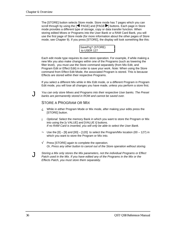J

The [STORE] button selects Store mode. Store mode has 7 pages which you can scroll through by using the [ PAGE] and [PAGE | ] buttons. Each page in Store mode provides a different type of storage, copy or data transfer function. When storing edited Mixes or Programs into the User Bank or a RAM Card Bank, you will use the first page of Store mode (for more information about the other pages of Store mode, see Chapter 9). If you press [STORE], the display will look something like this:

| SavePrg? (STORE) |  |
|------------------|--|
| to USER 127      |  |

Each edit mode type requires its own store operation. For example, if while making a new Mix you also make changes within one of the Programs (such as lowering the filter level), you must use the Store command separately (from Mix Edit, and Program Edit or Effect Edit) in order to save your work. Note: When using the Store command from Effect Edit Mode, the associated Program is stored. This is because Effects are stored within their respective Programs.

If you select a different Mix while in Mix Edit mode, or a different Program in Program Edit mode, you will lose all changes you have made, unless you perform a store first.

You can only store Mixes and Programs into their respective User banks. The Preset banks are permanently stored in ROM and cannot be saved over.

#### STORE A PROGRAM OR MIX

- ¿ While in either Program Mode or Mix mode, after making your edits press the [STORE] button.
- **i** Optional: Select the memory Bank in which you want to store the Program or Mix into using the [s VALUE] and [VALUE t] buttons. If no RAM Card is inserted, you will only be able to select the User Bank.
- Use the  $[0] [9]$  and  $[00] [120]$  to select the Program/Mix location  $(00 127)$  in which you want to store the Program or Mix into.
- $\sqrt{\phantom{a}}$  Press [STORE] again to complete the operation. Or, Press any other button to cancel out of the Store operation without storing.
- J Storing a Mix only stores the Mix parameters, not the individual Programs or Effect Patch used in the Mix. If you have edited any of the Programs in the Mix or the Effects Patch, you must store them separately.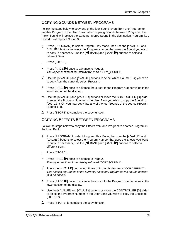## COPYING SOUNDS BETWEEN PROGRAMS

Follow the steps below to copy one of the four Sound layers from one Program to another Program in the User Bank. When copying Sounds between Programs, the "new" Sound will replace the same numbered Sound in the destination Program, i.e., Sound 3 will replace Sound 3.

- ¿ Press [PROGRAM] to select Program Play Mode, then use the [s VALUE] and [VALUE t] buttons to select the Program Number that uses the Sound you want to copy. If necessary, use the [ BANK] and [BANK ] buttons to select a different Bank.
- ¡ Press [STORE].
- ¬ Press [PAGE ] once to advance to Page 2. The upper section of the display will read "COPY SOUND 1".
- $\sqrt{ }$  Use the [s VALUE] and [t VALUE] buttons to select which Sound (1–4) you wish to copy from the currently select Program.
- $f$  Press [PAGE  $\blacktriangleright$ ] once to advance the cursor to the Program number value in the lower section of the display.
- ≈ Use the [s VALUE] and [VALUE t] buttons or move the CONTROLLER [D] slider to select the Program Number in the User Bank you wish to copy the Sound to (000–127). Or, you may copy into any of the four Sounds of the source Program (Sound 1-4).
- $\Delta$  Press [STORE] to complete the copy function.

### COPYING EFFECTS BETWEEN PROGRAMS

Follow the steps below to copy the Effects from one Program to another Program in the User Bank.

- ¿ Press [PROGRAM] to select Program Play Mode, then use the [s VALUE] and [VALUE t] buttons to select the Program Number that uses the Effects you want to copy. If necessary, use the [ BANK] and [BANK ] buttons to select a different Bank.
- ¡ Press [STORE].
- ¬ Press [PAGE ] once to advance to Page 2. The upper section of the display will read "COPY SOUND 1".
- √ Press the [s VALUE] button four times until the display reads "COPY EFFECT". This selects the Effects of the currently selected Program as the source of what is to be copied.
- $f$  Press [PAGE $\blacksquare$ ] once to advance the cursor to the Program number value in the lower section of the display.
- ≈ Use the [s VALUE] and [VALUE t] buttons or move the CONTROLLER [D] slider to select the Program Number in the User Bank you wish to copy the Effects to (000–127).
- $\Delta$  Press [STORE] to complete the copy function.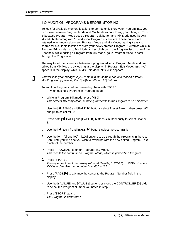J

# TO AUDITION PROGRAMS BEFORE STORING

To look for available memory locations to permanently store your Program into, you can move between Program Mode and Mix Mode without losing your changes. This is because Program Mode uses a Program edit buffer, and Mix Mode uses its own Mix edit buffer along with 16 additional Program edit buffers. These buffers are retained when moving between Program Mode and Mix Mode, making it easy to search for a suitable location to store your newly created Program. Example: While in Program Edit mode, go to Mix Mode and scroll through the Program list on one of the Channels; while editing a Program from Mix Mode, go to Program Mode to scroll through the Program list.

The way to tell the difference between a program edited in Program Mode and one edited from Mix Mode is by looking at the display: in Program Edit Mode, "ED:PRG" appears in the display, while in Mix Edit Mode, "ED:MIX" appears.

You will lose your changes if you remain in the same mode and recall a different Mix/Program by pressing the [0] – [9] or [00] – [120] buttons.

To audition Programs before overwriting them with STORE …when editing a Program in Program Mode:

- ¿ While in Program Edit mode, press [MIX]. This selects Mix Play Mode, retaining your edits to the Program in an edit buffer.
- ¡ Use the [ BANK] and [BANK ] buttons select Preset Bank 1; then press [90] and [9] to select Mix 99.
- ¬ Press both [ PAGE] and [PAGE ] buttons simultaneously to select Channel 1.
- Use the [ BANK] and [BANK ] buttons select the User Bank.
- f Use the  $[0] [9]$  and  $[00] [120]$  buttons to go through the Programs in the User Bank until you find one you wish to overwrite with the new edited Program. Take a note of the number.
- ≈ Press [PROGRAM] to enter Program Play Mode. This recalls the edit buffer in Program Mode, which is your edited Program.
- ∆ Press [STORE]. The upper section of the display will read "SavePrg? (STORE) to USERxxx" where XXX is a User Program number from 000 – 127.
- « Press [PAGE ] to advance the cursor to the Program Number field in the display.
- » Use the [s VALUE] and [VALUE t] buttons or move the CONTROLLER [D] slider to select the Program Number you noted in step 5.
- … Press [STORE] again. The Program is now stored.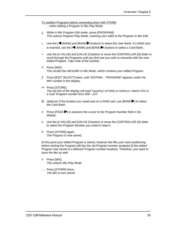- To audition Programs before overwriting them with STORE …when editing a Program in Mix Play Mode:
- ¿ While in Mix Program Edit mode, press [PROGRAM]. This selects Program Play Mode, retaining your edits to the Program in Mix Edit.
- ¡ Use the [ BANK] and [BANK ] buttons to select the User Bank. If a RAM card is inserted, use the [ BANK] and [BANK ] buttons to select a Card Bank.
- ¬ Use the [s VALUE] and [VALUE t] buttons or move the CONTROLLER [D] slider to scroll through the Programs until you find one you wish to overwrite with the new edited Program. Take note of the number.
- √ Press [MIX]. This recalls the edit buffer in Mix Mode, which contains your edited Program.
- ƒ Press [EDIT SELECT] twice, until "EDITING: PROGRAM" appears under the MIX number in the display.
- ≈ Press [STORE]. The top line of the display will read "SavePrg? (STORE) to USERxxx" where XXX is a User Program number from 000—127.
- $\Delta$  Optional: If the location you noted was on a RAM card, use [BANK $\blacktriangleright$ ] to select the Card Bank.
- « Press [PAGE ] to advance the cursor to the Program Number field in the display.
- » Use the [s VALUE] and [VALUE t] buttons or move the CONTROLLER [D] slider to select the Program Number you noted in step 5.
- « Press [STORE] again. The Program is now stored.

At this point your edited Program is stored, however the Mix your were auditioning before storing the Program still has the old Program number assigned (if the edited Program was saved to a different Program number location). Therefore, you need to store the Mix as well.

- » Press [MIX]. This selects Mix Play Mode.
- … Press [STORE] twice. The Mix is now stored.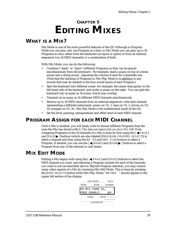# **CHAPTER 5 EDITING MIXES**

# **WHAT IS A MIX?**

Mix Mode is one of the most powerful features of the QS. Although in Program Mode you can play only one Program at a time, in Mix Mode you can play up to 16 Programs at once, either from the keyboard (as layers or splits) or from an external sequencer (via 16 MIDI channels) or a combination of both.

With Mix Mode, you can do the following:

- Combine ("stack" or "layer") different Programs so they can be played simultaneously from the keyboard. For example, stack a piano on top of a brass sound and a string sound , adjusting the volume of each for a desirable mix. (Note that the stacking of Programs in Mix Play Mode is in addition to any sounds that may be stacked in the four sound layers of each Program.)
- Split the keyboard into different zones--for example, the classic bass guitar on the left-hand side of the keyboard, and synth or piano on the right. You can split the keyboard into as many as 16 zones, which may overlap.
- Transmit on as many as 16 different MIDI channels simultaneously.
- Receive up to 16 MIDI channels from an external sequencer, with each channel representing a different instrument--piano on Ch. 1, bass on Ch. 2, drums on Ch. 10, trumpet on Ch. 16. Mix Play Mode is the multitimbral mode of the QS.
- Set the level, panning, transpositions and effect send of each MIDI channel.

# **PROGRAM ASSIGN FOR EACH MIDI CHANNEL**

Once a Mix is recalled, you will likely want to choose different Programs than the ones the Mix has stored with it. *This does not require that you be in Mix Edit Mode.* Assigning Programs to the 16 channels of a Mix is done by first using the  $\blacksquare$  PAGE] and [PAGE  $\blacktriangleright$  ] buttons (which are also labeled [PROGRAM CHANNEL SELECT]) to select a channel and then using the  $[0]$  –  $[9]$  and  $[00]$  –  $[120]$  buttons to select a Program. If desired, you can use the [  $\blacktriangleleft$  BANK] and [BANK  $\blacktriangleright$  ] buttons to select a Program from any of the internal or card banks.

# **MIX EDIT MODE**

Editing a Mix begins with using the  $\Box$  PAGE] and [PAGE] buttons to select the MIDI channel you want, and selecting a Program number for each of the channels you want to use (as described above). Beyond Program selection, you may control many other aspects of a Mix by accessing Mix Edit Mode. This is done by pressing the [EDIT SELECT] button while Mix Play Mode; "ED:MIX " should appear in the upper left section of the display:

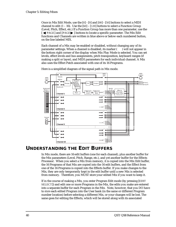Once in Mix Edit Mode, use the [0] - [9] and [00] - [50] buttons to select a MIDI channel to edit  $(1 - 16)$ . Use the  $[60] - [120]$  buttons to select a Function Group (Level, Pitch, Effect, etc.) If a Function Group has more than one parameter, use the [< PAGE] and [PAGE > ] buttons to locate a specific parameter. The Mix Edit functions and Channels are written in blue above or below each numbered button, on the line labeled MIX.

Each channel of a Mix may be enabled or disabled, without changing any of its parameter settings. When a channel is disabled, its marker  $($  ) will not appear in the bottom right corner of the display when Mix Play Mode is selected. You can set levels, effect levels and bus assignments, pitch transposition, keyboard ranges (if making a split or layer), and MIDI parameters for each individual channel. A Mix also uses the Effect Patch associated with one of its 16 Programs.

Here is a simplified diagram of the signal path in Mix mode.



# **UNDERSTANDING THE EDIT BUFFERS**

In Mix mode, there are 16 edit buffers (one for each channel), plus another buffer for the Mix parameters (Level, Pitch, Range, etc.), and yet another buffer for the Effects Processor. When you select a Mix from memory, it is copied into the Mix Edit buffer, the 16 Programs of that Mix are copied into the 16 edit buffers, and the Effect from one of the 16 Programs is copied into the Effects buffer. If you make changes to the Mix, they are only temporarily kept in the edit buffer until a new Mix is selected from memory. Therefore, you MUST store your edited Mix if you want to keep it.

If in the course of making a Mix, you enter Program Edit mode (by pressing [EDIT SELECT]) and edit one or more Programs in the Mix, the edits you make are entered into a separate buffer for each Program in the Mix. Note, however, that you DO have to *store* each edited Program into the User bank (in the same or different Program number location) before selecting a different Mix, or your changes will be lost. The same goes for editing the Effects, which will be stored along with its associated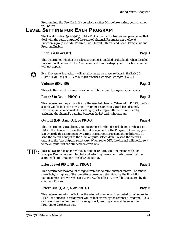Program into the User Bank. If you select another Mix before storing, your changes will be lost.

# **LEVEL SETTING FOR EACH PROGRAM**

The Level function (press [60]) of Mix Edit is used to control several parameters that deal with the audio output of the selected channel. Parameters in the Level Function's group include: Volume, Pan, Output, Effects Send Level, Effects Bus and Program Enable.

### **Enable (On or Off)** Page 1

This determines whether the selected channel is enabled or disabled. When disabled, no sound will be heard. The Channel indicator in the display for a disabled channel will not appear.

*Even if a channel is enabled, it will not play unless the proper settings in the RANGE (LOW/HIGH) and MIDI/KEYBOARD functions are made (see pages 38 & 40).*

### **Volume (00 to 99) Page 2**

This sets the overall volume for a channel. Higher numbers give higher levels.

### **Pan (<3 to 3>, or PROG ) Page 3**

This determines the pan position of the selected channel. When set to PROG, the Pan setting will be that stored with the Program assigned to the selected channel. However, you can override this setting by selecting a different value, thereby assigning the channel's panning between the left and right outputs.

## **Output (L/R, Aux, Off, or PROG) Page 4**

This determines the audio output assignment for the selected channel. When set to PROG, the channel will use the Output assignment of the Program. However, you can override this assignment by setting this parameter to something different. To send the sound's output to the Main outputs, select Main. To send the sound's output to the Aux outputs, select Aux. When set to OFF, the channel will not be sent to the outputs (but can still feed an effect bus).

 $\prod \prod$  : To send a sound to an individual output, use Output in conjunction with Pan.<br> $\prod \prod$  : Example: Panning a sound full left and selecting the Aux outputs means that the *Example:* Panning a sound full left and selecting the Aux outputs means that the sound will appear at only the left Aux output.

## **Effect Level (00 to 99, or PROG) Page 5**

This determines the amount of signal from the selected channel that will be sent to the effects, using one of the four effects buses as determined by the Effect Bus parameter (see below). When set to PROG, the effect level will be that stored by the channel's Program.

### **Effect Bus (1, 2, 3, 4, or PROG) Page 6**

This determines which effect bus the selected channel will be routed to. When set to PROG, the effect bus assignment will be that stored by the channel's Program. 1, 2, 3 or 4 overrides the Program's bus assignment, sending all sound layers of the Program to the chosen bus.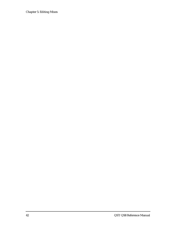Chapter 5: Editing Mixes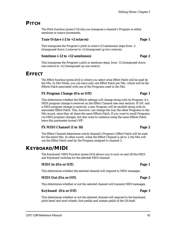# **PITCH**

The Pitch function (press [70]) lets you transpose a channel's Program in either semitone or octave increments.

### Tune Octave  $(-2 \text{ to } +2 \text{ octaves})$  Page 1

This transposes the Program's pitch in octave (12 semitones) steps from -2 (transposed down 2 octaves) to +2 (transposed up two octaves).

### **Semitone (-12 to +12 semitones) Page 2**

This transposes the Program's pitch in semitone steps, from -12 (transposed down one octave) to +12 (transposed up one octave).

# **EFFECT**

The Effect function (press [80]) is where you select what Effect Patch will be used by the Mix. In Mix Mode, you can have only one Effect Patch per Mix, which will be the Effects Patch associated with one of the Programs used in the Mix.

### **FX Program Change (On or Off)** Page 1

This determines whether the Effects settings will change along with its Program, if a MIDI program change is received on the Effect Channel (see next section). If ON, and a MIDI program change is received, a new Program will be recalled along with its associated Effect Patch. This, however, can change the way the other Programs in the Mix sound, since they all share the same Effects Patch. If you want to recall Programs via MIDI program changes, but also want to continue using the same Effects Patch, leave this parameter turned OFF.

### **FX MIDI Channel (1 to 16) Page 2**

The Effect Channel determines which channel's Program's Effect Patch will be used for the entire Mix. In other words, when the Effect Channel is set to 3, the Mix will use the Effect Patch used by the Program assigned to channel 3.

# **KEYBOARD/MIDI**

The Keyboard/MIDI Function (press [90]) allows you to turn on and off the MIDI and Keyboard switches for the selected MIDI channel.

## **MIDI In (On or Off)** Page 1

This determines whether the selected channel will respond to MIDI messages.

### **MIDI Out (On or Off) Page 2**

This determines whether or not the selected channel will transmit MIDI messages.

### **Keyboard (On or Off) Page 3**

This determines whether or not the selected channel will respond to the keyboard, pitch-bend and mod wheels, foot pedals and sustain pedal of the QS itself.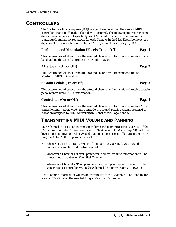# **CONTROLLERS**

The Controllers function (press [100]) lets you turn on and off the various MIDI controllers that can effect the selected MIDI channel. The following four parameters determine whether or not specific types of MIDI information will be received or transmitted, and are set separately for each Channel in the Mix. These, however, are dependent on how each Channel has its MIDI parameters set (see page 38).

### **Pitch-bend and Modulation Wheels (On or Off) Page 1**

This determines whether or not the selected channel will transmit and receive pitchbend and modulation (controller 1) MIDI information.

### **Aftertouch (On or Off) Page 2**

This determines whether or not the selected channel will transmit and receive aftertouch MIDI information.

### **Sustain Pedals (On or Off) Page 3**

This determines whether or not the selected channel will transmit and receive sustain pedal (controller 64) MIDI information.

### **Controllers (On or Off) Page 4**

This determines whether or not the selected channel will transmit and receive MIDI controller information which the Controllers A–D and Pedals 1 & 2 are assigned to (these are assigned to MIDI controllers in Global Mode, Page 3 and 5).

# **TRANSMITTING MIDI VOLUME AND PANNING**

Each Channel in a Mix can transmit its volume and panning settings via MIDI, if the "MIDI Program Select" parameter is set to ON (Global Edit Mode, Page 14). Volume level is sent as MIDI controller #7, and panning is sent as controller #10. If the "MIDI Program Select" Global parameter is set to ON:

- whenever a Mix is recalled (via the front panel or via MIDI), volume and panning information will be transmitted;
- whenever a Channel's "Level" parameter is edited, volume information will be transmitted as controller #7 on that Channel;
- whenever a Channel's "Pan" parameter is edited, panning information will be transmitted as controller #10 on that Channel (except when set to "PROG").

*Note:* Panning information will not be transmitted if the Channel's "Pan" parameter is set to PROG (using the selected Program's stored Pan setting).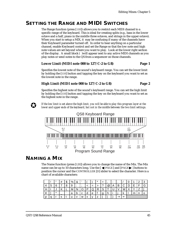# **SETTING THE RANGE AND MIDI SWITCHES**

The Range function (press [110]) allows you to restrict each MIDI channel to a specific range of the keyboard. This is ideal for creating splits (e.g., bass in the lower octave and a half, piano in the middle three octaves, and strings in the upper octave). When you start to setup a MIX, it may be confusing if many of the channels have their Keyboard parameter turned off. In order to hear anything on a particular channel, enable Keyboard control and set the Range so that the low note and high note values are set beyond where you want to play. Look at the lower right section of the display. A small block ( )will appear next to any active MIDI channels as you play notes or send notes to the QS from a sequencer on those channels.

### **Lower Limit (MIDI note 000 to 127/ C-2 to G8) Page 1**

Specifies the lowest note of the sound's keyboard range. You can set the lower limit by holding the [110] button and tapping the key on the keyboard you want to set as the lowest note in the range.

### **High Limit (MIDI note 000 to 127/ C-2 to G8) Page 2**

Specifies the highest note of the sound's keyboard range. You can set the high limit by holding the [110] button and tapping the key on the keyboard you want to set as the highest note in the range.

*If the low limit is set above the high limit, you will be able to play this program layer at the lower and upper ends of the keyboard, but not in the middle between the two limit settings.*



# **NAMING A MIX**

✪

The Name function (press [120]) allows you to change the name of the Mix. The Mix name can be up to 10 characters long. Use the  $[$   $\blacklozenge$  PAGE] and [PAGE  $\blacktriangleright$  ] buttons to position the cursor and the CONTROLLER [D] slider to select the character. Here is a chart of available characters:

|             |        | $\mathbf{u}$ | #<br>$^{\rm \pi}$  | S | % | &              |   |   |   | $\star$ |              |                           | - |   |   |              |   | ⌒ | ⌒ |
|-------------|--------|--------------|--------------------|---|---|----------------|---|---|---|---------|--------------|---------------------------|---|---|---|--------------|---|---|---|
|             | г<br>ັ | 6            | ⇁                  | 8 | 9 | $\blacksquare$ |   |   |   |         | ົ            | $^\text{\textregistered}$ | Α | В | ⌒ |              |   | ౼ | ⌒ |
|             |        |              |                    |   | M | <b>N</b>       |   | D | Q | R       | $\mathbf{C}$ |                           |   |   |   | $\checkmark$ |   |   |   |
| $\mathbf v$ |        | ∧            |                    |   | a | b              | с | d | e |         |              |                           |   |   |   |              | m |   |   |
| n           |        |              | $\mathbf{\hat{c}}$ |   | u |                | w | x |   |         |              |                           |   |   |   |              |   |   |   |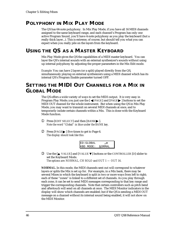# **POLYPHONY IN MIX PLAY MODE**

The QS has 64-note polyphony. In Mix Play Mode, if you have all 16 MIDI channels assigned to the same keyboard range, and each channel's Program has only one active Program Sound, you'll have 4-note polyphony as you play the keyboard (but a really thick layer...). This is extreme, of course, but should tell you what you can expect when you really pile on the layers from the keyboard.

# **USING THE QS AS A MASTER KEYBOARD**

Mix Play Mode gives the QS the capabilities of a MIDI master keyboard. You can layer the QS's internal sounds with an external synthesizer's sounds without using up internal polyphony by adjusting the proper parameters in the Mix Edit mode.

*Example:* You can have 2 layers (or a split) played directly from the QS, simultaneously playing on external synthesizers using a MIDI channel which has its internal QS's Program Enable parameter turned OFF.

# **SETTING THE MIDI OUT CHANNELS FOR A MIX IN GLOBAL MODE**

The QS offers a wide variety of ways to set the MIDI output. It is very easy in Program Play Mode; you just use the [ $\blacktriangleleft$  PAGE] and [PAGE $\blacktriangleright$ ] buttons to set the MIDI OUT channel for the whole instrument. But when using the QS in Mix Play Mode, you may want to transmit on several MIDI channels at once, and to temporarily isolate certain channels within a Mix. This is done with the Keyboard Mode function.

- ➀ Press [EDIT SELECT] and then [BANK ▲ ]. *Note the word "Global" in blue under the BANK key.*
- ➁ Press [PAGE ▲ ] five times to get to Page 6. *The display should look like this:*

| ED: GLOBAL | "œ     |  |  |  |
|------------|--------|--|--|--|
| KBD MODE:  | NORMAL |  |  |  |

➂ Use the [▲ VALUE] and [VALUE ▼] buttons or the CONTROLLER [D] slider to set the Keyboard Mode. *The options are: NORMAL, CH SOLO and OUT 1 — OUT 16.*

**NORMAL.** In this mode, the MIDI channels sent out will correspond to whatever layers or splits the Mix is set up for. For example, in a Mix bank, there may be several Mixes in which the keyboard is split in two or more ways from left to right; each of these "zones" is linked to a different set of channels. As you play through each zone, it can be set to send MIDI messages corresponding to that key range and trigger the corresponding channels. Note that certain controllers such as pitch bend and aftertouch will send on all channels at once. The MIDI Monitor indicators in the display will show which channels are enabled; but if the QS is sending a MIDI OUT message on a channel without its internal sound being enabled, it will not show on the MIDI Monitor.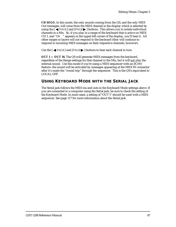**CH SOLO.** In this mode, the only sounds coming from the QS, and the only MIDI Out messages, will come from the MIDI channel in the display which is selected by using the [< PAGE] and [PAGE > ] buttons. This allows you to isolate individual channels in a Mix. So, if you play in a range of the keyboard that is active on MIDI CH 1, and "CH " appears in the upper left corner of the display, you'll hear it. All other ranges or layers will not respond to the keyboard (they will continue to respond to incoming MIDI messages on their respective channels, however).

Use the [< PAGE] and [PAGE > ] buttons to hear each channel in turn.

**OUT 1 — OUT 16.** The QS will generate MIDI messages from the keyboard, regardless of the Range settings for that channel in the Mix, but it will not play the internal sound. Use this mode if you're using a MIDI sequencer with an ECHO feature--the sound will be activated by messages appearing at the MIDI IN connector after it's made the "round trip" through the sequencer. This is the QS's equivalent to LOCAL OFF.

# **USING KEYBOARD MODE WITH THE SERIAL JACK**

The Serial jack follows the MIDI ins and outs in the Keyboard Mode settings above. If you are connected to a computer using the Serial jack, be sure to check the setting of the Keyboard Mode. In most cases, a setting of "OUT 1" should be used with a MIDI sequencer. See page 117 for more information about the Serial jack.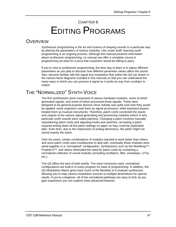# CHAPTER 6 EDITING PROGRAMS

# **OVERVIEW**

Synthesizer programming is the art and science of shaping sounds in a particular way by altering the parameters of various modules. Like music itself, learning synth programming is an ongoing process. Although this manual presents information about synthesizer programming, no manual can offer a complete course in programming (at least for a price that customers would be willing to pay!).

If you're new to synthesizer programming, the best way to learn is to adjust different parameters as you play to discover how different parameter values affect the sound. Also, become familiar with the signal and modulation flow within the QS (as shown in the various block diagrams included in this manual) so that you can understand the many ways in which you can process a signal as it works its way from oscillator to output.

# THE "NORMALIZED" SYNTH VOICE

The first synthesizers were comprised of various hardware modules, some of which generated signals, and some of which processed those signals. These were designed to be general-purpose devices since nobody was quite sure how they would be applied; some engineers used them as signal processors, while keyboard players treated them as musical instruments. Therefore, patch cords connected the inputs and outputs of the various signal generating and processing modules (which is why particular synth sounds were called patches). Changing a patch involved manually repositioning patch cords and adjusting knobs and switches; recreating a patch required writing down all the patch settings on paper so they could be duplicated later. Even then, due to the imprecision of analog electronics, the patch might not sound exactly the same.

Over the years, certain combinations of modules seemed to work better than others, and since patch cords were troublesome to deal with, eventually these modules were wired together in a "normalized" configuration. Synthesizers such as the MiniMoog™, Prophet-5™, and others eliminated the need for patch cords by containing a normalized collection of sound modules (including oscillators, filter, envelopes, LFOs, etc.).

The QS offers the best of both worlds. The most commonly-used, normalized configurations are built-in to every program for ease of programming. In addition, the QS Modulation Matrix gives back much of the flexibility of a modular synthesizer, allowing you to map various modulation sources to multiple destinations for special needs. If you're a beginner, all of the normalized pathways are easy to find; as you gain experience you can explore more advanced features.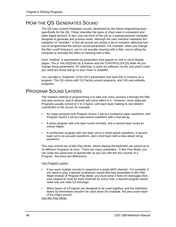# HOW THE QS GENERATES SOUND

The QS uses custom integrated circuits, developed by the Alesis engineering team specifically for the QS. These resemble the types of chips used in computers and other digital devices. In fact, you can think of the QS as a special-purpose computer designed to generate and process audio. Although the user interface maintains the metaphor of "modules," in fact all sounds are simply a set of numbers reflecting how you've programmed the various sound parameters. For example, when you change the filter cutoff frequency, you're not actually messing with a filter; you're telling the computer to simulate the effect of messing with a filter.

Each "module" is represented by parameters that appear on one or more display pages. The [s VALUE]/[VALUE t] buttons and the CONTROLLER [D] slider let you change these parameters. All "patching" is done via software, so the only patch cords you need are those that go to your mixer or amplifier.

You can take a "snapshot" of the QS's parameters and save this in memory as a program. The QS comes with 512 factory preset programs, and 128 user-editable programs.

# PROGRAM SOUND LAYERS

The simplest method of programming is to take one voice, process it through the filter and amp sections, and (if desired) add some effect to it. However, more elaborate Programs usually consist of 2 to 4 layers, with each layer making its own distinct contribution to the sound, for example:

- An organ program with Program Sound 1 set to a sustained organ waveform, and Program Sound 2 set to a percussion waveform with a fast decay.
- A piano program with one layer tuned normally, and a second layer tuned an octave higher.
- A synthesizer program with one layer set to a sharp attack waveform, a second layer set to an acoustic waveform, and a third layer with a slow-attack string waveform.

This may remind you of Mix Play Mode, where playing the keyboard can sound up to 16 different Programs at once. There are many similarities. In Mix Play Mode, you can make the same kind of layered Mix as you can with the four sounds of a Program. But there are differences:

### Use Program Layers:

- If you want multiple sounds to respond to a single MIDI channel. For example, if you need to play a layered synthesizer sound that was assembled in Mix Play Mode instead of Program Play Mode, you must send 3 Note On messages from your sequencer (one for each channel) for every note; a layered program would need only one Note On message.
- When layers of a Program are designed to be used together, and the individual layers by themselves wouldn't be used alone (for example, the percussion layer of the organ sound).

Use Mix Play Mode: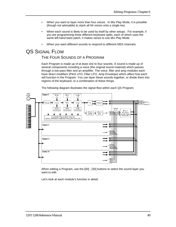- When you want to layer more than four voices. In Mix Play Mode, it is possible (though not advisable) to stack all 64 voices onto a single key.
- When each sound is likely to be used by itself by other setups. For example, if you are programming three different keyboard splits, each of which uses the same left-hand bass patch, it makes sense to use Mix Play Mode.
- When you want different sounds to respond to different MIDI channels.

# QS SIGNAL FLOW

### THE FOUR SOUNDS OF A PROGRAM

Each Program is made up of at least one to four sounds. A sound is made up of several components including a voice (the original sound material) which passes through a low-pass filter and an amplifier. The voice, filter and amp modules each have direct modifiers (Pitch LFO, Filter LFO, Amp Envelope) which affect how each will function in the Program. You can layer these sounds together, or divide them into regions of the keyboard, or a combination of these things.



The following diagram illustrates the signal flow within each QS Program.

When editing a Program, use the [00] - [30] buttons to select the sound layer you want to edit.

Let's look at each module's function in detail.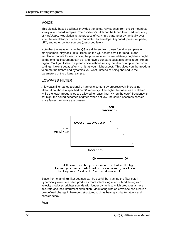### **VOICE**

This digitally-based oscillator provides the actual raw sounds from the 16 megabyte library of on-board samples. The oscillator's pitch can be tuned to a fixed frequency or modulated. Modulation is the process of varying a parameter dynamically over time; the oscillator pitch can be modulated by envelope, keyboard, pressure, pedal, LFO, and other control sources (described later).

Note that the waveforms in the QS are different from those found in samplers or many sample-playback units. Because the QS has its own filter module and amplitude module for each voice, the pure waveforms are relatively bright--as bright as the original instrument can be--and have a constant sustaining amplitude, like an organ. So if you listen to a piano voice without setting the filter or amp to the correct settings, it won't decay after it is hit, as you might expect. This gives you the freedom to create the timbre and dynamics you want, instead of being chained to the parameters of the original sample.

## LOWPASS FILTER

A lowpass filter varies a signal's harmonic content by progressively increasing attenuation above a specified cutoff frequency. The higher frequencies are filtered, while the lower frequencies are allowed to "pass-thru." When the cutoff frequency is set high, the sound becomes brighter; when set low, the sound becomes bassier since fewer harmonics are present.



The cutoff parameter changes the frequency at which the highfrequency response starts to roll off. Lower values give a lower cutoff frequency. A value of 00 will cut all sound off.

Static (non-changing) filter settings can be useful, but varying the filter cutoff dynamically over time often produces more interesting effects. Modulating with velocity produces brighter sounds with louder dynamics, which produces a more accurate acoustic instrument simulation. Modulating with an envelope can create a pre-defined change in harmonic structure, such as having a brighter attack and bassier decay.

AMP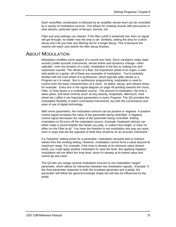Each voice/filter combination is followed by an amplifier whose level can be controlled by a variety of modulation sources. This allows for creating sounds with percussive or slow attacks, particular types of decays, tremolo, etc.

Filter and amp settings can interact. If the filter cutoff is extremely low, then no signal will get through, no matter how the amp is set. Similarly, setting the amp for a short decay won't let you hear any filtering set for a longer decay. This is because the volume will reach zero before the filter decay finishes.

# ABOUT MODULATION

Modulation modifies some aspect of a sound over time. Since oscillators make static sounds (unlike acoustic instruments, whose timbre and dynamics change—often radically—over the duration of a note), modulation is the key to making rich and expressive sounds. The vibrato of a flute, the expression pedal of an organ, a wahwah pedal on a guitar--all of these are examples of modulation. You're probably familiar with the mod wheel of a synthesizer, which typically adds vibrato to a Program as it is raised. But in synthesizer programming, modulation is used to control even the basic characteristics of a voice: its attack, decay, and release times, for example. Every box in the signal diagram on page 49 pointing towards the Voice, Filter, or Amp boxes is a *modulation source*. The amount of modulation, the time it takes place, and what controls (such as key velocity, footpedals, aftertouch, mod wheel etc.) affect it are important parameters in every Program. The QS provides the modulation flexibility of patch cord-based instruments, but with the convenience and ease of use of digital technology.

With some parameters, the modulation amount can be positive or negative. A positive control signal increases the value of the parameter being controlled. A negative control signal decreases the value of the parameter being controlled. Setting modulation to 00 turns off the modulation source. Example: Keyboard velocity can either make a sound brighter the harder you play, or make it less bright, or have no effect on the Filter at all. You have the freedom to set modulation any way you want, even in ways that are the opposite of what they would be on an acoustic instrument.

If a "baseline" setting exists for a parameter, modulation amounts add or subtract values from the existing setting. However, modulation cannot force a value beyond its maximum range. For example, if the Amp is already at its minimum value (lowest level), you could apply positive modulation to raise the level. But applying negative modulation will not affect the Amp level, since it's already at its lowest value and cannot go any lower.

The QS lets you assign several modulation sources to one modulation "target" parameter, which allows for interaction between two modulation signals. Example: If the Amp parameter responds to both the envelope generator and a pedal, the parameter will follow the general envelope shape but will also be influenced by the pedal.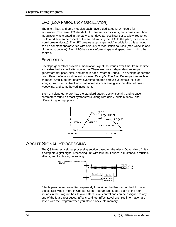# LFO (LOW FREQUENCY OSCILLATOR)

The pitch, filter, and amp modules each have a dedicated LFO module for modulation. The term LFO stands for low frequency oscillator, and comes from how modulation was created in the early synth days (an oscillator set to a low frequency could modulate some aspect of the sound; routing the LFO to the pitch, for example, would create vibrato). The LFO creates a cyclic (periodic) modulation; this amount can be constant and/or varied with a variety of modulation sources (mod wheel is one of the most popular). Each LFO has a waveform shape and speed, along with other controls.

## ENVELOPES

Envelope generators provide a modulation signal that varies over time, from the time you strike the key until after you let go. There are three independent envelope generators (for pitch, filter, and amp) in each Program Sound. An envelope generator has different effects on different modules. Example: The Amp Envelope creates level changes. Amplitude that decays over time creates percussive effects (plucked strings, drums, etc.). Amplitude that increases over time gives the effect of brass, woodwind, and some bowed instruments.

Each envelope generator has the standard attack, decay, sustain, and release parameters found on most synthesizers, along with delay, sustain decay, and different triggering options.



# **ABOUT SIGNAL PROCESSING**

The QS features a signal processing section based on the Alesis QuadraVerb 2. It is a complete digital signal processing unit with four input buses, simultaneous multiple effects, and flexible signal routing.



Effects parameters are edited separately from either the Program or the Mix, using Effects Edit Mode (more in Chapter 6). In Program Edit Mode, each of the four sounds in the Program has its own Effect Level control and can be assigned to any one of the four effect buses. Effects settings, Effect Level and Bus information are saved with the Program when you store it back into memory.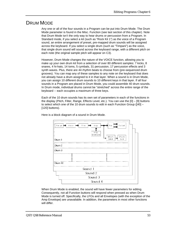# DRUM MODE

Any one or all of the four sounds in a Program can be put into Drum Mode. The Drum Mode parameter is found in the Misc. Function (see last section of this chapter). Note that Drum Mode isn't the only way to hear drums or percussion from a Program. In Standard mode, if you select a kit (such as "Rock Kit 1") as the voice of a Program sound, an entire arrangement of preset, pre-mapped drum sounds will be assigned across the keyboard. If you select a single drum (such as "Timpani") as the voice, that single drum sound will sound across the keyboard range, with a different pitch on each note (the original sample pitch will appear on C3).

However, Drum Mode changes the nature of the VOICE function, allowing you to make up your own drum kit from a selection of over 80 different samples: 7 kicks, 8 snares, 4 hi-hats, 14 toms, 5 cymbals, 31 percussion, 17 percussion effects and 3 synth waves. Plus, there are 44 rhythm beats to choose from (pre-sequenced drum grooves). You can map any of these samples to any note on the keyboard that does not already have a drum assigned to it in that layer. When a sound is in Drum Mode, you can assign 10 different drum sounds to 10 different keys in that layer. If all four sounds in a Program are placed in Drum Mode, you could assemble 40 drum sounds. In Drum mode, individual drums cannot be "stretched" across the entire range of the keyboard -- each occupies a maximum of three keys.

Each of the 10 drum sounds has its own set of parameters in each of the functions in the display (Pitch, Filter, Range, Effects Level, etc.). You can use the [0] – [9] buttons to select which one of the 10 drum sounds to edit in each Function Group ([40] – [120] buttons).



Here is a block diagram of a sound in Drum Mode.

When Drum Mode is enabled, the sound will have fewer parameters for editing. Consequently, not all Function buttons will respond when pressed as when Drum Mode is turned off. Specifically, the LFOs and all Envelopes (with the exception of the Amp Envelope) are unavailable. In addition, the parameters in most other functions will differ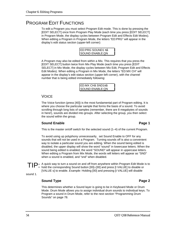# PROGRAM EDIT FUNCTIONS

To edit a Program you must select Program Edit mode. This is done by pressing the [EDIT SELECT] once from Program Play Mode (each time you press [EDIT SELECT] in Program Mode, the display cycles between Program Edit and Effects Edit Modes). When editing a Program in Program Mode, the letters "ED:PRG" will appear in the display's edit status section (upper-left corner):

| $\mathsf{I}\,\mathsf{ED}\!\!:\!\mathsf{PRG}\;\mathsf{SOUND1}\; \pi\aa$ |  |
|------------------------------------------------------------------------|--|
| l SOUND ENABLE:ON                                                      |  |

A Program may also be edited from within a Mix. This requires that you press the [EDIT SELECT] button twice from Mix Play Mode (each time you press [EDIT SELECT] in Mix Mode, the display cycles between Mix Edit, Program Edit and Effects Edit Modes). When editing a Program in Mix Mode, the letters "ED:MX CH" will appear in the display's edit status section (upper-left corner), with the channel number that is being edited immediately following:

| $\mathsf{ED}:\mathsf{MX}$ CHả SND1 $\pi$ å |  |
|--------------------------------------------|--|
| SOUND ENABLE:ON                            |  |

## **VOICE**

The Voice function (press [40]) is the most fundamental part of Program editing. It is where you choose the particular sample that forms the basis of a sound. To avoid scrolling through long lists of samples (remember, there are 8 megabytes of sounds in here!), sounds are divided into groups. After selecting the group, you then select the sound within the group.

### **Sound Enable Page 1**

This is the master on/off switch for the selected sound (1–4) of the current Program.

To avoid using up polyphony unnecessarily, set Sound Enable to OFF for any sounds that will not be used in a Program. Turning sounds off is also a convenient way to isolate a particular sound you are editing. When the sound being edited is disabled, the upper display will show the word "sound" in lowercase letters. When the sound being edited is enabled, the word "SOUND" will appear in uppercase letters. When editing a Program from Mix Mode, the words will letters will appear as "SND" when a sound is enabled, and "snd" when disabled.

 $\prod_{k=1}^{\infty}$  A quick way to turn a sound on and off from anywhere within Program Edit Mode is to - hold the corresponding Sound button [00]–[30] and press [t VALUE] to disable or [VALUE s] to enable. *Example:* Holding [00] and pressing [t VALUE] will disable

sound 1.

### **Sound Type Page 2**

This determines whether a Sound layer is going to be in Keyboard Mode or Drum Mode. Drum Mode allows you to assign individual drum sounds to individual keys. To Program a sound in Drum Mode, refer to the next section "Programming Drum Sounds" on page 78.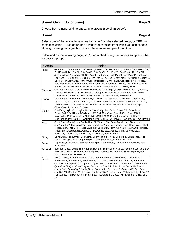### **Sound Group (17 options) Page 3**

Choose from among 16 different sample groups (see chart below).

### **Sound Page 4**

Selects one of the available samples by name from the selected group, or OFF (no sample selected). Each group has a variety of samples from which you can choose, although some groups (such as waves) have more samples than others.

Below and on the following page, you'll find a chart listing the various samples in their respective groups.

| Group        | Voice                                                                                                                                                                                                                                                                                                                                                                                                                                                                                                                                                                                                                         |
|--------------|-------------------------------------------------------------------------------------------------------------------------------------------------------------------------------------------------------------------------------------------------------------------------------------------------------------------------------------------------------------------------------------------------------------------------------------------------------------------------------------------------------------------------------------------------------------------------------------------------------------------------------|
| Piano        | GrndPianoL, GrndPianoR, DarkPno1 L, DarkPno1 R, DarkPno2 L, DarkPno2 R, DarkPno3 L,<br>DarkPno3 R, BritePno1L, BritePno1R, BritePno2L, BritePno2R, BritePno3L, BritePno3R,<br>4::VibesWave, NoHammer R, SoftPianoL, SoftPianoR, VeloPianoL, VeloPianoR, TapPiano L,<br>TapPiano R, E Spinet 1, E Spinet 2, Toy Pno L, Toy Pno R, KeyTrack1, KeyTrack2, Stretch L,<br>Stretch R, PianoWaveL, PianoWaveR, BriteRoads, Dark Roads, Soft Roads, VeloRoads1,<br>VeloRoads2, VeloRoads3, Wurly, VeloWurly1, VeloWurly2, FM Piano, FM Tines, Soft Tines,                                                                             |
|              | VelAtkTine, Vel FM Pno, BrtRdsWave, DrkRdsWave, SftRdsWave, Wurly Wave                                                                                                                                                                                                                                                                                                                                                                                                                                                                                                                                                        |
| Chromatic    | Clavinet, VelAtkClav, ClavntWave, Harpsicord, VAtkHarpsi, HarpsiWave, Glock, Xylophone,<br>Marimba Hd, Marimba Sf, MarimbaVel, Vibraphone, VibesWave, Ice Block, Brake Drum,<br>TubulrWave, TubWv/Null, FMTblrBell, FMTublrSft, FMTublrVel, FMTub/Null                                                                                                                                                                                                                                                                                                                                                                        |
| Organ        | Rock Organ, Perc Organ, FullDrwbr1, FullDrwbr2, 3 Drawbars, 4 Drawbars, UpprDrwbrs,<br>16'Drawbar, 5 1/3' bar, 8' Drawbar, 4' Drawbar, 2 2/3' bar, 2' Drawbar, 1 3/5' bar, 1 1/3' bar, 1'<br>Drawbar, Percus 2nd, Percus 3rd, Percus Wav, HollowWave, 60's Combo, RotarySpkr,<br>ChurchOrgn, Principale, Positive                                                                                                                                                                                                                                                                                                             |
| Guitar       | SteelStrng, NylonGuitr, Nylon/Harm, Nylon/Harp, JazzGuitar, SingleCoil, Sngle/Mute,<br>DoubleCoil, DCoil/Harm, DCoil/Jazz, D/S Coil, MicroGuitr, PwrH/MGtr1, PwrH/MGtr2,<br>MuteGuitar, Mute Velo, Metal Mute, MGtr/MtlMt, MtlMut/Hrm, Fuzz Wave, CIsHarmncs,<br>ElecHarmnc, Pwr Harm 1, Pwr Harm 2, Pwr Harm 3, PwrHrmVel1, PwrHrmVel2, PwrHrmVel3                                                                                                                                                                                                                                                                           |
| Bass         | StudioBass, Studio&Hrm, Studio/Hrm, Slp/Studio, Slap Bass, Slap&Harm, Slap/Harm,<br>Slap/Pop, Pop/Slap, Bass Pop, Pop/Harm, Harm/Pop, JazzFingrd, Fingr&Harm, JazzPicked,<br>Pickd&Harm, Jazz Velo, Muted Bass, Stik Bass, Stik&Harm, Stik/Harm, Harm/Stik, Fretless,<br>Frtls&Harm, AcousBass1, AcoBs1&Hrm, AcousBass2, AcoBs2&Hrm, VelAcoBass, 3-<br>VelBass1, 3-VelBass2, 3-VelBass3, 3-VelBass4, BassHarmnc                                                                                                                                                                                                               |
| String       | StringEnsm, TapeStrngs, SoloString, SoloViolin, Solo Viola, Solo Cello, Contrabass, Pizz<br>Sectn, Pizz Split, Pizz/Strng, Strng/Pizz, StringAttk, Harp, Hi Bow, Low Bow                                                                                                                                                                                                                                                                                                                                                                                                                                                      |
| <b>Brass</b> | Pop Brass, ClasclBras, AttakBrass, Trumpet, HarmonMute, Trombone, FrenchHorn, Bari<br>Horn, Tuba                                                                                                                                                                                                                                                                                                                                                                                                                                                                                                                              |
| Wdwind       | Bassoon, Oboe, EnglishHrn, Clarinet, Bari Sax, BrthyTenor, Alto Sax, SopranoSax, Velo Sax,<br>Flute, Flute Wave, Shakuhachi, PanPipe Hd, PanPipe Md, PanPipe Sf, PanPipeVel, Pan<br>Wave, BottleBlow, BottleWave                                                                                                                                                                                                                                                                                                                                                                                                              |
| Synth        | J Pad, M Pad, X Pad, Velo Pad 1, Velo Pad 2, Velo Pad 3, AcidSweep1, AcidSweep2,<br>AcidSweep3, AcidSweep4, AcidSweep5, VeloAcid 1, VeloAcid 2, VeloAcid 3, VeloAcid 4,<br>Chirp Rez1, Chirp Rez2, Chirp RezV, Quack Rez1, Quack Rez2, Quack Rez3, Quack Rez4,<br>QuackRezV1, QuackRezV2, QuackRezV3, Uni Rez 1, Uni Rez 2, Uni Rez 3, Uni Rez V,<br>AnalogSqr1, AnalogSqr2, AnalogSqrV, SyncLead 1, SyncLead 2, SyncLead V, Seq Bass,<br>Seq BassV1, Seq BassV2, FatSynBass, TranceBas1, TranceBas2, VeloTrance, FunkSynBs1,<br>FunkSynBs2, FunkSynBs3, FunkSynBsV, FilterBass, FM Bass, FM/FiltVel, Soft Chirp, Soft<br>Rez |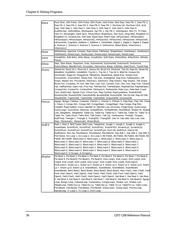| Wave   | Pure Sine, 10% Pulse, 20% Pulse, 50% Pulse, Velo Pulse, Mini Saw, Saw Fltr 1, Saw Fltr 2,<br>Saw Fltr 3, Saw Fltr 4, Saw Fltr 5, Saw Fltr 6, Saw Fltr 7, RezSaw UK, RezSaw USA, Acid<br>Saw, Velo Saw 1, Velo Saw 2, Velo Saw 3, Velo Saw 4, Velo Saw 5, Velo Saw 6,<br>AcidRezSqr, VelAcidWav, MiniSquare, Sqr Fltr 1, Sqr Fltr 2, VeloSquare, Mini Tri, Tri Filter,<br>Velo Tri, Rectanglar, Hard Sync, HSync/Rect, BrightSync, Rez Sync, Ring Mod, RingMod V1,<br>RingMod V2, OctaveLock, Diet Saw, Band Saw, Notch Saw, HiPassSaw1, HiPassSaw2,<br>HiPassSaw3, HiPassSaw4, HiPassVel1, HiPassVel2, HiPassVel3, HiPassVel4, HiPassVel5,<br>HiPassVel6, Cognitive, Additive 1, Additive 2, VeloAdditv, Digital 1, Digital 2, Digital 3, Digital<br>4, Science 1, Science 2, Science 3, Science 4, VelScience, Metal Wave, Inharmonc1,<br>Inharmonc2                                                                                                                                                                                                                                                                                                   |
|--------|---------------------------------------------------------------------------------------------------------------------------------------------------------------------------------------------------------------------------------------------------------------------------------------------------------------------------------------------------------------------------------------------------------------------------------------------------------------------------------------------------------------------------------------------------------------------------------------------------------------------------------------------------------------------------------------------------------------------------------------------------------------------------------------------------------------------------------------------------------------------------------------------------------------------------------------------------------------------------------------------------------------------------------------------------------------------------------------------------------------------------------------------------------|
| Noise  | WhiteNoise, Spectral, Crickets, Rain Noise, FiltrNoise, ShapeNoise, VeloNoise1, VeloNoise2,<br>VeloNoise3, NoiseLoop1, NoiseLoop2, NoiseLoop3, NoiseLoop4, NoiseLoop5                                                                                                                                                                                                                                                                                                                                                                                                                                                                                                                                                                                                                                                                                                                                                                                                                                                                                                                                                                                   |
| Voice  | VocalAhhs, Soft Ahhs, Ahhs Wave, VocalOohs, Soft Oohs, Oohs/Ahhs, Ahhs/Oohs, Whistle,<br>Phonic                                                                                                                                                                                                                                                                                                                                                                                                                                                                                                                                                                                                                                                                                                                                                                                                                                                                                                                                                                                                                                                         |
| Ethnic | Sitar, Sitar Wave, Shamisen, Koto, DulcimerHd, DulcimerMd, DulcimerSf, DulcimrVel,<br>DulcmrWave, MandInTrem, Accordian, Harmonica, Banjo, Kalimba, Steel Drum, Tuned Pipe                                                                                                                                                                                                                                                                                                                                                                                                                                                                                                                                                                                                                                                                                                                                                                                                                                                                                                                                                                              |
| Drums  | Stndrd Kit, Rock Kit 1, Rock Kit 2, Dance Kit, Brush Kit, ElctricKit, Tek Kit, Rap Kit, Street Kit,<br>MetalliKit, HvyMtliKit, VeloMtlKit, Trip Kit 1, Trip Kit 2, Trip Kit 3, Wild Kit, Octave Kit,<br>OrchstraKt, Raga Kit, FloppyKick, PillowKick, MasterKick, Metal Kick, Smoke Kick,<br>GrooveKik1, GrooveKik2, Sharp Kick, Tek Kick, AnalogKick, Rap Kick, FatWoodSnr, HR<br>Snare, Master Snr, PiccoloSnr, Electrnic1, Electrnic2, Rap Snare1, Rap Snare2, Tek Snare,<br>Brush Snr, Crosstick, Hi Tom, Mid Tom, Low Tom, Cannon Tom, Hex Tom, Rap Tom, Closed<br>Hat, HalfOpnHat, Open Hat, Foot Hat, TekHatClsd, TekHatOpen, RapHatClsd, RapHatOpen,<br>CricketCHH, CricketTIK, CricktsOHH, FltrNoisCH, FltrNoisOH, Ride Cym, Ride Bell, Crash<br>Cym, Null/Crash, Splash Cym, China Cym, Rap Cymbal, RapCymWave, StndrdKtDM,<br>RockKit1DM, RockKit2DM, DanceKitDM, BrushKitDM, ElctrcKtDM, Tek Kit DM, Rap Kit DM,<br>StreetKtDM, TripKit1DM, TripKit2DM, TripKit3DM, OctavKitDM, OrchstraDM                                                                                                                                                  |
| Percus | Agogo, Bongo, Cabasa, Castanet, Chimes 1, Chimes 2, Chimes 3, Clap Rap, Clap Tek, Clave<br>1, Clave 2, Conga Hit1, Conga Hit2, CongaSlap1, CongaSlap2, Rap Conga, Rap Rim,<br>Cowbell, RapCowbell, Cuica, Djembe Hi, Djembe Low, Drumstix, FingerSnap, GuiroLong1,<br>GuiroLong2, GuiroShort, Maracas, SmbaWhstl1, SmbaWhstl2, ShortWhstl, Shaker Hi, Shaker<br>Low, Sleighbel1, Sleighbel2, Tabla Ga, Tabla Ka, Tabla Ka 2, Tabla Na, Tabla Te, Tabla Te 2<br>Tabla Tin, Taiko Drum, Taiko Rim, Talk Down, Talk Up, Tambourine, Timbale, Timpani,<br>Null/Timp, Triangle 1, Triangle 2, TrianglSf1, TrianglSf2, Udu Hi, Udu Mid, Udu Low, Udu<br>Slap, Vibrasmak1, Vibrasmak2, Wood Block                                                                                                                                                                                                                                                                                                                                                                                                                                                              |
| SndFX  | Rain 1, Rain 2, Bird Tweet, Bird Loop, Telephone, Jungle 1, Jungle 2, Jungle 3, Jungle 4,<br>GoatsNails, ScrtchPul1, ScrtchPul2, ScrtchPsh1, ScrtchPsh2, ScratchLp1, ScratchLp2,<br>ScrtchPLp1, ScrtchPLp2, ScrtchPLp3, ScrtchPLp4, Orch Hit, Null/Orch, Dance Hit,<br>Null/Dance, Rez Zip, RezAttack1, RezAttack2, RezAttkVel, Zap Attk 1, Zap Attk 2, Zap Attk 3,<br>Fret Noise, Sci Loop 1, Sci Loop 2, Sci Loop 3, Bit Field1, Bit Field2, Bit Field3, Bit Field4, Bit<br>Field5, Bit Field6, WavLoop1.0, WavLoop1.1, WavLoop1.2, WavLoop1.3, WavLoop1.4,<br>WavLoop1.5, WavLoop1.6, WavLoop1.7, WavLoop1.8, WavLoop2.0, WavLoop2.1,<br>WavLoop2.2, WavLoop2.3, WavLoop2.4, WavLoop2.5, WavLoop2.6, WavLoop2.7,<br>WavLoop2.8, WavLoop3.0, WavLoop3.1, WavLoop3.2, WavLoop3.3, WavLoop3.4,<br>WavLoop3.5, WavLoop4.0, WavLoop4.1, WavLoop4.2, WavLoop4.3, WavLoop4.4,<br>WavLoop4.5, D-Scrape, D-ScrapeLp                                                                                                                                                                                                                                           |
| Rhythm | Psi Beat 1, Psi Beat 2, Psi Beat 3, Psi Beat 4, Psi Beat 5, Psi Beat 6, Psi Beat 7, Psi Beat 8,<br>Psi Beat 9, Psi Beat10, Psi Beat11, Psi Beat12, Kick Loop1, Kick Loop2, Kick Loop3, Kick<br>Loop4, Kick Loop5, Kick Loop6, Kick Loop7, Kick Loop8, Kick Loop9, KickLoop10,<br>KickLoop11, Snare Lp 1, Snare Lp 2, Snare Lp 3, Snare Lp 4, Snare Lp 5, Snare Lp 6, Snare<br>Lp 7, Snare Lp 8, Snare Lp 9, SnareBeat1, SnareBeat2, SnareBeat3, SnareBeat4,<br>SnareBeat5, Back Beat1, Back Beat2, Back Beat3, Back Beat4, Hat1 Clsd1, Hat1 Clsd2, Hat1<br>Foot, Hat1 Open1, Hat1 Open2, Hat2 Clsd1, Hat2 Clsd2, Hat2 Foot, Hat2 Open1, Hat2<br>Open2, Hat3 Clsd1, Hat3 Clsd2, Hat3 Open1, Hat3 Open2, Hat Beat 1, Hat Beat 2, Hat Beat<br>3, Hat Beat 4, Hat Beat 5, Hat Beat 6, Hat Beat 7, Hat Beat 8, Hat Beat 9, Hat Beat10, Agogo<br>Loop, Bongo Loop, CabasaLoop, CastanetLp, CongaLoop1, Shaker Lp1, Shaker Lp2,<br>SleighLoop, Tabla Ga Lp, Tabla Ka Lp, Tabla Na Lp, Tabla Te Lp, TablaTin Lp, Taiko Loop,<br>PercBeat1, PercBeat2, PercBeat3, PercBeat4, VoiceLoop1, VoiceLoop2, PhonicLoop,<br>SpinalLoop, Tr Loop 1, Tri Loop 2, Orch Loop |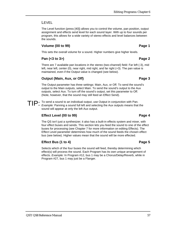### LEVEL

The Level function (press [40]) allows you to control the volume, pan position, output assignment and effects send level for each sound layer. With up to four sounds per program, this allows for a wide variety of stereo effects and level balances between the sounds.

## **Volume (00 to 99) Page 1**

This sets the overall volume for a sound. Higher numbers give higher levels.

## **Pan (<3 to 3>) Page 2**

There are 7 available pan locations in the stereo (two-channel) field: Far left (-3), mid left, near left, center (0), near right, mid right, and far right (+3). The pan value is maintained, even if the Output value is changed (see below).

### **Output (Main, Aux, or Off) Page 3**

The Output parameter has three settings: Main, Aux, or Off. To send the sound's output to the Main outputs, select Main. To send the sound's output to the Aux outputs, select Aux. To turn off the sound's output, set this parameter to Off. (Note, however, that the sound may still feed an Effect Send).

 $\prod_{n=1}^{\infty}$  To send a sound to an individual output, use Output in conjunction with Pan. Example: Panning a sound full left and selecting the Aux outputs means that the sound will appear at only the left Aux output.

# **Effect Level (00 to 99) Page 4**

The QS isn't just a synthesizer; it also has a built-in effects system and mixer, with four effect buses and sends. This section lets you feed the sound to one of the effect buses for processing (see Chapter 7 for more information on editing Effects). The Effect Level parameter determines how much of the sound feeds the chosen effect bus (see below). Higher values mean that the sound will be more effected.

# **Effect Bus (1 to 4) Page 5**

Selects which of the four buses the sound will feed, thereby determining which effect(s) will process the sound. Each Program has its own unique arrangement of effects. Example: In Program #12, bus 1 may be a Chorus/Delay/Reverb, while in Program #27, bus 1 may just be a Flanger.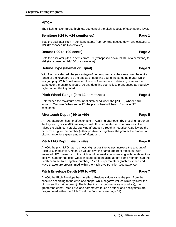# PITCH

The Pitch function (press [60]) lets you control the pitch aspects of each sound layer.

## **Semitone (-24 to +24 semitones) Page 1**

Sets the oscillator pitch in semitone steps, from -24 (transposed down two octaves) to +24 (transposed up two octaves).

## **Detune (-99 to +99 cents) Page 2**

Sets the oscillator pitch in cents, from -99 (transposed down 99/100 of a semitone) to +99 (transposed up 99/100 of a semitone).

# **Detune Type (Normal or Equal) Page 3**

With Normal selected, the *percentage* of detuning remains the same over the entire range of the keyboard, so the effects of detuning sound the same no matter which key you play. With Equal selected, the absolute amount of detuning remains the same over the entire keyboard, so any detuning seems less pronounced as you play higher up on the keyboard.

## **Pitch Wheel Range (0 to 12 semitones) Page 4**

Determines the maximum amount of pitch bend when the [PITCH] wheel is full forward. Example: When set to 12, the pitch wheel will bend  $\pm$ 1 octave (12) semitones).

# **Aftertouch Depth (-99 to +99) Page 5**

At +00, aftertouch has no effect on pitch. Applying aftertouch (by pressing harder on the keyboard, or via MIDI messages) with this parameter set to a positive value raises the pitch; conversely, applying aftertouch through a negative value lowers the pitch. The higher the number (either positive or negative), the greater the amount of pitch change for a given amount of aftertouch.

# **Pitch LFO Depth (-99 to +99) Page 6**

At +00, the pitch LFO has no effect. Higher positive values increase the amount of Pitch LFO modulation. Negative values give the same apparent effect, but with reversed LFO phase (i.e., if the pitch would normally be increasing with depth set to a positive number, the pitch would instead be decreasing at that same moment had the depth been set to a negative number). Pitch LFO parameters (such as speed and wave shape) are programmed within the Pitch LFO Function (see page 72).

# **Pitch Envelope Depth (-99 to +99) Page 7**

At +00, the Pitch Envelope has no effect. Positive values raise the pitch from the baseline according to the envelope shape, while negative values similarly lower the pitch (see illustration below). The higher the number (negative or positive), the greater the effect. Pitch Envelope parameters (such as attack and decay time) are programmed within the Pitch Envelope Function (see page 61).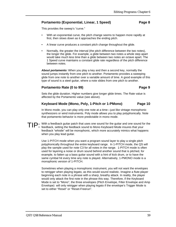### **Portamento (Exponential, Linear, 1 Speed) Page 8**

This provides the sweep's "curve."

- With an exponential curve, the pitch change seems to happen more rapidly at first, then slows down as it approaches the ending pitch.
- A linear curve produces a constant pitch change throughout the glide.
- Normally, the greater the interval (the pitch difference between the two notes), the longer the glide. For example, a glide between two notes a whole step apart would take much less time than a glide between two notes an octave apart. The 1 Speed curve maintains a constant glide rate regardless of the pitch difference between notes.

**About portamento:** When you play a key and then a second key, normally the sound jumps instantly from one pitch to another. Portamento provides a sweeping glide from one note to another over a variable amount of time. A good example of this type of sound is a steel guitar, where a note slides from one pitch to another.

### **Portamento Rate (0 to 99) Page 9**

Sets the glide duration. Higher numbers give longer glide times. The Rate value is affected by the Portamento value (see above).

### **Keyboard Mode (Mono, Poly, 1-Pitch or 1-PMono) Page 10**

In Mono mode, you can play only one note at a time—just like vintage monophonic synthesizers or wind instruments. Poly mode allows you to play polyphonically. Note that portamento behavior is more predictable in mono mode.

TIP: With a feedback guitar patch that uses one sound for the guitar and one sound for the feedback, setting the feedback sound to Mono Keyboard Mode insures that your feedback "whistle" will be monophonic, which more accurately mimics what happens when you play lead guitar.

> Use 1-PITCH mode when you want a program sound layer to play a single pitch polyphonically throughout the entire keyboard range. In 1-PITCH mode, the QS will play the sample used for note C3 for all notes in the range. 1-PITCH mode is often used for layering a noise or drum sound behind another sound that is pitched, for example, to fatten up a bass guitar sound with a hint of kick drum, or to have the same cymbal hit every time any note is played. Alternatively, 1-PMONO mode is a monophonic version of 1-PITCH.

Sometimes when playing a monophonic instrument, you will not want the envelopes to retrigger when playing legato, as this would sound realistic. Imagine a flute-player beginning each note in a phrase with a sharp, breathy attack. In reality, the player would only attack the first note in the phrase this way. Therefore, if the Keyboard Mode is set to "Mono", the three envelopes (Pitch Envelope, Filter Envelope and Amp Envelope) will only retrigger when playing legato if the envelope's Trigger Mode is set to either "Reset" or "Reset-Freerun".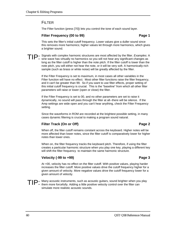## FILTER

The Filter function (press [70]) lets you control the tone of each sound layer.

### **Filter Frequency (00 to 99) Page 1**

This sets the filter's initial cutoff frequency. Lower values give a duller sound since this removes more harmonics; higher values let through more harmonics, which gives a brighter sound.

TIP: Signals with complex harmonic structures are most affected by the filter. Examples: A sine wave has virtually no harmonics so you will not hear any significant changes as long as the filter cutoff is higher than the note pitch. If the filter cutoff is lower than the note pitch, you will either not hear the note, or it will be very soft. A harmonically-rich sample (such as brass or white noise) will be greatly affected by the filter.

> If the Filter Frequency is set to maximum, in most cases all other variables in the Filter function will have no effect. Most other filter functions raise the filter frequency, and it can't be greater than 99. So if you want to use filter effects, proper setting of this initial cutoff frequency is crucial. This is the "baseline" from which all other filter parameters will raise or lower (open or close) the filter.

> If the Filter Frequency is set to 00, and no other parameters are set to raise it dynamically, no sound will pass through the filter at all--there will be silence. If the Amp settings are wide open and you can't hear anything, check the Filter Frequency setting.

> Since the waveforms in ROM are recorded at the brightest possible setting, in many cases dynamic filtering is crucial to making a program sound natural.

# **Filter Track (On or Off) Page 2**

When off, the filter cutoff remains constant across the keyboard. Higher notes will be more affected than lower notes, since the filter cutoff is comparatively lower for higher notes than lower ones.

When on, the filter frequency tracks the keyboard pitch. Therefore, if using the filter creates a particular harmonic structure when you play one key, playing a different key will shift the filter frequency to maintain the same harmonic structure.

## **Velocity (-99 to +99) Page 3**

At +00, velocity has no effect on the filter cutoff. With positive values, playing harder increases the filter cutoff. More positive values drive the cutoff frequency higher for a given amount of velocity. More negative values drive the cutoff frequency lower for a given amount of velocity.

TIP: Many acoustic instruments, such as acoustic guitars, sound brighter when you play<br>TIP: them more forcefully. Adding a little positive velocity control over the filter can simulate more realistic acoustic sounds.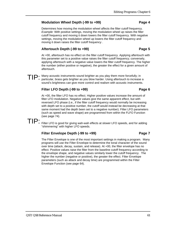# **Modulation Wheel Depth (-99 to +99) Page 4**

Determines how moving the modulation wheel affects the filter cutoff frequency. Example: With positive settings, moving the modulation wheel up raises the filter cutoff frequency and moving it down lowers the filter cutoff frequency. With negative settings, moving the modulation wheel up lowers the filter cutoff frequency and moving it down raises the filter cutoff frequency .

# **Aftertouch Depth (-99 to +99) Page 5**

At +00, aftertouch has no effect on the filter cutoff frequency. Applying aftertouch with this parameter set to a positive value raises the filter cutoff frequency; conversely, applying aftertouch with a negative value lowers the filter cutoff frequency. The higher the number (either positive or negative), the greater the effect for a given amount of aftertouch.

TIP: Many acoustic instruments sound brighter as you play them more forcefully; in<br>
particular, brass gets brighter as you blow harder. Using aftertouch to increase a sound's brightness can give more control and realism with acoustic instruments.

# **Filter LFO Depth (-99 to +99) Page 6**

At +00, the filter LFO has no effect. Higher positive values increase the amount of filter LFO modulation. Negative values give the same apparent effect, but with reversed LFO phase (i.e., if the filter cutoff frequency would normally be increasing with depth set to a positive number, the cutoff would instead be decreasing at that same moment had the depth been set to a negative number). Filter LFO parameters (such as speed and wave shape) are programmed from within the FLFO Function (see page 74).

TIP: Filter LFO is good for giving wah-wah effects at slower LFO speeds, and for adding "shimmering" with higher LFO speeds.

# **Filter Envelope Depth (-99 to +99) Page 7**

The Filter Envelope is one of the most important settings in making a program. Many programs will use the Filter Envelope to determine the tonal character of the sound over time (attack, decay, sustain, and release). At +00, the filter envelope has no effect. Positive values raise the filter from the baseline cutoff frequency according to the envelope shape, and negative values similarly lower the cutoff frequency. The higher the number (negative or positive), the greater the effect. Filter Envelope parameters (such as attack and decay time) are programmed within the Filter Envelope Function (see page 64).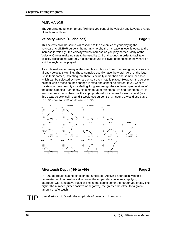## AMP/RANGE

The Amp/Range function (press [80]) lets you control the velocity and keyboard range of each sound layer.

### **Velocity Curve (13 choices) Page 1**

This selects how the sound will respond to the dynamics of your playing the keyboard. A LINEAR curve is the norm, whereby the increase in level is equal to the increase in velocity; the velocity values increase as you play harder. Many of the Velocity Curves make up sets to be used by 2, 3 or 4 sounds in order to facilitate velocity crossfading, whereby a different sound is played depending on how hard or soft the keyboard is played.

As explained earlier, many of the samples to choose from when assigning voices are already velocity switching. These samples usually have the word "Velo" or the letter "V" in their names, indicating that there is actually more than one sample per note which can be selected by how hard or soft each note is played. However, the velocity point at which these sounds change is fixed and cannot be altered. If you want to create your own velocity crossfading Program, assign the single-sample versions of the same samples ("MarimbaVel" is made up of "Marimba Hd" and "Marimba Sf") to two or more sounds, then use the appropriate velocity curves for each sound (in a three-way velocity split, sound 1 would use curve "1 of 3," sound 2 would use curve "2 of 3" while sound 3 would use "3 of 3").



## **Aftertouch Depth (-99 to +99) Page 2**

At +00, aftertouch has no effect on the amplitude. Applying aftertouch with this parameter set to a positive value raises the amplitude; conversely, applying aftertouch with a negative value will make the sound softer the harder you press. The higher the number (either positive or negative), the greater the effect for a given amount of aftertouch.

 $\prod \mathbf{P} \cdot \mathbf{U}$ se aftertouch to "swell" the amplitude of brass and horn parts.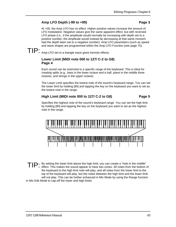## **Amp LFO Depth (-99 to +99) Page 3**

At +00, the Amp LFO has no effect. Higher positive values increase the amount of LFO modulation. Negative values give the same apparent effect, but with reversed LFO phase (i.e., if the amplitude would normally be increasing with depth set to a positive number, the amplitude would instead be decreasing at that same moment had the depth been set to a negative number). Amp LFO parameters (such as speed and wave shape) are programmed within the Amp LFO Function (see page 75).

 $\mathsf{TP:}_{\mathsf{Amp\,LFO\,set}$  to a triangle wave gives tremolo effects.

### **Lower Limit (MIDI note 000 to 127/ C-2 to G8) Page 4**

Each sound can be restricted to a specific range of the keyboard. This is ideal for creating splits (e.g., bass in the lower octave and a half, piano in the middle three octaves, and strings in the upper octave).

The Lower Limit specifies the lowest note of the sound's keyboard range. You can set the lower limit by holding [80] and tapping the key on the keyboard you want to set as the lowest note in the range.

### **High Limit (MIDI note 000 to 127/ C-2 to G8) Page 5**

Specifies the highest note of the sound's keyboard range. You can set the high limit by holding [80] and tapping the key on the keyboard you want to set as the highest note in the range.



 $TIP:$  By setting the lower limit above the high limit, you can create a "hole in the middle" effect. This makes the sound appear to have two zones. All notes from the bottom of the keyboard to the high limit note will play, and all notes from the lower limit to the top of the keyboard will play, but the notes between the high limit and the lower limit will not play. This can be further enhanced in Mix Mode by using the Range function in Mix Edit Mode to cap-off the lower and high limits.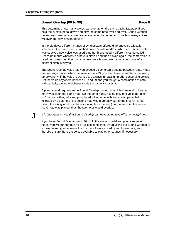### **Sound Overlap (00 to 99) Page 6**

This determines how many voices can overlap on the same pitch. Example: If you hold the sustain pedal down and play the same note over and over, Sound Overlap determines how many voices are available for that note, and thus how many voices will overlap (play simultaneously).

In the old days, different brands of synthesizers offered different voice allocation schemes. One brand used a method called "rotate mode" in which each time a note was struck, a new voice was used. Another brand used a different method called "reassign mode" whereby if a note is played and then played again, the same voice is used both times. In other words, a new voice is used each time a new note of a different pitch is played.

The Sound Overlap value lets you choose a comfortable setting between rotate mode and reassign mode. When the value equals 99, you are always in rotate mode, using up polyphony; if the value is 00, you are always in reassign mode, conserving voices. Set the value anywhere between 00 and 99 and you will get a combination of both, with partiality toward whichever mode the value is closest to.

A piano sound requires some Sound Overlap, but not a lot; it isn't natural to hear too many voices on the same note. On the other hand, having only one voice per pitch isn't natural either; let's say you played a loud note with the sustain pedal held, followed by a soft note--the second note would abruptly cut-off the first. On a real piano, the string would still be resonating from the first (loud) note when the second (soft) note was played; thus the two notes would overlap.

It is important to note that Sound Overlap can have a negative effect on polyphony.

If you have Sound Overlap set to 99, hold the sustain pedal and play a series of notes, you will run through all 64 voices in no time. By adjusting the Sound Overlap to a lower value, you decrease the number of voices used by each new note, and thereby ensure there are voices available to play other sounds, if necessary.

J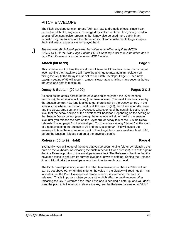# PITCH ENVELOPE

The Pitch Envelope function (press [90]) can lead to dramatic effects, since it can cause the pitch of a single key to change drastically over time. It's typically used in special-effect synthesizer programs, but it may also be used more subtly in an acoustic program to simulate the characteristic of some instruments to go sharp on the initial attack, especially when played hard.

The following Pitch Envelope variables will have an effect only if the PITCH ENVELOPE DEPTH (on Page 7 of the PITCH function) is set to a value other than 0, or, if Pitch Envelope is a source in the MOD function.

### **Attack (00 to 99) Page 1**

J

This is the amount of time the envelope will take until it reaches its maximum output level. Setting the Attack to 0 will make the pitch go to maximum immediately on hitting the key (if the Delay is also set to 0 in Pitch Envelope, Page 5 -- see next page); a setting of 99 will result in a much slower attack, taking many seconds before the envelope gets to maximum.

### **Decay & Sustain (00 to 99) Pages 2 & 3**

As soon as the attack portion of the envelope finishes (when the level reaches maximum), the envelope will decay (decrease in level). The level it reaches is set by the Sustain control; how long it takes to get there is set by the Decay control. In the special case where the Sustain level is all the way up (99), then there is no decrease and the Decay time segment is bypassed. Whatever level the sustain is set to is the level that the decay section of the envelope will head for. Depending on the setting of the Sustain Decay control (see below), the envelope will either hold at the sustain level until you release the note on the keyboard, or decay to 0 at the Sustain Decay rate (which is on page 2 of the envelope). You can create a long "plateau" at the start of a note by setting the Sustain to 98 and the Decay to 99. This will cause the envelope to take the maximum amount of time to get from peak level to a level of 98, before the Sustain Release portion of the envelope begins.

### **Release (00 to 99, Hold) Page 4**

Eventually, you will let go of the note that you've been holding (either by releasing the note on the keyboard, or releasing the sustain pedal if it was pressed). It is at this point that the Release portion of the envelope takes effect. The Release is the time that the envelope takes to get from its current level back down to nothing. Setting the Release time to 99 will take the envelope a very long time to reach zero level.

The Pitch Envelope is unique from the other two envelopes in that its Release time can be set above 99. When this is done, the value in the display will read "Hold". This indicates that the Pitch Envelope will remain where it is even after the note is released. This is important when you want the pitch effect to continue even after releasing the key. Example: If the Pitch Envelope is bending a note up, and you don't want the pitch to fall when you release the key, set the Release parameter to "Hold".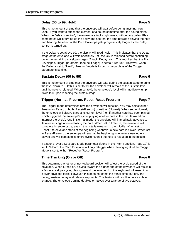### **Delay (00 to 99, Hold) Page 5**

This is the amount of time that the envelope will wait before doing anything; very useful if you want to affect one element of a sound sometime after the sound starts. When the Delay is set to 0, the envelope attacks right away, without any delay. Play some notes while turning up the delay and see that the time between playing the note and hearing the effect of the Pitch Envelope gets progressively longer as the Delay control is turned up.

If the Delay is set above 99, the display will read "Hold". This indicates that the Delay stage of the envelope will wait indefinitely until the key is released before continuing on to the remaining envelope stages (Attack, Decay, etc.). This requires that the Pitch Envelope's Trigger parameter (see next page) is set to "Freerun". However, when the Delay is set to "Hold", "Freerun" mode is forced on regardless of the Trigger parameter's setting.

## **Sustain Decay (00 to 99) Page 6**

This is the amount of time that the envelope will take during the sustain stage to bring the level down to 0. If this is set to 99, the envelope will remain at the Sustain level until the note is released. When set to 0, the envelope's level will immediately jump down to 0 upon reaching the sustain stage.

### **Trigger (Normal, Freerun, Reset, Reset-Freerun) Page 7**

The Trigger mode determines how the envelope will function. You may select either Freerun or Reset, or both (Reset-Freerun) or neither (Normal). When set to Normal, the envelope will always start at its current level (i.e., if another note had been played which triggered the envelope's cycle, playing another note in the middle would not interrupt the cycle). Also in Normal mode, the envelope will immediately advance to its release stage upon releasing the note. When set to Freerun, the envelope will complete its entire cycle, even if the note is released in the middle. When set to Reset, the envelope starts at the beginning whenever a new note is played. When set to Reset-Freerun, the envelope will start at the beginning whenever a new note is played and will complete its entire cycle, even if the note is released in the middle.

If a sound layer's Keyboard Mode parameter (found in the Pitch Function, Page 10) is set to "Mono", the Pitch Envelope will only retrigger when playing legato if the Trigger Mode is set to either "Reset" or "Reset-Freerun".

# **Time Tracking (On or Off) Page 8**

This determines whether or not keyboard position will affect the cycle speed of the envelope. When turned on, playing toward the higher end of the keyboard will result in a faster envelope cycle; playing toward the lower end of the keyboard will result in a slower envelope cycle. However, this does not effect the attack time, but only the decay, sustain decay and release segments. This feature will result in only a subtle change. The envelope's timing doubles or halves over a range of two octaves.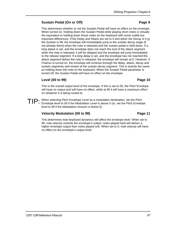# **Sustain Pedal (On or Off) Page 9**

This determines whether or not the Sustain Pedal will have an effect on the envelope. When turned on, holding down the Sustain Pedal while playing short notes is virtually the equivalent to holding down those notes on the keyboard with some subtle but important differences. If the Delay and Attack are set to 0 and either the Decay is 0 or the Sustain is 99, the envelope will immediately jump to the sustain decay stage (if not already there) when the note is released and the sustain pedal is held down. If a long attack is set, and the envelope does not reach the end of the attack segment when the note is released, it will be skipped and the envelope will jump immediately to the release segment. If a long delay is set, and the envelope has not reached the attack segment before the note is released, the envelope will remain at 0. However, if Freerun is turned on, the envelope will continue through the delay, attack, decay and sustain segments and remain at the sustain decay segment. This is exactly the same as holding down the note on the keyboard. When the Sustain Pedal parameter is turned off, the Sustain Pedal will have no effect on the envelope.

## **Level (00 to 99) Page 10**

### This is the overall output level of the envelope. If this is set to 00, the Pitch Envelope will have no output and will have no effect, while at 99 it will have a maximum effect on whatever it is being routed to.

TIP: When selecting Pitch Envelope Level as a modulation destination, set the Pitch Envelope level to 00 if the Modulation Level is above 0 (or, set the Pitch Envelope level to 99 if the Modulation Amount is below 0).

## **Velocity Modulation (00 to 99) Page 11**

### This determines how keyboard dynamics will affect the envelope level. When set to 99, note velocity controls the envelope's output; notes played hard will deliver a higher envelope output than notes played soft. When set to 0, note velocity will have no effect on the envelope's output level.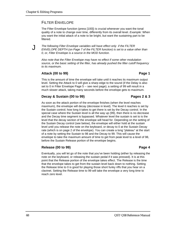J

## FILTER ENVELOPE

The Filter Envelope function (press [100]) is crucial whenever you want the tonal quality of a note to change over time, differently from its overall level. *Example:* When you want the initial attack of a note to be bright, but want the sustaining part to be filtered.

The following Filter Envelope variables will have effect only if the FILTER ENVELOPE DEPTH (on Page 7 of the FILTER function) is set to a value other than 0, or, Filter Envelope is a source in the MOD function.

Also note that the Filter Envelope may have no effect if some other modulation source, or the basic setting of the filter, has already pushed the filter cutoff frequency to its maximum.

### **Attack (00 to 99) Page 1**

### This is the amount of time the envelope will take until it reaches its maximum output level. Setting the Attack to 0 will give a sharp edge to the sound (if the Delay is also set to 0 in Filter Envelope Page 5 -- see next page); a setting of 99 will result in a much slower attack, taking many seconds before the envelope gets to maximum.

### **Decay & Sustain (00 to 99) Pages 2 & 3**

As soon as the attack portion of the envelope finishes (when the level reaches maximum), the envelope will decay (decrease in level). The level it reaches is set by the Sustain control; how long it takes to get there is set by the Decay control. In the special case where the Sustain level is all the way up (99), then there is no decrease and the Decay time segment is bypassed. Whatever level the sustain is set to is the level that the decay section of the envelope will head for. Depending on the setting of the Sustain Decay control (see below), the envelope will either hold at the sustain level until you release the note on the keyboard, or decay to 0 at the Sustain Decay rate (which is on page 2 of the envelope). You can create a long "plateau" at the start of a note by setting the Sustain to 98 and the Decay to 99. This will cause the envelope to take the maximum amount of time to get from peak level to a level of 98, before the Sustain Release portion of the envelope begins.

### **Release (00 to 99) Page 4**

### Eventually, you will let go of the note that you've been holding (either by releasing the note on the keyboard, or releasing the sustain pedal if it was pressed). It is at this point that the Release portion of the envelope takes effect. The Release is the time that the envelope takes to get from the sustain level back down to nothing. Setting the Release time to 0 is good for playing those short funky riffs that you hear on a clavinet. Setting the Release time to 99 will take the envelope a very long time to reach zero level.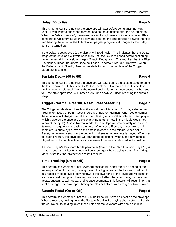## **Delay (00 to 99) Page 5**

This is the amount of time that the envelope will wait before doing anything; very useful if you want to affect one element of a sound sometime after the sound starts. When the Delay is set to 0, the envelope attacks right away, without any delay. Play some notes while turning up the delay and see that the time between playing the note and hearing the effect of the Filter Envelope gets progressively longer as the Delay control is turned up.

If the Delay is set above 99, the display will read "Hold". This indicates that the Delay stage of the envelope will wait indefinitely until the key is released before continuing on to the remaining envelope stages (Attack, Decay, etc.). This requires that the Filter Envelope's Trigger parameter (see next page) is set to "Freerun". However, when the Delay is set to "Hold", "Freerun" mode is forced on regardless of the Trigger parameter's setting.

# **Sustain Decay (00 to 99) Page 6**

This is the amount of time that the envelope will take during the sustain stage to bring the level down to 0. If this is set to 99, the envelope will remain at the Sustain level until the note is released. This is the normal setting for organ-type sounds. When set to 0, the envelope's level will immediately jump down to 0 upon reaching the sustain stage.

### **Trigger (Normal, Freerun, Reset, Reset-Freerun) Page 7**

The Trigger mode determines how the envelope will function. You may select either Freerun or Reset, or both (Reset-Freerun) or neither (Normal). When set to Normal, the envelope will always start at its current level (i.e., if another note had been played which triggered the envelope's cycle, playing another note in the middle would not interrupt the cycle). Also in Normal mode, the envelope will immediately advance to its release stage upon releasing the note. When set to Freerun, the envelope will complete its entire cycle, even if the note is released in the middle. When set to Reset, the envelope starts at the beginning whenever a new note is played. When set to Reset-Freerun, the envelope will start at the beginning whenever a new note is played and will complete its entire cycle, even if the note is released in the middle.

If a sound layer's Keyboard Mode parameter (found in the Pitch Function, Page 10) is set to "Mono", the Filter Envelope will only retrigger when playing legato if the Trigger Mode is set to either "Reset" or "Reset-Freerun".

# **Time Tracking (On or Off) Page 8**

This determines whether or not keyboard position will affect the cycle speed of the envelope. When turned on, playing toward the higher end of the keyboard will result in a faster envelope cycle; playing toward the lower end of the keyboard will result in a slower envelope cycle. However, this does not effect the attack time, but only the decay, sustain, sustain decay and release segments. This feature will result in only a subtle change. The envelope's timing doubles or halves over a range of two octaves.

# **Sustain Pedal (On or Off) Page 9**

This determines whether or not the Sustain Pedal will have an effect on the envelope. When turned on, holding down the Sustain Pedal while playing short notes is virtually the equivalent to holding down those notes on the keyboard with some subtle but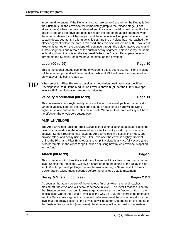important differences. If the Delay and Attack are set to 0 and either the Decay is 0 or the Sustain is 99, the envelope will immediately jump to the release stage (if not already there) when the note is released and the sustain pedal is held down. If a long attack is set, and the envelope does not reach the end of the attack segment when the note is released, it will be skipped and the envelope will jump immediately to the sustain decay segment. If a long delay is set, and the envelope has not reached the attack segment before the note is released, the envelope will remain at 0. However, if Freerun is turned on, the envelope will continue through the delay, attack, decay and sustain segments and remain at the sustain decay segment. This is exactly the same as holding down the note on the keyboard. When the Sustain Pedal parameter is turned off, the Sustain Pedal will have no effect on the envelope.

### **Level (00 to 99) Page 10**

This is the overall output level of the envelope. If this is set to 00, the Filter Envelope will have no output and will have no effect, while at 99 it will have a maximum effect on whatever it is being routed to.

 $TIP:$  When selecting Filter Envelope Level as a modulation destination, set the Filter Envelope level to 00 if the Modulation Level is above 0 (or, set the Filter Envelope level to 99 if the Modulation Amount is below 0).

### **Velocity Modulation (00 to 99) Page 11**

This determines how keyboard dynamics will affect the envelope level. When set to 99, note velocity controls the envelope's output; notes played hard will deliver a higher envelope output than notes played soft. When set to 0, note velocity will have no effect on the envelope's output level.

## AMP ENVELOPE

The Amp Envelope function (press [110]) is crucial for all sounds because it sets the basic characteristics of the note--whether it attacks quickly or slowly, sustains or decays. Some Programs may leave the Amp Envelope in a sustaining mode, and provide attack and decay using the Filter Envelope; the effect is slightly different. Unlike the Pitch and Filter Envelopes, the Amp Envelope is always fully active (there is no parameter in the Amp/Range function adjusting how much envelope is applied to the Amp).

### **Attack (00 to 99) Page 1**

This is the amount of time the envelope will take until it reaches its maximum output level. Setting the Attack to 0 will give a sharp edge to the sound (if the Delay is also set to 0 in Amp Envelope Page 5 -- see below); a setting of 99 will result in a much slower attack, taking many seconds before the envelope gets to maximum.

### **Decay & Sustain (00 to 99) Pages 2 & 3**

As soon as the attack portion of the envelope finishes (when the level reaches maximum), the envelope will decay (decrease in level). The level it reaches is set by the Sustain control; how long it takes to get there is set by the Decay control. In the special case where the Sustain level is all the way up (99), then there is no decrease and the Decay time segment is bypassed. Whatever level the sustain is set to is the level that the decay section of the envelope will head for. Depending on the setting of the Sustain Decay control (see below), the envelope will either hold at the sustain

### 70 QS7/QS8 Reference Manual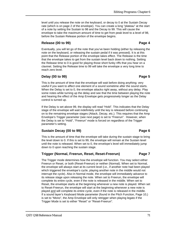level until you release the note on the keyboard, or decay to 0 at the Sustain Decay rate (which is on page 2 of the envelope). You can create a long "plateau" at the start of a note by setting the Sustain to 98 and the Decay to 99. This will cause the envelope to take the maximum amount of time to get from peak level to a level of 98, before the Sustain Release portion of the envelope begins.

## **Release (00 to 99) Page 4**

Eventually, you will let go of the note that you've been holding (either by releasing the note on the keyboard, or releasing the sustain pedal if it was pressed). It is at this point that the Release portion of the envelope takes effect. The Release is the time that the envelope takes to get from the sustain level back down to nothing. Setting the Release time to 0 is good for playing those short funky riffs that you hear on a clavinet. Setting the Release time to 99 will take the envelope a very long time to reach zero level.

## **Delay (00 to 99) Page 5**

This is the amount of time that the envelope will wait before doing anything; very useful if you want to affect one element of a sound sometime after the sound starts. When the Delay is set to 0, the envelope attacks right away, without any delay. Play some notes while turning up the delay and see that the time between playing the note and hearing the effect of the Amp Envelope gets progressively longer as the Delay control is turned up.

If the Delay is set above 99, the display will read "Hold". This indicates that the Delay stage of the envelope will wait indefinitely until the key is released before continuing on to the remaining envelope stages (Attack, Decay, etc.). This requires that the Amp Envelope's Trigger parameter (see next page) is set to "Freerun". However, when the Delay is set to "Hold", "Freerun" mode is forced on regardless of the Trigger parameter's setting.

## **Sustain Decay (00 to 99) Page 6**

This is the amount of time that the envelope will take during the sustain stage to bring the level down to 0. If this is set to 99, the envelope will remain at the Sustain level until the note is released. When set to 0, the envelope's level will immediately jump down to 0 upon reaching the sustain stage.

## **Trigger (Normal, Freerun, Reset, Reset-Freerun) Page 7**

The Trigger mode determines how the envelope will function. You may select either Freerun or Reset, or both (Reset-Freerun) or neither (Normal). When set to Normal, the envelope will always start at its current level (i.e., if another note had been played which triggered the envelope's cycle, playing another note in the middle would not interrupt the cycle). Also in Normal mode, the envelope will immediately advance to its release stage upon releasing the note. When set to Freerun, the envelope will complete its entire cycle, even if the note is released in the middle. When set to Reset, the envelope starts at the beginning whenever a new note is played. When set to Reset-Freerun, the envelope will start at the beginning whenever a new note is played and will complete its entire cycle, even if the note is released in the middle. If a sound layer's Keyboard Mode parameter (found in the Pitch Function, Page 10,) is set to "Mono", the Amp Envelope will only retrigger when playing legato if the Trigger Mode is set to either "Reset" or "Reset-Freerun".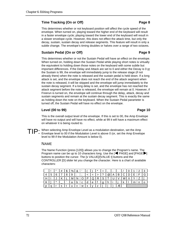## **Time Tracking (On or Off) Page 8**

This determines whether or not keyboard position will affect the cycle speed of the envelope. When turned on, playing toward the higher end of the keyboard will result in a faster envelope cycle; playing toward the lower end of the keyboard will result in a slower envelope cycle. However, this does not effect the attack time, but only the decay, sustain, sustain decay and release segments. This feature will result in only a subtle change. The envelope's timing doubles or halves over a range of two octaves.

## **Sustain Pedal (On or Off) Page 9**

This determines whether or not the Sustain Pedal will have an effect on the envelope. When turned on, holding down the Sustain Pedal while playing short notes is virtually the equivalent to holding down those notes on the keyboard with some subtle but important differences. If the Delay and Attack are set to 0 and either the Decay is 0 or the Sustain is 99, the envelope will immediately jump to the release stage (if not already there) when the note is released and the sustain pedal is held down. If a long attack is set, and the envelope does not reach the end of the attack segment when the note is released, it will be skipped and the envelope will jump immediately to the sustain decay segment. If a long delay is set, and the envelope has not reached the attack segment before the note is released, the envelope will remain at 0. However, if Freerun is turned on, the envelope will continue through the delay, attack, decay and sustain segments and remain at the sustain decay segment. This is exactly the same as holding down the note on the keyboard. When the Sustain Pedal parameter is turned off, the Sustain Pedal will have no effect on the envelope.

## **Level (00 to 99) Page 10**

This is the overall output level of the envelope. If this is set to 00, the Amp Envelope will have no output and will have no effect, while at 99 it will have a maximum effect on whatever it is being routed to.

TIP: When selecting Amp Envelope Level as a modulation destination, set the Amp Envelope level to 00 if the Modulation Level is above 0 (or, set the Amp Envelope level to 99 if the Modulation Amount is below 0).

## NAME

The Name Function (press [120]) allows you to change the Program's name. The Program name can be up to 10 characters long. Use the  $\lceil \cdot \cdot \rceil$  PAGE] and  $\lceil \text{PAGE} \rceil$ buttons to position the cursor. The [s VALUE]/[VALUE t] buttons and the CONTROLLER [D] slider let you change the character. Here is a chart of available characters:

|             | $\mathbf{H}$ | # | œ<br>۰D | %          | &            |        |   | $\star$ |   |   | -      |   |  |   | ⌒ | ◠ |
|-------------|--------------|---|---------|------------|--------------|--------|---|---------|---|---|--------|---|--|---|---|---|
|             | c            |   | 8       | 9          |              |        |   |         | ົ | @ | Δ<br>n | В |  |   |   |   |
|             |              |   |         | <b>IVI</b> |              |        | u |         | ⌒ |   |        |   |  |   |   |   |
| $\mathbf v$ | $\sqrt{ }$   |   |         | a          | b            | ⌒<br>ັ | е |         |   |   |        |   |  | m |   |   |
| D           |              | c |         | u          | $\mathbf{v}$ | W      |   |         |   |   |        | Æ |  |   |   |   |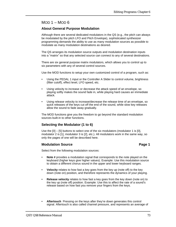## $MOD 1 - MOD 6$

### **About General Purpose Modulation**

Although there are several dedicated modulators in the QS (e.g., the pitch can always be modulated by the pitch LFO and Pitch Envelope), sophisticated synthesizer programming demands the ability to use as many modulation sources as possible to modulate as many modulation destinations as desired.

The QS arranges its modulation source outputs and modulation destination inputs into a "matrix" so that any selected source can connect to any of several destinations.

There are six general purpose matrix modulators, which allows you to control up to six parameters with any of several control sources.

Use the MOD functions to setup your own customized control of a program, such as:

- Using the PEDAL 1 input or the Controller A Slider to control volume, brightness (filter cutoff), effect level, LFO speed, etc.
- Using velocity to increase or decrease the attack speed of an envelope, so playing softly makes the sound fade in, while playing hard causes an immediate attack.
- Using release velocity to increase/decrease the release time of an envelope, so quick releases of the keys cut off the end of the sound, while slow key releases allow the sound to fade away gradually.

The MOD functions give you the freedom to go beyond the standard modulation sources built-in to other functions.

## **Selecting the Modulator (1 to 6)**

Use the [0] – [5] buttons to select one of the six modulators (modulator 1 is [0], modulator 2 is [1], modulator 3 is [2], etc.). All modulators work in the same way, so only the pages of one will be described here.

### **Modulation Source Page 1**

Select from the following modulation sources:

- **Note #** provides a modulation signal that corresponds to the note played on the keyboard (higher keys give higher values). Example: Use this modulation source to obtain a different chorus sound in the upper and lower keyboard ranges.
- **Velocity** relates to how fast a key goes from the key up (note off) to the key down (note on) position, and therefore represents the dynamics of your playing.
- **Release velocity** relates to how fast a key goes from the key down (note on) to the key up (note off) position. Example: Use this to affect the rate of a sound's release based on how fast you remove your fingers from the keys.
- **Aftertouch** Pressing on the keys after they're down generates this control signal. Aftertouch is also called channel pressure, and represents an average of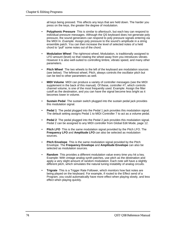all keys being pressed. This affects any keys that are held down. The harder you press on the keys, the greater the degree of modulation.

- **Polyphonic Pressure** This is similar to aftertouch, but each key can respond to individual pressure messages. Although the QS keyboard does not generate poly pressure, the sound generators can respond to poly pressure signals entering via the MIDI In. Example: Assign poly pressure to the sound's amplitude in a string ensemble patch. You can then increase the level of selected notes of a held chord to "pull" some notes out of the chord.
- **Modulation Wheel** The rightmost wheel, Modulation, is traditionally assigned to LFO amount (level) so that rotating the wheel away from you introduces vibrato. However it is also well-suited to controlling timbre, vibrato speed, and many other parameters.
- **Pitch Wheel** The two wheels to the left of the keyboard are modulation sources (see below). The leftmost wheel, Pitch, always controls the oscillator pitch but can be tied to other parameters as well.
- **MIDI Volume** MIDI can produce a variety of controller messages (see the MIDI supplement in the back of this manual). Of these, controller #7, which controls channel volume, is one of the most frequently used. Example: Assign the filter cutoff as the destination, and you can have the signal become less bright as it becomes lower in volume.
- **Sustain Pedal** The sustain switch plugged into the sustain pedal jack provides this modulation signal.
- **Pedal 1** The pedal plugged into the Pedal 1 jack provides this modulation signal. The default setting assigns Pedal 1 to MIDI Controller 7 to act as a volume pedal.
- **Pedal 2** The pedal plugged into the Pedal 2 jack provides this modulation signal. Pedal 2 can be assigned to any MIDI controller from Global Edit Mode, page 12.
- **Pitch LFO** This is the same modulation signal provided by the Pitch LFO. The **Frequency LFO** and **Amplitude LFO** can also be selected as modulation sources.
- **Pitch Envelope** This is the same modulation signal provided by the Pitch Envelope. The **Frequency Envelope** and **Amplitude Envelope** can also be selected as modulation sources.
- **Random** This provides a different modulation value every time you hit a key. Example: With vintage analog synth patches, use pitch as the destination and apply a very slight amount of random modulation. Each note will have a slightly different pitch, which simulates the natural tuning instability of analog circuits.
- **Trigrate** This is a Trigger Rate Follower, which monitors how fast notes are being played on the keyboard. For example, if routed to the Effect send of a Program, you could automatically have more effect when playing slowly, and less effect when playing quickly.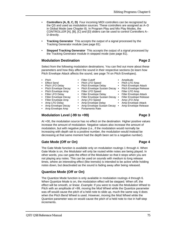- **Controllers (A, B, C, D)** Four incoming MIDI controllers can be recognized by the QS and used as modulation sources. These controllers are assigned as A–D in Global Mode (see Chapter 8). In Program Play and Mix Play Modes, the CONTROLLER [A], [B], [C] and [D] sliders can be used to control Controllers A– D directly.
- **Tracking Generator** This accepts the output of a signal processed by the Tracking Generator module (see page 81).
- **Stepped Tracking Generator** This accepts the output of a signal processed by the Tracking Generator module in stepped mode (see page 81).

### **Modulation Destination Page 2**

Select from the following modulation destinations. You can find out more about these parameters and how they affect the sound in their respective sections (to learn how Pitch Envelope Attack affects the sound, see page 74 on Pitch Envelopes).

• Pitch LFO Speed

- 
- 
- 
- 
- Pitch Envelope Decay Pitch Envelope Sustain Decay Pitch Envelope Release<br>• Pitch Envelope Amp Filter LFO Speed Filter LFO Amp • Pitch Envelope Amp • Filter LFO Speed • Filter LFO Amp
- 
- 
- Filter Envelope Amp Amp LFO Speed Amp LFO Amp
- Amp LFO Delay Amp Envelope Delay Amp Envelope Attack
- 
- Amp Envelope Amp
- **Modulation Level (-99 to +99) Page 3**

At +00, the modulation source has no effect on the destination. Higher positive values increase the amount of modulation. Negative values also increase the amount of modulation, but with negative phase (i.e., if the modulation would normally be increasing with depth set to a positive number, the modulation would instead be decreasing at that same moment had the depth been set to a negative number).

## **Gate Mode (Off or On) Page 4**

The Gate Mode function is available only on modulation routings 1 through 4. When Gate Mode is on, the Modulator will only be routed while notes are being played. In other words, you can gate the effect of the Modulator so that it stops when you are not playing any notes. This can be used on sounds with medium to long release times, where an interesting effect (like tremolo) is intended to be active while holding notes down, but deactivated as the sound is fading away after being released.

## **Quantize Mode (Off or On)**

The Quantize Mode function is only available in modulation routings 4 through 6. When Quantize Mode is on, the modulation effect will be stepped. When off, the effect will be smooth, or linear. Example: If you were to route the Modulation Wheel to Pitch with an amplitude of +99, moving the Mod Wheel while the Quantize parameter was off would cause the pitch of a held note to slide up, much the same way it does when the Pitch Bend Wheel is used. However, moving the Mod Wheel while the Quantize parameter was on would cause the pitch of a held note to rise in half-step increments.

- Pitch Filter Cutoff Amplitude
	-
- Pitch LFO Delay Pitch Envelope Delay Pitch Envelope Attack
	-
	-
- Filter LFO Delay Filter Envelope Delay Filter Envelope Attack
- Filter Envelope Decay Filter Envelope Sustain Decay Filter Envelope Release<br>• Filter Envelope Amp Amp LFO Speed Amp LFO Amp
	-
	-
	- Amp Envelope Decay Amp Envelope Sustain Decay Amp Envelope Release<br>Amp Envelope Amp Portamento Rate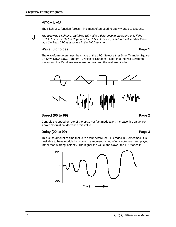J

## PITCH LFO

The Pitch LFO function (press [7]) is most often used to apply vibrato to a sound.

The following Pitch LFO variables will make a difference in the sound only if the PITCH LFO DEPTH (on Page 6 of the PITCH function) is set to a value other than 0, or, if the Pitch LFO is a source in the MOD function.

### **Wave (8 choices) Page 1**

The waveform determines the shape of the LFO. Select either Sine, Triangle, Square, Up Saw, Down Saw, Random+-, Noise or Random+. Note that the two Sawtooth waves and the Random+ wave are unipolar and the rest are bipolar:



## **Speed (00 to 99) Page 2**

Controls the speed or rate of the LFO. For fast modulation, increase this value. For slower modulation, decrease this value.

## **Delay (00 to 99) Page 3**

This is the amount of time that is to occur before the LFO fades in. Sometimes, it is desirable to have modulation come in a moment or two after a note has been played, rather than starting instantly. The higher the value, the slower the LFO fades in.

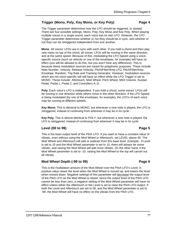## **Trigger (Mono, Poly, Key Mono, or Key Poly) Page 4**

The Trigger parameter determines how the LFO should be triggered, or started. There are four possible settings: Mono, Poly, Key Mono and Key Poly. When playing multiple voices in a single sound, each voice has its own LFO. However, the LFO Trigger parameter determines whether or not they should be in sync, and whether or not they can be retriggered independent from one another.

**Mono**. All voices' LFOs are in sync with each other. If you hold a chord and then play new notes on top of the chord, all voices' LFOs will be moving in the same direction and at the same speed. Because of this, modulating the LFO Speed using a voicespecific source (such as velocity or one of the envelopes, for example) will have no effect (you will be allowed to do this, but you won't hear any difference). This is because these modulation sources are meant for polyphonic purposes. These include: Note Number, Velocity, Release Velocity, Pitch/Filter/Amp LFO, Pitch/Filter/Amp Envelope, Random, Trig Rate and Tracking Generator. However, modulation sources which are not voice-specific will still have an effect while the LFO Trigger is set to MONO. These include: Aftertouch, Mod Wheel, Pitch Wheel, MIDI Volume, Sustain Pedal, Pedal 1, Pedal 2, and Controllers A–D.

**Poly.** Each voice's LFO is independent. If you hold a chord, some voices' LFOs will be moving in one direction while others move in the other direction. If the LFO Speed is being modulated (by one of the envelopes, for example), the LFO's of each voice may be running at different speeds.

**Key Mono.** This is identical to MONO, but whenever a new note is played, the LFO is retriggered, instead of continuing from wherever it may be in its cycle.

**Key Poly.** This is almost identical to POLY, but whenever a new note is played, the LFO is retriggered, instead of continuing from wherever it may be in its cycle.

## **Level (00 to 99) Page 5**

This is the base output level of the Pitch LFO. If you want to have a constant value of vibrato, even without using the Mod Wheel or Aftertouch, set LEVEL above 00. The Mod Wheel and Aftertouch will add or subtract from this base level. Example: If Level is set to 10 and the Mod Wheel parameter is set to 10, there will always be some vibrato, and raising the Mod Wheel will add more vibrato. On the other hand, if the Mod Wheel parameter is set to -10, raising the Mod Wheel to the top will cancel out all vibrato.

## **Mod Wheel Depth (-99 to 99) Page 6**

This is the modulation amount of the Mod Wheel over the Pitch LFO's Level. A positive value raises the level when the Mod Wheel is moved up, and lowers the level when moved down. Negative settings of this parameter will decrease the output level of the Pitch LFO as the Mod Wheel is raised. Since the output level of the Pitch LFO cannot be less than zero, a negative setting of the Mod Wheel parameter will have no effect unless either the Aftertouch or the Level is set to raise the Pitch LFO output. If both the Level and Aftertouch are set to 00, and the Mod Wheel parameter is set to -99, the Mod Wheel will have no effect on the vibrato from the Pitch LFO.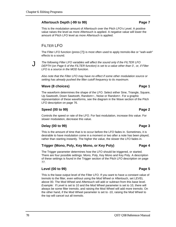J

## **Aftertouch Depth (-99 to 99) Page 7**

This is the modulation amount of Aftertouch over the Pitch LFO's Level. A positive value raises the level as more Aftertouch is applied. A negative value will lower the amount of Pitch LFO level as more Aftertouch is applied.

## FILTER LFO

The Filter LFO function (press [7]) is most often used to apply tremolo-like or "wah-wah" effects to a sound.

The following Filter LFO variables will affect the sound only if the FILTER LFO DEPTH (on Page 6 of the FILTER function) is set to a value other than 0 , or, if Filter LFO is a source in the MOD function.

Also note that the Filter LFO may have no effect if some other modulation source or setting has already pushed the filter cutoff frequency to its maximum.

## **Wave (8 choices) Page 1**

The waveform determines the shape of the LFO. Select either Sine, Triangle, Square, Up Sawtooth, Down Sawtooth, Random+-, Noise or Random+. For a graphic representation of these waveforms, see the diagram in the Wave section of the Pitch LFO description on page 76.

## **Speed (00 to 99) Page 2**

Controls the speed or rate of the LFO. For fast modulation, increase this value. For slower modulation, decrease this value.

## **Delay (00 to 99) Page 3**

This is the amount of time that is to occur before the LFO fades in. Sometimes, it is desirable to have modulation come in a moment or two after a note has been played, rather than starting instantly. The higher the value, the slower the LFO fades in.

## **Trigger (Mono, Poly, Key Mono, or Key Poly) Page 4**

The Trigger parameter determines how the LFO should be triggered, or started. There are four possible settings: Mono, Poly, Key Mono and Key Poly. A description of these settings is found in the Trigger section of the Pitch LFO description on page 77.

### **Level (00 to 99) Page 5**

This is the base output level of the Filter LFO. If you want to have a constant value of tremolo to the filter, even without using the Mod Wheel or Aftertouch, set LEVEL above 00. The Mod Wheel and Aftertouch will add or subtract from this base level. Example: If Level is set to 10 and the Mod Wheel parameter is set to 10, there will always be some filter tremolo, and raising the Mod Wheel will add more tremolo. On the other hand, if the Mod Wheel parameter is set to -10, raising the Mod Wheel to the top will cancel out all tremolo.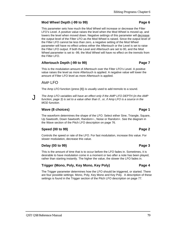## **Mod Wheel Depth (-99 to 99) Page 6**

This parameter sets how much the Mod Wheel will increase or decrease the Filter LFO's Level. A positive value raises the level when the Mod Wheel is moved up, and lowers the level when moved down. Negative settings of this parameter will decrease the output level of the Filter LFO as the Mod Wheel is raised. Since the output level of the Filter LFO cannot be less than zero, a negative setting of the Mod Wheel parameter will have no effect unless either the Aftertouch or the Level is set to raise the Filter LFO output. If both the Level and Aftertouch are set to 00, and the Mod Wheel parameter is set to -99, the Mod Wheel will have no effect on the tremolo from the Filter LFO.

## **Aftertouch Depth (-99 to 99) Page 7**

This is the modulation amount of Aftertouch over the Filter LFO's Level. A positive value raises the level as more Aftertouch is applied. A negative value will lower the amount of Filter LFO level as more Aftertouch is applied.

## AMP LFO

J

The Amp LFO function (press [8]) is usually used to add tremolo to a sound.

The Amp LFO variables will have an effect only if the AMP LFO DEPTH (in the AMP function, page 3) is set to a value other than 0 , or, if Amp LFO is a source in the MOD function.

## **Wave (8 choices) Page 1**

The waveform determines the shape of the LFO. Select either Sine, Triangle, Square, Up Sawtooth, Down Sawtooth, Random+-, Noise or Random+. See the diagram in the Wave section of the Pitch LFO description on page 76.

## **Speed (00 to 99) Page 2**

Controls the speed or rate of the LFO. For fast modulation, increase this value. For slower modulation, decrease this value.

## **Delay (00 to 99) Page 3**

This is the amount of time that is to occur before the LFO fades in. Sometimes, it is desirable to have modulation come in a moment or two after a note has been played, rather than starting instantly. The higher the value, the slower the LFO fades in.

## **Trigger (Mono, Poly, Key Mono, Key Poly) Page 4**

The Trigger parameter determines how the LFO should be triggered, or started. There are four possible settings: Mono, Poly, Key Mono and Key Poly. A description of these settings is found in the Trigger section of the Pitch LFO description on page 77.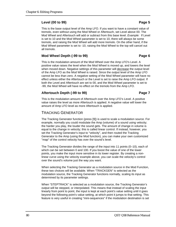### **Level (00 to 99) Page 5**

This is the base output level of the Amp LFO. If you want to have a constant value of tremolo, even without using the Mod Wheel or Aftertouch, set Level above 00. The Mod Wheel and Aftertouch will add or subtract from this base level. Example: If Level is set to 10 and the Mod Wheel parameter is set to 10, there will always be some tremolo, and raising the Mod Wheel will add more tremolo. On the other hand, if the Mod Wheel parameter is set to -10, raising the Mod Wheel to the top will cancel out all tremolo.

### **Mod Wheel Depth (-99 to 99) Page 6**

This is the modulation amount of the Mod Wheel over the Amp LFO's Level. A positive value raises the level when the Mod Wheel is moved up, and lowers the level when moved down. Negative settings of this parameter will decrease the output level of the Amp LFO as the Mod Wheel is raised. Since the output level of the Amp LFO cannot be less than zero. A negative setting of the Mod Wheel parameter will have no effect unless either the Aftertouch or the Level is set to raise the Amp LFO output. If both the Level and Aftertouch are set to 00, and the Mod Wheel parameter is set to -99, the Mod Wheel will have no effect on the tremolo from the Amp LFO.

## **Aftertouch Depth (-99 to 99) Page 7**

This is the modulation amount of Aftertouch over the Amp LFO's Level. A positive value raises the level as more Aftertouch is applied. A negative value will lower the amount of Amp LFO level as more Aftertouch is applied.

## TRACKING GENERATOR

The Tracking Generator function (press [9]) is used to scale a modulation source. For example, normally you could modulate the Amp (volume) of a sound using velocity; the harder you play, the louder the sound gets. The amount of change in volume is equal to the change in velocity; this is called linear control. If instead, however, you set the Tracking Generator's input to "velocity", and then routed the Tracking Generator to the Amp (using the Mod function), you can make your own customized "map" of the control velocity has over the sound's level.

The Tracking Generator divides the range of the input into 11 points (0–10), each of which can be set between 0 and 100. If you boost the value of one of the lower points, you make the input more sensitive in its lower register. By creating a nonlinear curve using the velocity example above, you can scale the velocity's control over the sound's volume just the way you want.

When selecting the Tracking Generator as a modulation source in the Mod Function, these two choices will be available. When "TRACKGEN" is selected as the modulation source, the Tracking Generator functions normally, scaling its input as determined by its parameter settings.

When "STEPTRACK" is selected as a modulation source, the Tracking Generator's output will be stepped, or interpolated. This means that instead of scaling the input linearly from point to point, the input is kept at each point's value setting until it goes beyond the following point's value setting, at which point it jumps to that setting. This feature is very useful in creating "mini-sequences" if the modulation destination is set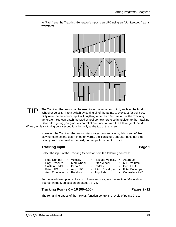

to "Pitch" and the Tracking Generator's input is an LFO using an "Up Sawtooth" as its waveform.

 $T$  $P$ : The Tracking Generator can be used to turn a variable control, such as the Mod Wheel or velocity, into a switch by setting all of the points to 0 except for point 10. Only near the maximum input will anything other than 0 come out of the Tracking generator. You can patch the Mod Wheel somewhere else in addition to the Tracking Generator, giving you gradual control of one function with the full range of the Mod

Wheel, while switching on a second function only at the top of the wheel.

However, the Tracking Generator interpolates between steps; this is sort of like playing "connect the dots." In other words, the Tracking Generator does not step directly from one point to the next, but ramps from point to point.

### **Tracking Input Page 1**

Select the input of the Tracking Generator from the following sources:

- Note Number Velocity Release Velocity Aftertouch<br>• Polv Pressure Mod Wheel Pitch Wheel MIDI Volun
	-
- Poly Pressure Mod Wheel Pitch Wheel MIDI Volume<br>• Sustain Pedal Pedal 1 Pedal 2 Pitch LFO • Sustain Pedal • Pedal 1
- Filter LFO Amp LFO Pitch Envelope Filter Envelope
- Amp Envelope Random Trig Rate Controllers A–D
- 
- -

For detailed descriptions of each of these sources, see the section "Modulation Source" in the Mod section on pages 73–75.

## **Tracking Points 0 – 10 (00–100) Pages 2–12**

The remaining pages of the TRACK function control the levels of points 0–10.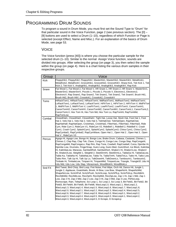## PROGRAMMING DRUM SOUNDS

To program a sound in Drum Mode, you must first set the Sound Type to "Drum" for that particular sound in the Voice Function, page 2 (see previous section). The [0] – [9] buttons are used to select a Drum (1–10), regardless of which Function or Page is selected (except Effect, Name and Misc.). For an explanation of the basics of Drum Mode, see page 53.

## **VOICE**

The Voice function (press [40]) is where you choose the particular sample for the selected drum (1-10). Similar to the normal Assign Voice function, sounds are divided into groups. After selecting the group (on page 3), you then select the sample within the group (on page 4). Here is a chart listing the various drum samples in their respective groups.

| Group       | Voice                                                                                                                                                                                                                                                                                                                                                                                                                                                                                                                                                                                                                                                                                                                                                                                                                                                                                                                                                                                                |
|-------------|------------------------------------------------------------------------------------------------------------------------------------------------------------------------------------------------------------------------------------------------------------------------------------------------------------------------------------------------------------------------------------------------------------------------------------------------------------------------------------------------------------------------------------------------------------------------------------------------------------------------------------------------------------------------------------------------------------------------------------------------------------------------------------------------------------------------------------------------------------------------------------------------------------------------------------------------------------------------------------------------------|
| <b>Kick</b> | FloppyKik1, FloppyKik2, FloppyKikV, MasterKik1, MasterKik2, MasterKikV, MetalKick1,<br>MetalKick2, MetalKickV, GrooveKik1, GrooveKik2, GrooveKikV, Sharp Kick, Tek Kick 1, Tek<br>Kick 2, Tek Kick V, AnalogKik1, AnalogKik2, AnalogKik3, AnalogKikV, Rap Kick                                                                                                                                                                                                                                                                                                                                                                                                                                                                                                                                                                                                                                                                                                                                       |
| Snare       | Fat Wood 1, Fat Wood 2, Fat Wood V, HR Snare 1, HR Snare 2, HR Snare V, MasterSnr1,<br>MasterSnr2, MasterSnrV, Piccolo 1, Piccolo 2, Piccolo V, Electronc1, Electronc2,<br>ElectroncV, Rap Snare1, Rap Snare2, Tek Snare1, Tek Snare2, Tek SnareV, Brush Hit1,<br>Brush Hit2, Brush HitV, Crosstick1, Crosstick2, CrosstickV                                                                                                                                                                                                                                                                                                                                                                                                                                                                                                                                                                                                                                                                         |
| Toms        | HiRackTom1, HiRackTom2, HiRackTomV, MdRackTom1, MdRackTom2, MdRackTomV,<br>LoRackTom1, LoRackTom2, LoRackTomV, HiFIrTom 1, HiFIrTom 2, HiFIrTom V, MidFIrTom<br>1, MidFIrTom 2, MidFIrTom V, LowFIrTom1, LowFIrTom2, LowFIrTomV, CanonTomH1,<br>CanonTomH2, CanonTomHV, CanonTomM2, CanonTomMV, CanonTomL1, CanonTomL2,<br>CanonTomLV, Hex Tom Hi, Hex Tom Md, Hex Tom Lo, RapTomHi, RapTomMid,<br>RapTomLow                                                                                                                                                                                                                                                                                                                                                                                                                                                                                                                                                                                         |
| Cymbal      | ClosedHat1, ClosedHat2, ClosedHatV, Tight Hat, Loose Hat, Slosh Hat, Foot Hat 1, Foot<br>Hat 2, Velo Hat 1, Velo Hat 2, Velo Hat 3, TekHatClsd, TekHatOpen, RapHatClsd,<br>RapHatHalf, RapHatOpen, CricktHat1, CricktHat2, FilterHat1, FilterHat2, FilterHat3, Ride<br>Cym, Ride Cym 2, RideCym V1, RideCym V2, RideBell 1, RideBell 2, RideBell V, Crash<br>Cym1, Crash Cym2, SplashCym1, SplashCym2, SplashCym3, China Cym1, China Cym2,<br>RapCymbal1, RapCymbal2, RapCymWave, Open Hat 1 , Open Hat 2 , Open Hat 3 , Open<br>Hat V, RideCym V3                                                                                                                                                                                                                                                                                                                                                                                                                                                   |
| Percus      | Agogo Hi, Agogo Low, Bongo Hi, Bongo Low, Brake Drum, Cabasa, Castanet, Chimes 1,<br>Chimes 2, Clap Rap, Clap Tek, Clave, Conga Hi, Conga Low, Conga Slap, RapCongaHi,<br>RapCongaMd, RapCongaLo, Rap Rim, Rap Tone, Cowbell, RapCowbell, Cuica, Djembe Hi,<br>Djembe Low, Drumstix, FingerSnap, Guiro Long, Guiro Med, GuiroShort, Ice Block, Kalimba<br>Hi, KalimbaLow, Maracas, SambaWhstl, SambaShort, Shaker1 Hi, Shaker1Low, Shaker2<br>Hi, Shaker2Low, Sleighbl 1, Sleighbl 2, SteelDrmHi, SteelDrmLo, TablaGa Hi, TablaGaLow,<br>Tabla Ka, TablaNa Hi, TablaNaLow, Tabla Te, TablaTinHi, TablaTinLo, Taiko Hi, Taiko Low,<br>Taiko Rim, Talk Up Hi, Talk Up Lo, TalkDownHi, TalkDownLo, Tambourin1, Tambourin2,<br>Timbale Hi, TimbaleLow, Timpani Hi, TimpaniMid, TimpaniLow, Triangle, TriangleSf, Udu Hi,<br>Udu Mid, Udu Low, Udu Slap, Vibrasmack, WoodBlokHi, WoodBlokLo                                                                                                               |
| Snd FX      | Bird Tweet, Bird Chirp, Bird Loop, Fret Noise, Fret Wipe, Orch Hit, Dance Hit, Jungle 1,<br>Jungle 2, Applause, GoatsNails, Brook, Hi Bow, Low Bow, ShapeNzHi, ShapeNzMid,<br>ShapeNzLow, ScrtchPull, ScrtchPush, ScrtchLoop, ScrtchPILp, ScrtcPshLp, RezAttkHi,<br>RezAttkMid, RezAttkLow, RezZipHi, RezZipMid, RezZipLow, Zap 1 Hi, Zap 1 Mid, Zap 1<br>Low, Zap 2 Hi, Zap 2 Mid, Zap 2 Low, Zap 3 Hi, Zap 3 Mid, Zap 3 Low, FltrNzLoop,<br>Romscrape, Rain, Telephone, Sci Loop 1, Sci Loop 2, Sci Loop 3, Bit Field1, Bit Field2, Bit<br>Field3, Bit Field4, Bit Field5, Bit Field6, WavLoop1.0, WavLoop1.1, WavLoop1.2,<br>WavLoop1.3, WavLoop1.4, WavLoop1.5, WavLoop1.6, WavLoop1.7, WavLoop1.8,<br>WavLoop2.0, WavLoop2.1, WavLoop2.2, WavLoop2.3, WavLoop2.4, WavLoop2.5,<br>WavLoop2.6, WavLoop2.7, WavLoop2.8, WavLoop3.0, WavLoop3.1, WavLoop3.2,<br>WavLoop3.3, WavLoop3.4, WavLoop3.5, WavLoop4.0, WavLoop4.1, WavLoop4.2,<br>WavLoop4.3, WavLoop4.4, WavLoop4.5, D-Scrape, D-ScrapeLp |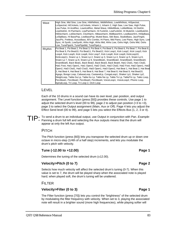| Wave   | High Sine, Mid Sine, Low Sine, HiWhitNoiz, MidWhtNoiz, LowWhtNoiz, HiSpectral,<br>LoSpectral, HiCrickets, LoCrickets, Inharm 1, Inharm 2, High Saw, Low Saw, High Pulse,<br>Low Pulse, Hi AcidRez, LowAcidRez, Metal Wave, HiMetlMute, LoMetlMute, Hi DistGtr,<br>LowDistGtr, Hi PwrHarm, LowPwrHarm, Hi FunkGtr, LowFunkGtr, Hi MuteGtr, LowMuteGtr,<br>HiElecHarm, LoElecHarm, ClscIHarm, HiBassHarm, MidBassHrm, LowBassHrm, HiSlpBass,<br>LoSIpBass, Hi BassPop, LowBassPop, Muted Bass, Stik Bass, StudioBass, JazzFingrd,<br>JazzPic, Fretless, AcousBass, 60's Combo, Hi Piano, Mid Piano, Low Piano, High Sync, Low<br>Sync, Hi Synth, LowSynth, Ahhs High, Ahhs Mid, Ahhs Low, Oohs High, Oohs Mid, Oohs<br>Low, TunePipeHi, TunePipeMd, TunePipeLo                                                                                                                                                                                                                                                                                                                                                                                       |
|--------|----------------------------------------------------------------------------------------------------------------------------------------------------------------------------------------------------------------------------------------------------------------------------------------------------------------------------------------------------------------------------------------------------------------------------------------------------------------------------------------------------------------------------------------------------------------------------------------------------------------------------------------------------------------------------------------------------------------------------------------------------------------------------------------------------------------------------------------------------------------------------------------------------------------------------------------------------------------------------------------------------------------------------------------------------------------------------------------------------------------------------------------------------|
| Rhythm | Psi Beat 1, Psi Beat 2, Psi Beat 3, Psi Beat 4, Psi Beat 5, Psi Beat 6, Psi Beat 7, Psi Beat 8,<br>Psi Beat 9, Psi Beat10, Psi Beat11, Psi Beat12, Kick Loop1, Kick Loop2, Kick Loop3, Kick<br>Loop4, Kick Loop5, Kick Loop6, Kick Loop7, Kick Loop8, Kick Loop9, KickLoop10,<br>KickLoop11, Snare Lp 1, Snare Lp 2, Snare Lp 3, Snare Lp 4, Snare Lp 5, Snare Lp 6,<br>Snare Lp 7, Snare Lp 8, Snare Lp 9, SnareBeat1, SnareBeat2, SnareBeat3, SnareBeat4,<br>SnareBeat5, Back Beat1, Back Beat2, Back Beat3, Back Beat4, Hat1 Clsd1, Hat1 Clsd2,<br>Hat1 Foot, Hat1 Open1, Hat1 Open2, Hat2 Clsd1, Hat2 Clsd2, Hat2 Foot, Hat2 Open1, Hat2<br>Open2, Hat3 Clsd1, Hat3 Clsd2, Hat3 Open1, Hat3 Open2, Hat Beat 1, Hat Beat 2, Hat Beat<br>3, Hat Beat 4, Hat Beat 5, Hat Beat 6, Hat Beat 7, Hat Beat 8, Hat Beat 9, Hat Beat10,<br>Agogo, Bongo Loop, CabasaLoop, CastanetLp, CongaLoop1, Shaker Lp1, Shaker Lp2,<br>SleighLoop, Tabla Ga Lp, Tabla Ka Lp, Tabla Na Lp, Tabla Te Lp, TablaTin Lp, Taiko Loop,<br>PercBeat1, PercBeat2, PercBeat3, PercBeat4, VoiceLoop1, VoiceLoop2, Phonic Loop,<br>SpinalLoop, Tri Loop, Tri Loop 2, Orch Loop |

## LEVEL

Each of the 10 drums in a sound can have its own level, pan position, and output assignment. The Level function (press [50]) provides these controls. Use page 1 to adjust the selected drum's level (00 to 99), page 2 to adjust pan position  $( $3$  to  $>$ 3),$ page 3 to select the Output assignment (Main, Aux or Off). Page 4 lets you adjust the Effect Send level (00 to 99), and page 5 lets you select the Effects Bus (1, 2, 3 or 4).

TIP: To send a drum to an individual output, use Output in conjunction with Pan. Example:<br>TIP: Panning a drum full left and selecting the Aux outputs means that the drum will appear at only the left Aux output.

## **PITCH**

The Pitch function (press [60]) lets you transpose the selected drum up or down one octave in micro-step (1/4th of a half step) increments, and lets you modulate the drum's pitch with velocity.

## **Tune (-12.00 to +12.00) Page 1**

Determines the tuning of the selected drum  $(\pm 12.00)$ .

## **Velocity>Pitch (0 to 7) Page 2**

Selects how much velocity will affect the selected drum's tuning (0-7). When this value is set to 7, the drum will be played sharp when the associated note is played hard; when played soft, the drum's tuning will be unaltered.

## FILTER

## **Velocity>Filter (0 to 3) Page 1**

The Filter function (press [70]) lets you control the "brightness" of the selected drum by modulating the filter frequency with velocity. When set to 3, playing the associated note will result in a brighter sound (more high frequencies), while playing softer will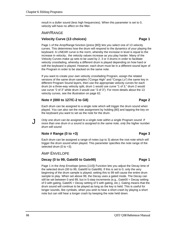result in a duller sound (less high frequencies). When this parameter is set to 0, velocity will have no affect on the filter.

### AMP/RANGE

## **Velocity Curve (13 choices) Page 1**

Page 1 of the Amp/Range function (press [80]) lets you select one of 13 velocity curves. This determines how the drum will respond to the dynamics of your playing the keyboard. A LINEAR curve is the norm, whereby the increase in level is equal to the increase in velocity; the velocity values increase as you play harder. Many of the Velocity Curves make up sets to be used by 2, 3 or 4 drums in order to facilitate velocity crossfading, whereby a different drum is played depending on how hard or soft the keyboard is played. However, each drum must be in a different sound layer of the Program in order to be stacked on the same note.

If you want to create your own velocity crossfading Program, assign the related versions of the same drum samples ("Conga High" and "Conga Lo") the same key in different Program Sound layers, then use the appropriate velocity curves for each drum (in a three-way velocity split, drum 1 would use curve "1 of 3," drum 2 would use curve "2 of 3" while drum 3 would use "3 of 3"). For more details about the 13 velocity curves, see the illustration on page 62.

### **Note # (000 to 127/C-2 to G8) Page 2**

Each drum can be assigned to a single note which will trigger the drum sound when played. You can also set the note assignment by holding [80] and tapping the key on the keyboard you want to set as the note for the drum.

Only one drum can be assigned to a single note within a single Program sound. If more than one drum in a sound is assigned to the same note, only the higher number drum will sound.

## **Note # Range (0 to +3) Page 3**

Each drum can be assigned a range of notes (up to 3) above the root note which will trigger the drum sound when played. This parameter specifies the note range of the selected drum  $(0 to +3)$ .

## AMP ENVELOPE

### **Decay (0 to 99, Gate00 to Gate99) Page 1**

Page 1 in the Amp Envelope (press [110]) Function lets you adjust the Decay time of the selected drum (00 to 99, Gate00 to Gate99). If this is set to 0, only the very beginning of the drum sample is played; setting this to 99 will cause the entire drum sample to play. When set above 99, the Decay uses a gated mode. The Decay can still be set between 0 and 99, but in 5-step increments (e.g., Gate00 = Decay setting of 0 with gating, Gate05 = Decay setting of 5 with gating, etc.). Gating means that the drum sound will continue to be played as long as the key is held. This is useful for longer sounds, like cymbals, when you wish to hear a short crash by playing a short note but can still hear a longer crash by keeping the note held down.

J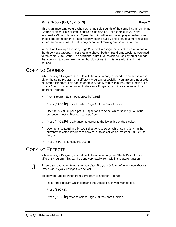## **Mute Group (Off, 1, 2, or 3) Page 2**

This is an important feature when using multiple sounds of the same instrument. Mute Groups allow multiple drums to share a single voice. For example, if you have assigned a Closed Hat and an Open Hat to two different notes, playing either note should cut-off the other (if it had recently been played). This creates a more realistic sound, since an actual Hi Hat is only capable of making one sound at a time.

In the Amp Envelope function, Page 2 is used to assign the selected drum to one of the three Mute Groups. In our example above, both Hi Hat drums would be assigned to the same Mute Group. The additional Mute Groups can be used by other sounds that you wish to cut-off each other, but do not want to interfere with the Hi Hat sounds.

## COPYING SOUNDS

While editing a Program, it is helpful to be able to copy a sound to another sound in either the same Program or a different Program, especially if you are building a split or layered Program. This can be done very easily from within the Store function. To copy a Sound to another sound in the same Program, or to the same sound in a different Program:

- ¿ From Program Edit mode, press [STORE].
- ¡ Press [PAGE ] twice to select Page 2 of the Store function.
- ¬ Use the [s VALUE] and [VALUE t] buttons to select which sound (1–4) in the currently selected Program to copy from.
- $\sqrt{\phantom{a}}$  Press [PAGE  $\blacktriangleright$ ] to advance the cursor to the lower line of the display.
- $f$  Use the [s VALUE] and [VALUE t] buttons to select which sound (1–4) in the currently selected Program to copy to; or to select which Program (00–127) to copy to.
- ≈ Press [STORE] to copy the sound.

## COPYING EFFECTS

While editing a Program, it is helpful to be able to copy the Effects Patch from a different Program. This can be done very easily from within the Store function.



Be sure to save your changes to the edited Program before going to a new Program. Otherwise, all your changes will be lost.

To copy the Effects Patch from a Program to another Program:

- ¿ Recall the Program which contains the Effects Patch you wish to copy.
- ¡ Press [STORE].
- ¬ Press [PAGE ] twice to select Page 2 of the Store function.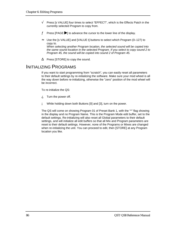- $\sqrt{ }$  Press [s VALUE] four times to select "EFFECT", which is the Effects Patch in the currently selected Program to copy from.
- $f$  Press [PAGE  $\blacksquare$ ] to advance the cursor to the lower line of the display.
- ≈ Use the [s VALUE] and [VALUE t] buttons to select which Program (0–127) to copy to. When selecting another Program location, the selected sound will be copied into the same sound location in the selected Program. If you select to copy sound 2 to Program 45, the sound will be copied into sound 2 of Program 45.
- $\Delta$  Press [STORE] to copy the sound.

## INITIALIZING PROGRAMS

If you want to start programming from "scratch", you can easily reset all parameters to their default settings by re-initializing the software. Make sure your mod wheel is all the way down before re-initializing, otherwise the "zero" position of the mod wheel will be incorrect.

To re-initialize the QS:

- ¿ Turn the power off.
- ¡ While holding down both Buttons [0] and [3], turn on the power.

The QS will come on showing Program 01 of Preset Bank 1, with the "\*" flag showing in the display and no Program Name. This is the Program Mode edit buffer, set to the default settings. Re-initializing will also reset all Global parameters to their default settings, and will initialize all edit buffers so that all Mix and Program parameters are reset to their default settings. However, none of the Programs or Mixes are changed when re-initializing the unit. You can proceed to edit, then [STORE] at any Program location you like.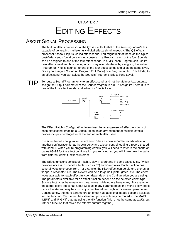# CHAPTER 7 EDITING EFFECTS

## ABOUT SIGNAL PROCESSING

The built-in effects processor of the QS is similar to that of the Alesis QuadraVerb 2, capable of generating multiple, fully digital effects simultaneously. The QS effects processor has four inputs, called effect sends. You might think of these as the typical post-fader sends found on a mixing console. In a Program, each of the four Sounds can be assigned to one of the four effect sends. In a Mix, each Program can use its own effects level and bus routing or you may override these by assigning the entire Program (all 4 of its sounds) to one of the four effect sends and all at the same level. Once you assign a Sound (in Program Edit Mode) or a Program (in Mix Edit Mode) to an effect send, you can adjust the Sound's/Program's Effect Send Level.

TIP: To route a Sound/Program only to an effect send, and not the Main or Aux outputs, assign the Output parameter of the Sound/Program to "OFF," assign its Effect Bus to one of the four effect sends, and adjust its Effects Level.



The Effect Patch's Configuration determines the arrangement of effect functions of each effect send. Imagine a Configuration as an arrangement of multiple effects processors patched together at the end of each effect send.

Example: In one configuration, effect send 3 has its own separate reverb, while in another configuration it has its own delay and a level control feeding a reverb shared with send 1. When you're programming effects, you will need to refer to the charts on pages 88–93 for the effect configuration you're using, so you will know how the paths from different effect functions interact.

The Effect functions consist of: Pitch, Delay, Reverb and in some cases Misc. (which provides access to special effects such as EQ and Overdrive). Each function has several types to choose from. For example, the Pitch effect can be either a chorus, a flange, a resonator, etc. The Reverb can be a large hall, plate, gated, etc. The effect types available for each effect function depends on the Configuration you are using. The parameters available for an effect function depend on the selected effect type. Some effect types have very few parameters, while others have many. For example, the stereo delay effect has about twice as many parameters as the mono delay effect (since the stereo delay has two adjustments– left and right – for several parameters). Consequently, the more parameters an effect has, additional pages become available for that function. Each effect has stereo outputs, which may be routed to the MAIN [LEFT] and [RIGHT] outputs using the Mix function (this is not the same as a Mix, but rather a function that mixes the effects' outputs together).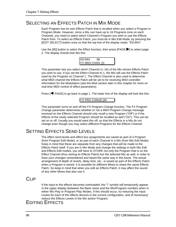## **SELECTING AN EFFECTS PATCH IN MIX MODE**

Each Program has its own Effects Patch that is recalled when you select a Program in Program Mode. However, since a Mix can have up to 16 Programs (one on each Channel), you need to select which Channel's Program you wish to use the Effects Patch from. To select an Effects Patch, you must be in Mix Edit Mode, by pressing the [EDIT SELECT] button once so that the top line of the display reads: "ED:MIX".

Use the [80] button to select the Effect function, then press [PAGE in ] to select page 2. The display should look like this:

| ED:MIX                  | πß |
|-------------------------|----|
| <b>FX MIDI CHAN: 01</b> |    |

This parameter lets you select which Channel (1–16) of the Mix whose Effects Patch you wish to use. If you set the Effect Channel to 1, the Mix will use the Effects Patch used by the Program on Channel 1. The Effect Channel is also used to determine what MIDI channel the Effects Patch will be set to for receiving MIDI controller information for the Modulators (see the Mod section later in this chapter for more on real-time MIDI control of effect parameters).

Press [ $\blacksquare$  PAGE] to go back to page 1. The lower line of the display will look like this:

## FX PRG CHNGE:0N

This parameter turns on and off the FX Program Change function. The FX Program Change parameter determines whether or not a MIDI Program Change message received on the Effects Channel should only recall a new Program ("Off") or if the Effects of the newly selected Program should be recalled as well ("On"). This can be set on or off. Usually you would want this off, so that the Effects in a Mix do not change even though you may select different Programs for the Effects Channel.

## SETTING EFFECTS SEND LEVELS

The effect send levels and effect bus assignments are saved as part of a Program (from Program Edit Mode), or as part of each Channel in a Mix (from Mix Edit Mode). Keep in mind that these are separate from any changes that will be made to the Effects Patch itself. If you are in Mix Mode and change the settings in both Mix Edit and Effects Edit modes, you will have to STORE not only the Program that is on the Effect Channel (thus storing its Effects Patch) but the selected Mix as well, in order to have your changes remembered and heard the same way in the future. The actual arrangement of depth of reverb, delay time, etc., is saved as part of the Effects Patch when a Program is stored. It is possible for different Mixes to share the same Effects Patch. So keep in mind that when you edit an Effects Patch, it may affect the sound of any other Mixes that also use it.

## CLIP

If the input to the effects becomes overloaded, the "!" symbol will temporarily appear in the upper display (between the Bank name and the Mix/Program number) when in either Mix Play or Program Play Modes. If this should occur, try reducing the Input Levels for each of the effects devices in the current configuration, and (if necessary) reduce the Effects Levels in the Mix and/or Program.

## EDITING EFFECTS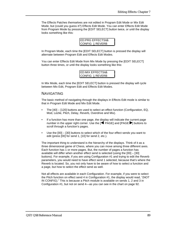The Effects Patches themselves are not edited in Program Edit Mode or Mix Edit Mode, but (could you guess it?) Effects Edit Mode. You can enter Effects Edit Mode from Program Mode by pressing the [EDIT SELECT] button twice, or until the display looks something like this:

| $ED:PRG$ EFFECTS $\pi$ å |  |
|--------------------------|--|
| CONFIG: 1 REVERB         |  |

In Program Mode, each time the [EDIT SELECT] button is pressed the display will alternate between Program Edit and Effects Edit Modes.

You can enter Effects Edit Mode from Mix Mode by pressing the [EDIT SELECT] button three times, or until the display looks something like this:

| $\mathsf{I}\,\mathsf{ED}\text{:}\mathsf{MI}$ Χ ΕFFECT $\mathsf{S}\pi$ å |  |
|-------------------------------------------------------------------------|--|
| I CONFIG: 1 REVERB                                                      |  |

In Mix Mode, each time the [EDIT SELECT] button is pressed the display will cycle between Mix Edit, Program Edit and Effects Edit Modes.

### NAVIGATING

The basic method of navigating through the displays in Effects Edit mode is similar to that in Program Edit Mode and Mix Edit Mode.

- The [40] [120] buttons are used to select an effect function (Configuration, EQ, Mod, Lezlie, Pitch, Delay, Reverb, Overdrive and Mix).
- If a function has more than one page, the display will indicate the current page number in the upper right corner. Use the [ PAGE] and [PAGE ] buttons to scroll through a function's pages.
- Use the  $[00]$   $[30]$  buttons to select which of the four effect sends you want to edit (press [00] for send 1, [10] for send 2, etc.).

The important thing to understand is the hierarchy of the displays. Think of it as a three dimensional game of Chess, where you can move among three different axes. Each function has 1 or more pages. But, the number of pages a function has available will differ when another effect send is selected (using the [00] – [30] buttons). For example, if you are using Configuration #1 and trying to edit the Reverb parameters, you would need to have effect send 1 selected, because that's where the Reverb is located. So, you not only have to be aware of how to select a function and a page, but how to select the effect send as well.

Not all effects are available in each Configuration. For example, if you were to select the Pitch function on effect send 4 in Configuration #1, the display would read, "(NOT IN CONFIG)." This is because a Pitch module is available on sends 1, 2 and 3 in Configuration #1, but not on send 4—as you can see in the chart on page 92.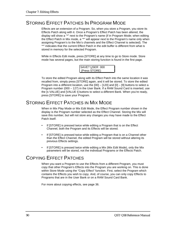## STORING EFFECT PATCHES IN PROGRAM MODE

Effects are an extension of a Program. So, when you store a Program, you store its Effects Patch along with it. Once a Program's Effect Patch has been altered, the display will show a "\*" next to the Program's name (if in Program Mode; when editing the Effect Patch in Mix mode, a "\*" will appear next to the Program's name only when assigning Program's to the Mix's channels and the Effect Channel is selected). The "\*" indicates that the current Effect Patch in the edit buffer is different from what is stored in memory for the selected Program.

While in Effects Edit mode, press [STORE] at any time to go to Store mode. Store mode has several pages, but the main storing function is found in the first page.

| SAVE? USER 000 |  |
|----------------|--|
| (Press STORE)  |  |

To store the edited Program along with its Effect Patch into the same location it was recalled from, simply press [STORE] again, and it will be stored. To store the edited Program into a different location, use the [00] – [120] and [0] – [9] buttons to select a Program number (000 – 127) in the User Bank. If a RAM Sound Card is inserted, use the [s VALUE] and [VALUE t] buttons to select a different Bank. When you're ready, press [STORE] to save your Program.

## STORING EFFECT PATCHES IN MIX MODE

When in Mix Play Mode or Mix Edit Mode, the Effect Program number shown in the display is the Program number selected as the Effect Channel. Storing the Mix will save this number, but will not store any changes you may have made to the Effect Patch itself.

- If [STORE] is pressed twice while editing a Program that is on the Effect Channel, both the Program and its Effects will be stored.
- If [STORE] is pressed twice while editing a Program that is on a Channel other than the Effect Channel, the edited Program will be stored without altering its previous Effects settings.
- If [STORE] is pressed twice while editing a Mix (Mix Edit Mode), only the Mix parameters will be stored, not the individual Programs or the Effects Patch.

## COPYING EFFECT PATCHES

When you want a Program to use the Effects from a different Program, you must copy that other Program's Effects into the Program you are working on. This is done within Store Mode using the "Copy Effect" function. First, select the Program which contains the Effects you wish to copy. And, of course, you can only copy Effects to Programs that are in the User Bank or on a RAM Sound Card Bank.

For more about copying effects, see page 36.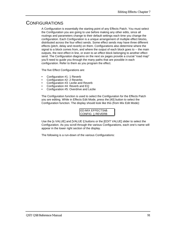## **CONFIGURATIONS**

A Configuration is essentially the starting point of any Effects Patch. You must select the Configuration you are going to use before making any other edits, since all routings and parameters change to their default settings each time you change the configuration. Each Configuration is a unique arrangement of multiple effect blocks, distributed across the four effect sends. Some effect sends may have three different effects (pitch, delay and reverb) on them. Configurations also determine where the signal to a block comes from, and where the output of each block goes to -- the main outputs, the next effect in line, or even to an effect block belonging to another effect send. The Configuration diagrams on the next six pages provide a crucial "road map" you'll need to guide you through the many paths that are possible in each configuration. Refer to them as you program the effect.

The five Effect Configurations are:

- Configuration #1: 1 Reverb
- Configuration #2: 2 Reverbs
- Configuration #3: Lezlie and Reverb
- Configuration #4: Reverb and EQ
- Configuration #5: Overdrive and Lezlie

The Configuration function is used to select the Configuration for the Effects Patch you are editing. While in Effects Edit Mode, press the [40] button to select the Configuration function. The display should look like this (from Mix Edit Mode):



Use the [s VALUE] and [VALUE t] buttons or the [EDIT VALUE] slider to select the Configuration. As you scroll through the various Configurations, each one's name will appear in the lower right section of the display.

The following is a run-down of the various Configurations: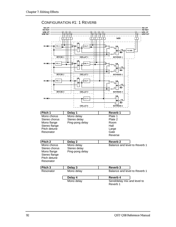

CONFIGURATION #1: 1 REVERB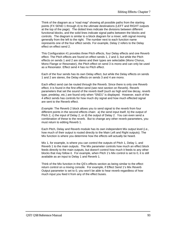Think of the diagram as a "road map" showing all possible paths from the starting points (FX SEND 1 through 4) to the ultimate destinations (LEFT and RIGHT outputs at the top of the page). The dotted lines indicate the divisions between different functional blocks, and the solid lines indicate signal paths between the blocks and controls. The diagram is similar to a block diagram for a mixer, with signal moving generally from the left to the right. The number next to each function name represents one of the four effect sends. For example, Delay 2 refers to the Delay effect on effect send 2.

This Configuration #1 provides three Pitch effects, four Delay effects and one Reverb effect. The Pitch effects are found on effect sends 1, 2 and 3, but while the Pitch effects on sends 1 and 2 are stereo and their types are selectable (Mono Chorus, Mono Flange or Resonator), the Pitch effect on send 3 is mono and can only be used as a Resonator. Effect send 4 has no Pitch effect.

Each of the four sends has its own Delay effect, but while the Delay effects on sends 1 and 2 are stereo, the Delay effects on sends 3 and 4 are mono.

Each effect send can be routed through the Reverb. Since there is only one Reverb effect, it is found in the first effect send (see next section on Reverb). Reverb parameters that set the sound of the reverb itself (such as high and low decay, reverb type, predelay, etc.) are found only when "SND1" is displayed. However, each of the 4 effect sends has controls for how much dry signal and how much effected signal are sent to the Reverb effect.

Example: The Reverb 2 block allows you to send signal to the reverb from four different points in the second effects chain: a) the send input itself, b) the output of Pitch 2, c) the input of Delay 2, or d) the output of Delay 2. You can even send a combination of these to the reverb. But to change any other reverb parameters, you must return to editing Reverb 1.

Each Pitch, Delay and Reverb module has its own independent Mix output level (i.e., how much of their output is routed directly to the Main Left and Right outputs). The Mix function is where you determine how the effects will actually be heard.

Mix 1, for example, is where you can control the outputs of Pitch 1, Delay 1, and Reverb 1 to the main outputs. The Mix parameter controls how much an effect block feeds directly to the main outputs, but doesn't control how much it feeds to any other blocks that may follow it. For example, when Pitch 1's Mix control is set to 0, it is still available as an input to Delay 1 and Reverb 1.

Think of the Mix function in the QS's effects section as being similar to the effect return control on a mixing console. For example, if Effect Send 1's Mix Reverb Output parameter is set to 0, you won't be able to hear reverb regardless of how much input you feed it from any of the effect buses.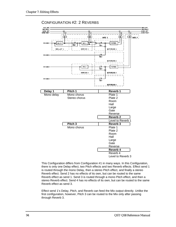

CONFIGURATION #2: 2 REVERBS

This Configuration differs from Configuration #1 in many ways. In this Configuration, there is only one Delay effect, two Pitch effects and two Reverb effects. Effect send 1 is routed through the mono Delay, then a stereo Pitch effect, and finally a stereo Reverb effect. Send 2 has no effects of its own, but can be routed to the same Reverb effect as send 1. Send 3 is routed through a mono Pitch effect, and then a stereo Reverb effect. Send 4 has no effects of its own, but can be routed to the same Reverb effect as send 3.

Effect send 1's Delay, Pitch, and Reverb can feed the Mix output directly. Unlike the first configuration, however, Pitch 3 can be routed to the Mix only after passing through Reverb 3.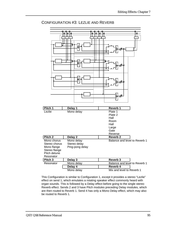



This Configuration is similar to Configuration 1, except it provides a stereo "Lezlie" effect on send 1, which emulates a rotating speaker effect commonly heard with organ sounds. This is followed by a Delay effect before going to the single stereo Reverb effect. Sends 2 and 3 have Pitch modules preceding Delay modules, which are then routed to Reverb 1. Send 4 has only a Mono Delay effect, which may also be routed to Reverb 1.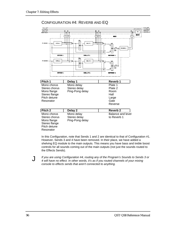

### CONFIGURATION #4: REVERB AND EQ

In this Configuration, note that Sends 1 and 2 are identical to that of Configuration #1. However, Sends 3 and 4 have been removed. In their place, we have added a shelving EQ module to the main outputs. This means you have bass and treble boost controls for all sounds coming out of the main outputs (not just the sounds routed to the Effects Sends).

If you are using Configuration #4, routing any of the Program's Sounds to Sends 3 or 4 will have no effect. In other words, it's as if you routed channels of your mixing console to effects sends that aren't connected to anything.

J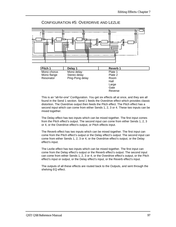

CONFIGURATION #5: OVERDRIVE AND LEZLIE

This is an "all-for-one" Configuration. You get six effects all at once, and they are all found in the Send 1 section. Send 1 feeds the Overdrive effect which provides classic distortion. The Overdrive output then feeds the Pitch effect. The Pitch effect has a second input which can come from either Sends 1, 2, 3 or 4. These two inputs can be mixed together.

The Delay effect has two inputs which can be mixed together. The first input comes from the Pitch effect's output. The second input can come from either Sends 1, 2, 3 or 4, or the Overdrive effect's output, or Pitch effects input.

The Reverb effect has two inputs which can be mixed together. The first input can come from the Pitch effect's output or the Delay effect's output. The second input can come from either Sends 1, 2, 3 or 4, or the Overdrive effect's output, or the Delay effect's input.

The Lezlie effect has two inputs which can be mixed together. The first input can come from the Delay effect's output or the Reverb effect's output. The second input can come from either Sends 1, 2, 3 or 4, or the Overdrive effect's output, or the Pitch effect's input or output, or the Delay effect's input, or the Reverb effect's input.

The outputs of all these effects are routed back to the Outputs, and sent through the shelving EQ effect.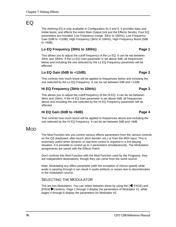## EQ

The shelving EQ is only available in Configuration #s 4 and 5. It provides bass and treble boost, and effects the entire Main Output (not just the Effects Sends). Four EQ parameters are included: Low Frequency (range: 30Hz to 180Hz), Low Frequency Gain (0dB to +12dB), High Frequency (3kHz to 10kHz), High Frequency Boost (0dB to +9dB).

## **Lo EQ Frequency (30Hz to 180Hz) Page 1**

This allows you to adjust the cutoff frequency of the Lo EQ. It can be set between 30Hz and 180Hz. If the Lo EQ Gain parameter is set above 0dB, all frequencies below and including the one selected by the Lo EQ Frequency parameter will be affected.

## **Lo EQ Gain (0dB to +12dB) Page 2**

This controls how much boost will be applied to frequencies below and including the one selected by the Lo EQ Frequency. It can be set between 0dB and +12dB.

## **Hi EQ Frequency (3kHz to 10kHz) Page 3**

This allows you to adjust the cutoff frequency of the Hi EQ. It can be set between 3kHz and 10kHz. If the Hi EQ Gain parameter is set above 0dB, all frequencies above and including the one selected by the Hi EQ Frequency parameter will be affected.

## **Hi EQ Gain (0dB to +9dB) Page 4**

This controls how much boost will be applied to frequencies above and including the one selected by the Hi EQ Frequency. It can be set between 0dB and +9dB.

## **MOD**

The Mod Function lets you control various effects parameters from the various controls on the QS (keyboard, after-touch, pitch-bender, etc.) or from the MIDI input. This is extremely useful when dynamic or real-time control is required in a live playing situation. It is possible to control up to 2 parameters simultaneously. The Modulation assignments are saved with the Effects Patch.

Don't confuse this Mod Function with the Mod Function used by the Programs; they are independent destinations, though they can come from the same source.

Note: Modulating any effect parameter (with the exception of chorus speed) while audio is passing through it can result in audio artifacts or noises due to discontinuities in the modulation source.

## SELECTING THE MODULATOR

The are two Modulators. You can select between these by using the [ PAGE] and  $[PAGE]$  buttons. Page 1 through 3 display the parameters of Modulator #1, while pages 4 through 6 display the parameters for Modulator #2.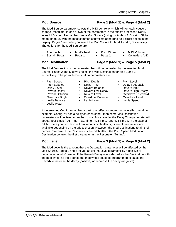## **Mod Source Page 1 (Mod 1) & Page 4 (Mod 2)**

The Mod Source parameter selects the MIDI controller which will remotely cause a change (modulate) in one or two of the parameters in the effects processor. Nearly every MIDI controller can become a Mod Source (using controllers A-D, set in Global mode, page 3), with the most common controllers appearing as a direct option in the display. Pages 1 and 4 let you select the Mod Source for Mod 1 and 2, respectively. The options for the Mod Source are:

- Aftertouch Mod Wheel Pitch Wheel MIDI Volume
	-
- 
- 
- Sustain Pedal Pedal 1 Pedal 2 Controllers A–D
- 
- 
- 

**Mod Destination Page 2 (Mod 1) & Page 5 (Mod 2)**

The Mod Destination is the parameter that will be controlled by the selected Mod Source. Pages 2 and 5 let you select the Mod Destination for Mod 1 and 2, respectively. The possible Destination parameters are:

- 
- 
- 
- 
- 
- 
- 
- 
- Lezlie Motor
- Pitch Speed Pitch Depth Pitch Level
	-
- Delay Level Reverb Balance Reverb Input
	-
	-
- Overdrive Bright Overdrive Balance Overdrive Level
- Lezlie Balance Lezlie Level Lezlie Speed
- 
- Pitch Balance Delay Time Delay Feedback
	-
	-
- **Proverb Decay** Reverb Low Decay Reverb High Decay<br> **Reverb Diffusion** Reverb Level Overdrive Threshold • Reverb Diffusion • Reverb Level • Overdrive Threshold
	-
	-

If the selected Configuration has a particular effect on more than one effect send (for example, Config. #1 has a delay on each send), then some Mod Destination parameters will be listed more than once. For example, the Delay Time parameter will appear four times ("D1 Time," "D2 Time," "D3 Time," and "D4 Time"). In the case of Pitch, where you can choose from various pitch effects, different parameters are available depending on the effect chosen. However, the Mod Destinations retain their names. Example: If the Resonator is the Pitch effect, the Pitch Speed Modulation Destination controls the first parameter in the Resonator (Tuning).

## **Mod Level Page 3 (Mod 1) & Page 6 (Mod 2)**

The Mod Level is the amount that the Destination parameter will be affected by the Mod Source. Pages 3 and 6 let you adjust the Level parameter by a positive or negative amount. Example: If the Reverb Decay was selected as the Destination with the mod wheel as the Source, the mod wheel could be programmed to cause the Reverb to increase the decay (positive) or decrease the decay (negative).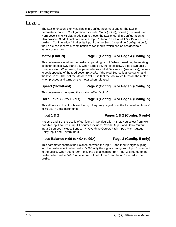## **LEZLIE**

The Lezlie function is only available in Configuration #s 3 and 5. The Lezlie parameters found in Configuration 3 include: Motor (on/off), Speed (fast/slow), and Horn Level (-6 to +6 db). In addition to these, the Lezlie found in Configuration #6 also provides 3 additional parameters: Input 1, Input 2 and Input 1 & 2 Balance. The Lezlie in Configuration #3 takes its input from the Send 1 signal. In Configuration 5, the Lezlie can receive a combination of two inputs, which can be assigned to a variety of sources.

## **Motor (On/Off) Page 1 (Config. 3) or Page 4 (Config. 5)**

This determines whether the Lezlie is operating or not. When turned on, the rotating speaker effect slowly starts up. When turned off, the effect slowly dies down until a complete stop. When using this parameter as a Mod Destination (see above), be sure to set it opposite of the Mod Level. Example: If the Mod Source is a footswitch and the level is at +100, set the Motor to "OFF" so that the footswitch turns on the motor when pressed and turns off the motor when released.

## **Speed (Slow/Fast) Page 2 (Config. 3) or Page 5 (Config. 5)**

This determines the speed the rotating effect "spins".

## **Horn Level (-6 to +6 dB) Page 3 (Config. 3) or Page 6 (Config. 5)**

This allows you to cut or boost the high frequency signal from the Lezlie effect from -6 to +6 dB, in 1 dB increments.

## **Input 1 & 2 Pages 1 & 2 (Config. 5 only)**

Pages 1 and 2 of the Lezlie effect found in Configuration #5 lets you select from two possible input sources. Input 1 sources include: Reverb Output and Delay Output. Input 2 sources include: Send 1 – 4, Overdrive Output, Pitch Input, Pitch Output, Delay Input and Reverb Input.

## **Input Balance (<99 to <0> to 99>) Page 3 (Config. 5 only)**

This parameter controls the Balance between the Input 1 and Input 2 signals going into the Lezlie effect. When set to "<99", only the signal coming from Input 1 is routed to the Lezlie. When set to "99>", only the signal coming from Input 2 is routed to the Lezlie. When set to "<0>", an even mix of both Input 1 and Input 2 are fed to the Lezlie.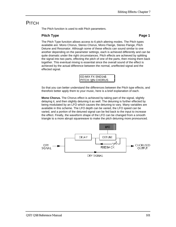## **PITCH**

The Pitch function is used to edit Pitch parameters.

## **Pitch Type Page 1**

The Pitch Type function allows access to 6 pitch altering modes. The Pitch types available are: Mono Chorus, Stereo Chorus, Mono Flange, Stereo Flange, Pitch Detune and Resonator. Although some of these effects can sound similar to one another depending on the parameter settings, each is achieved differently and can be quite dramatic under the right circumstances. Pitch effects are achieved by splitting the signal into two parts, effecting the pitch of one of the parts, then mixing them back together. This eventual mixing is essential since the overall sound of the effect is achieved by the actual difference between the normal, uneffected signal and the effected signal.

| ED: MIX FX SND1πå |  |
|-------------------|--|
| PITCH: MN CHORUS  |  |

So that you can better understand the differences between the Pitch type effects, and therefore better apply them to your music, here is a brief explanation of each.

**Mono Chorus.** The Chorus effect is achieved by taking part of the signal, slightly delaying it, and then slightly detuning it as well. The detuning is further effected by being modulated by an LFO which causes the detuning to vary. Many variables are available in this scheme. The LFO depth can be varied, the LFO speed can be varied, and a portion of the detuned signal can be fed back to the input to increase the effect. Finally, the waveform shape of the LFO can be changed from a smooth triangle to a more abrupt squarewave to make the pitch detuning more pronounced.

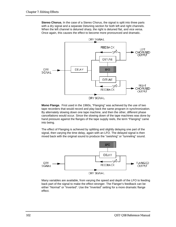**Stereo Chorus.** In the case of a Stereo Chorus, the signal is split into three parts with a dry signal and a separate Detuning section for both left and right channels. When the left channel is detuned sharp, the right is detuned flat, and vice versa. Once again, this causes the effect to become more pronounced and dramatic.



**Mono Flange.** First used in the 1960s, "Flanging" was achieved by the use of two tape recorders that would record and play back the same program in synchronization. By alternately slowing down one tape machine, and then the other, different phase cancellations would occur. Since the slowing down of the tape machines was done by hand pressure against the flanges of the tape supply reels, the term "Flanging" came into being.

The effect of Flanging is achieved by splitting and slightly delaying one part of the signal, then varying the time delay, again with an LFO. The delayed signal is then mixed back with the original sound to produce the "swishing" or "tunneling" sound.



Many variables are available, from varying the speed and depth of the LFO to feeding back part of the signal to make the effect stronger. The Flanger's feedback can be either "Normal" or "Inverted". Use the "Inverted" setting for a more dramatic flange effect.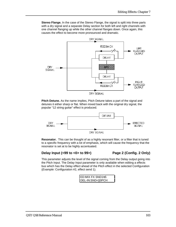**Stereo Flange.** In the case of the Stereo Flange, the signal is split into three parts with a dry signal and a separate Delay section for both left and right channels with one channel flanging up while the other channel flanges down. Once again, this causes the effect to become more pronounced and dramatic.



**Pitch Detune.** As the name implies, Pitch Detune takes a part of the signal and detunes it either sharp or flat. When mixed back with the original dry signal, the popular "12 string guitar" effect is produced.



**Resonator.** This can be thought of as a highly resonant filter, or a filter that is tuned to a specific frequency with a lot of emphasis, which will cause the frequency that the resonator is set at to be highly accentuated.

### **Delay Input (<99 to <0> to 99>) Page 2 (Config. 2 Only)**

This parameter adjusts the level of the signal coming from the Delay output going into the Pitch Input. The Delay Input parameter is only available when editing a effects bus which has the Delay effect ahead of the Pitch effect in the selected Configuration (Example: Configuration #2, effect send 1).

| ED: MIX FX SND1πß |  |
|-------------------|--|
| DEL-IN:SND<00PCH  |  |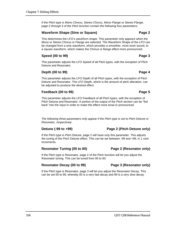If the Pitch type is Mono Chorus, Stereo Chorus, Mono Flange or Stereo Flange, page 2 through 5 of the Pitch function contain the following four parameters:

### **Waveform Shape (Sine or Square) Page 2**

This determines the LFO's waveform shape. This parameter only appears when the Mono or Stereo Chorus or Flange are selected. The Waveform Shape of the LFO can be changed from a sine waveform, which provides a smoother, more even sound, to a square waveform, which makes the Chorus or flange effect more pronounced.

## **Speed (00 to 99) Page 3**

This parameter adjusts the LFO Speed of all Pitch types, with the exception of Pitch Detune and Resonator.

## **Depth (00 to 99) Page 4**

This parameter adjusts the LFO Depth of all Pitch types, with the exception of Pitch Detune and Resonator. The LFO Depth, which is the amount of pitch alteration, can be adjusted to produce the desired effect.

### **Feedback (00 to 99) Page 5**

This parameter adjusts the LFO Feedback of all Pitch types, with the exception of Pitch Detune and Resonator. A portion of the output of the Pitch section can be "fed back" into the input in order to make the effect more tonal or pronounced.

The following three parameters only appear if the Pitch type is set to Pitch Detune or Resonator, respectively.

## **Detune (-99 to +99) Page 2 (Pitch Detune only)**

If the Pitch type is Pitch Detune, page 2 will have only this parameter. This adjusts the tuning of the Pitch Detune effect. This can be set between -99 and +99, in 1 cent increments.

## **Resonator Tuning (00 to 60) Page 2 (Resonator only)**

If the Pitch type is Resonator, page 2 of the Pitch function will let you adjust the Resonator tuning. This can be tuned from 00 to 60.

### **Resonator Decay (00 to 99) Page 3 (Resonator only)**

If the Pitch type is Resonator, page 3 will let you adjust the Resonator Decay. This can be set 00 to 99, whereby 00 is a very fast decay and 99 is a very slow decay.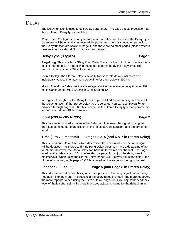## **DELAY**

The Delay function is used to edit Delay parameters. The QS's effects processor has three different Delay types available.

**Note:** Some Configurations only feature a mono Delay, and therefore the Delay Type parameter will be unavailable. Instead the parameters normally found on page 2 of the Delay function are shown in page 1, and there are no other pages (please refer to next section for a description of those parameters).

## **Delay Type (3 types) Page 1**

**Ping-Pong.** This is called a "Ping Pong Delay" because the output bounces from side to side (left to right) in stereo with the speed determined by the delay time. The maximum delay time is 399 milliseconds.

**Stereo Delay.** The Stereo Delay is actually two separate delays, which can be individually varied. The maximum delay time for each delay is 399 ms.

**Mono.** The Mono Delay has the advantage of twice the available delay time, or 799 ms in Configuration #1, 1199 ms in Configuration #2.

In Pages 2 through 5 of the Delay Function you will find the remaining parameters for the Delay function. If the Stereo Delay type is selected, you can use  $[PAGE \rightarrow]$  to advance through pages  $6 - 8$ . This is because the Stereo Delay type has parameters for both the Left and Right channels.

### **Input (<99 to <0> to 99>) Page 2**

This parameter is used to balance the Delay Input between the signal coming from the Pitch effect output (if applicable in the selected Configuration) and the dry effect send.

## **Time (0 to 799ms total) Pages 3 & 4 (and 6 & 7 in Stereo Delay)**

This is the actual Delay time, which determines the amount of time the input signal will be delayed. The Stereo and Ping Pong Delay types can have a delay time of up to 399ms. However, the Mono Delay can have up to 799ms per channel. Use Page 3 to adjust the delay time in 10 ms intervals; use page 4 to adjust the delay time in 1 ms intervals. When using the Stereo Delay, pages 3 & 4 let you adjust the delay time of the left channel, while pages 6 & 7 let you adjust the same for the right channel.

### **Feedback (00 to 99) Page 5 (and Page 8 in Stereo Delay)**

This adjusts the Delay Feedback, which is a portion of the delay signal output being "fed back" into the input. This results in the delay repeating itself. The more feedback, the more repeats. When using the Stereo Delay, page 5 lets you adjust the feedback level of the left channel, while page 8 lets you adjust the same for the right channel.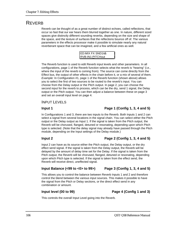## **REVERB**

Reverb can be thought of as a great number of distinct echoes, called reflections, that occur so fast that our ear hears them blurred together as one. In nature, different sized spaces give distinctly different sounding reverbs, depending on the size and shape of the space, and the texture of surfaces that the reflections bounce off of. The various parameters in the effects processor make it possible to simulate nearly any natural reverberant space that can be imagined, and a few artificial ones as well.

| ED: MIX FX SND1πå |  |
|-------------------|--|
| RVB-IN1:PITCHout  |  |

The Reverb function is used to edit Reverb input levels and other parameters. In all configurations, page 1 of the Reverb function selects what the reverb is "hearing" (i.e., where the input of the reverb is coming from). The source can come directly from the Effect bus, the output of other effects in the chain before it, or a mix of several of them. Example: In Configuration #1, page 1 of the Reverb function (shown above) allows you to select the first of two sources to be routed to the reverb's input. You can choose from the Delay output or the Pitch output. In page 2, you can choose the second input for the reverb to process, which can be the dry, send 1 signal, the Delay output or the Pitch output. You can then adjust a balance between these on page 3 and set an overall input level on page 4.

## INPUT LEVELS

## **Input 1 Page 1 (Config 1, 3, 4 and 5)**

In Configurations 1 and 3, there are two inputs to the Reverb. Both Inputs 1 and 2 can select a signal from several locations in the signal chain. You can select either the Pitch output or the Delay output as Input 1. If the signal is taken from the Pitch output, the Reverb will be chorused, flanged, detuned or resonating, depending upon which Pitch type is selected. (Note that the delay signal may already have passed through the Pitch module, depending on the Input settings of the Delay module.)

## **Input 2 Page 2 (Config 1, 3, 4 and 5)**

Input 2 can have as its source either the Pitch output, the Delay output, or the dry effect send signal. If the signal is taken from the Delay output, the Reverb will be delayed by the amount of delay time set for the Delay. If the signal is taken from the Pitch output, the Reverb will be chorused, flanged, detuned or resonating, depending upon which Pitch type is selected. If the signal is taken from the effect send, the Reverb will receive direct, uneffected signal.

## **Input Balance (<99 to <0> to 99>) Page 3 (Config 1, 3, 4 and 5)**

This allows you to control the balance between Reverb Inputs 1 and 2 and therefore control the blend between the various input sources. This makes it possible to have the signal from the Pitch or Delay sections, or the direct effect send in any combination or amount.

## **Input level (00 to 99) Page 4 (Config 1 and 3)**

This controls the overall Input Level going into the Reverb.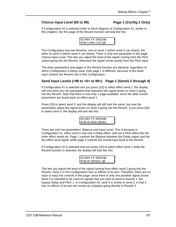### **Chorus Input Level (00 to 99) Page 1 (Config 2 Only)**

If Configuration #2 is selected (refer to block diagram of Configuration #2, earlier in this chapter), the first page of the Reverb function will look like this:

| ED: MIX FX SND1πå |
|-------------------|
| RVB CHRin LEV:08  |

The Configuration has two Reverbs, one on send 1 (which send 2 can share), the other on send 3 (which send 4 can share). There is only one parameter in this page: Chorus Input Level. This lets you adjust the level of the signal coming from the Pitch output going into the Reverb, otherwise the signal comes purely from the Pitch input.

The other parameters and pages in the Reverb function are identical, regardless of which Configuration is being used. Only page 1 is different, because of the fewer input choices the Reverb has in this Configuration.

### **Send Input Levels (<99 to <0> to 99>) Page 1 (Sends 2 through 4)**

If Configuration #1 is selected and you press [10] to select effect send 2, the display will now show you the parameters that represent the signal levels on send 2 going into the Reverb. Note that there is now only 1 page available, since the other reverb parameters are found back on effect send 1.

Press [20] to select send 3, and the display will still look the same, but now the parameters adjust the signal levels on send 3 going into the Reverb. If you press [30] to select send 4, the display will look like this:

| I ED:MIX FX SND4πå |  |
|--------------------|--|
| l RVB-IN:SN4<35DEL |  |

There are only two parameters: Balance and Input Level. This is because in Configuration #1, effect send 4 only has a Delay effect, and not a Pitch effect like the other effect sends do. Page 1 controls the Balance between the Delay output and the dry effect send signal, while page 2 controls the overall input level to the Reverb.

If Configuration #2 is selected and you press [10] to select effect send 2 while the Reverb function is selected, the display will look like this:

| ED: MIX FX SND2πå |  |
|-------------------|--|
| RVB-IN SEND2: 99  |  |

This lets you adjust the level of the signal coming from effect send 2 going into the Reverb. Send 2 in this Configuration has no effects of its own. Therefore, there are no input or input mix controls in this page, since there is only one possible signal choice. Send 2 is intended to be used for signals that you want to send to Reverb 1, but bypass Delay and Pitch 1. In Configuration #2, send 4 is similar to send 2, in that it has no effects of its own but serves as a bypass going directly to Reverb 3.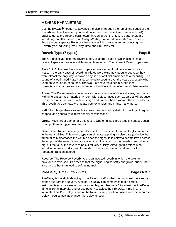### REVERB PARAMETERS

Use the [PAGE  $\blacktriangleright$ ] button to advance the display through the remaining pages of the Reverb function. However, you must have the correct effect send selected (1–4) in order to get at the Reverb parameters (in Config. #1, the Reverb parameters are found only on effect send 1; in Config. #2, they are found on sends 1 and 3 since there are two separate Reverbs). Here you will find parameters for selecting the Reverb type, adjusting Pre-Delay Time and Pre-Delay Mix.

### **Reverb Type (7 types) Page 5**

The QS has seven different reverb types, all stereo, each of which simulates a different space or produce a different ambient effect. The different Reverb types are:

**Plate 1 & 2.** The two Plate reverb types simulate an artificial device known as a Plate. In the early days of recording, Plates were extremely popular because they were almost the only way to provide any sort of artificial ambiance to a recording. The sound of a well-tuned Plate has become quite popular over the years especially when used on vocal or drum sounds. The two Plate reverbs differ in subtle tonal characteristic changes such as those found in different manufacturers' plate reverbs.

**Room.** The Room reverb type simulates not only rooms of different sizes, but rooms with different surface materials. A room with soft surfaces such as carpet will produce a reverberant sound with much less high end (treble) than a room with hard surfaces. This reverb type can easily simulate both examples and many, many more.

**Hall.** Much larger than a room, Halls are characterized by their high ceilings, irregular shapes, and generally uniform density of reflections.

**Large.** Much larger than a hall, this reverb type emulates large ambient spaces such as amphitheaters, gymnasiums, etc.

**Gate.** Gated Reverb is a very popular effect on drums first found on English records in the early 1980s. This reverb type can simulate applying a noise gate (a device that automatically decreases the volume once the signal falls below a certain level) across the output of the reverb thereby causing the initial attack of the reverb to sound very big, but the tail of the reverb to be cut off very quickly. Although this effect is not found in nature, it works great for modern drums, percussion, and any quickly repeated, transient source.

**Reverse.** The Reverse Reverb type is an inverted reverb in which the volume envelope is reversed. This means that the signal begins softly but grows louder until it is cut off, rather than loud to soft as normal.

### **Pre-Delay Time (0 to 299ms) Pages 6 & 7**

Pre-Delay is the slight delaying of the Reverb itself so that the dry signal more easily stands out from the Reverb. A bit of Pre-Delay can sometimes make certain instruments (such as snare drums) sound bigger. Use page 6 to adjust the Pre-Delay Time in 10ms intervals, and/or use page 7 to adjust the Pre-Delay Time in 1ms intervals. This Pre-Delay is part of the Reverb itself; don't confuse it with the separate Delay modules available under the Delay function.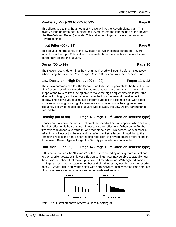### **Pre-Delay Mix (<99 to <0> to 99>) Page 8**

This allows you to mix the amount of Pre-Delay into the Reverb signal path. This gives you the ability to hear a bit of the Reverb before the loudest part of the Reverb (the Pre-Delayed Reverb) sounds. This makes for bigger and smoother sounding Reverb settings.

### **Input Filter (00 to 99) Page 9**

This adjusts the frequency of the low-pass filter which comes before the Reverb input. Lower the Input Filter value to remove high frequencies from the input signal before they go into the Reverb.

### **Decay (00 to 99) Page 10**

The Reverb Decay determines how long the Reverb will sound before it dies away. When using the Reverse Reverb type, Reverb Decay controls the Reverse Time.

### **Low Decay and High Decay (00 to -99) Pages 11 & 12**

These two parameters allow the Decay Time to be set separately for both the low and high frequencies of the Reverb. This means that you have control over the tonal shape of the Reverb itself, being able to make the high frequencies die faster if the effect is too bright, and being able to make the lows die faster if the effect is too boomy. This allows you to simulate different surfaces of a room or hall, with softer surfaces absorbing more high frequencies and smaller rooms having faster low frequency decay. If the selected Reverb type is Gate, the Low Decay parameter is unavailable.

### **Density (00 to 99) Page 13 (Page 12 if Gated or Reverse type)**

Density controls how the first reflection of the reverb effect will appear. When set to 0, the first reflection is heard alone without any other reflections. When set to 99, the first reflection appears to "fade-in" and then "fade-out". This is because a number of reflections will occur just before and just after the first reflection, in addition to the remaining reflections heard after the first reflection; the reverb sounds more "dense". If the select Reverb type is Large, the Density parameter is unavailable.

### **Diffusion (00 to 99) Page 14 (Page 13 if Gated or Reverse type)**

Diffusion determines the "thickness" of the reverb sound by adding more reflections to the reverb's decay. With lower diffusion settings, you may be able to actually hear the individual echoes that make up the overall reverb sound. With higher diffusion settings, the echoes increase in number and blend together, washing out the reverb's decay. Greater diffusion works better with percussive sounds, whereas less amounts of diffusion work well with vocals and other sustained sounds.



Note: The illustration above reflects a Density setting of 0.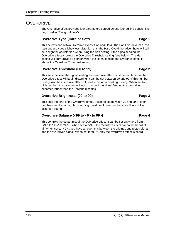## **OVERDRIVE**

The Overdrive effect provides four parameters spread across four editing pages. It is only used in Configuration #5.

### **Overdrive Type (Hard or Soft) Page 1**

This selects one of two Overdrive Types: Soft and Hard. The Soft Overdrive has less gain and provides slightly less distortion than the Hard Overdrive. Also, there will still be a slight bit of distortion when using the Soft setting, if the signal feeding the Overdrive effect is below the Overdrive Threshold setting (see below). The Hard setting will only provide distortion when the signal feeding the Overdrive effect is above the Overdrive Threshold setting.

### **Overdrive Threshold (00 to 99) Page 2**

This sets the level the signal feeding the Overdrive effect must be reach before the Overdrive effect will begin distorting. It can be set between 00 and 99. If this number is very low, the Overdrive effect will start to distort almost right away. When set to a high number, the distortion will not occur until the signal feeding the overdrive becomes louder than the Threshold setting.

### **Overdrive Brightness (00 to 99) Page 3**

This sets the tone of the Overdrive effect. It can be set between 00 and 99. Higher numbers result in a brighter sounding overdrive. Lower numbers result in a duller distortion sound.

### **Overdrive Balance (<99 to <0> to 99>) Page 4**

This controls the output mix of the Overdrive effect. It can be set anywhere from "<99" to "<0>" to "99>". When set to "<99", the Overdrive effect cannot be heard at all. When set to "<0>", you have an even mix between the original, uneffected signal and the overdriven signal. When set to "99>". only the overdriven effect is heard.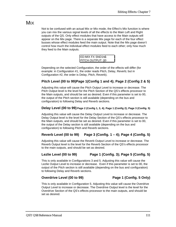# **M<sub>IX</sub>**

Not to be confused with an actual Mix or Mix mode, the Effect's Mix function is where you can mix the various signal levels of all the effects to the Main Left and Right outputs of the QS. Only effect modules that have access to the Main outputs will appear on the Mix page. There is a separate Mix page for each of the four effect busses whose effect modules feed the main output. Note that the Mix page doesn't control how much the individual effect modules feed to each other; only how much they feed to the Main outputs.

| ED:MIX FX SND1πå |  |
|------------------|--|
| PITCH OUTPUT: 00 |  |

Depending on the selected Configuration, the order of the effects will differ (for example: in Configuration #1, the order reads Pitch, Delay, Reverb; but in Configuration #2, the order is Delay, Pitch, Reverb).

### **Pitch Level (00 to 99)Page 1(Config 1 and 4); Page 2 (Config 2 & 5)**

Adjusting this value will cause the Pitch Output Level to increase or decrease. The Pitch Output level is the level for the Pitch Section of the QS's effects processor to the Main outputs, and should be set as desired. Even if this parameter is set to 00, the output of the Pitch section is still available (depending on the bus and configuration) to following Delay and Reverb sections.

### **Delay Level (00 to 99) Page 2 (Config 1, 3, 4); Page 1 (Config 2); Page 3 (Config. 5)**

Adjusting this value will cause the Delay Output Level to increase or decrease. The Delay Output level is the level for the Delay Section of the QS's effects processor to the Main outputs, and should be set as desired. Even if this parameter is set to 00, the output of the Delay section is still available (depending on the bus and configuration) to following Pitch and Reverb sections.

### **Reverb Level (00 to 99) Page 3 (Config. 1 – 4); Page 4 (Config. 5)**

Adjusting this value will cause the Reverb Output Level to increase or decrease. The Reverb Output level is the level for the Reverb Section of the QS's effects processor to the main outputs, and should be set as desired.

### **Lezlie Level (00 to 99) Page 1 (Config. 3); Page 5 (Config. 5)**

This is only available in Configurations 3 and 5. Adjusting this value will cause the Lezlie Output Level to increase or decrease. Even if this parameter is set to 00, the output of the Pitch section is still available (depending on the bus and configuration) to following Delay and Reverb sections.

### **Overdrive Level (00 to 99) Page 1 (Config. 5 Only)**

This is only available in Configuration 5. Adjusting this value will cause the Overdrive Output Level to increase or decrease. The Overdrive Output level is the level for the Overdrive Section of the QS's effects processor to the main outputs, and should be set as desired.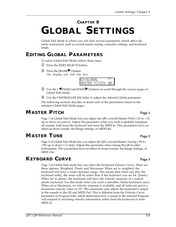# **CHAPTER 8 GLOBAL SETTINGS**

Global Edit Mode is where you will find several parameters which affect the entire instrument, such as overall master tuning, controller settings, and keyboard mode.

# **EDITING GLOBAL PARAMETERS**

To select Global Edit Mode, follow these steps:

- ➀ Press the [EDIT SELECT] button.
- ➁ Press the [BANK ▲ ] button. *The display will look like this:*

| <br>x                       | ı. |
|-----------------------------|----|
| ×<br>--<br>×<br>. .<br><br> |    |

- ➂ Use the [ ▲ PAGE] and [PAGE ▲ ] buttons to scroll through the various pages of Global Edit Mode.
- ➃ Use the CONTROLLER [D] slider to adjust the selected Global parameter.

The following sections describe in detail each of the parameters found in the nineteen Global Edit Mode pages.

# **MASTER PITCH Page 1**

Page 1 of Global Edit Mode lets you adjust the QS's overall Master Pitch (-12 to +12; up or down an octave). Adjust this parameter when you wish to globally transpose all sounds, both from the keyboard and from the MIDI In. This parameters have no effect on drum sounds, the Range settings, or MIDI Out.

# **MASTER TUNE** Page 2

Page 2 of Global Edit Mode lets you adjust the QS's overall Master Tuning (-99 to  $+99$ ; up or down  $1/2$  step). Adjust this parameter when tuning the QS to other instruments. This parameters have no effect on drum sounds, the Range settings, or MIDI Out.

# **KEYBOARD CURVE** Page 3

Page 3 of Global Edit mode lets you select the Keyboard Velocity Curve. There are three options: Weighted, Plastic and Maximum. When set to weighted, the keyboard will have a wider dynamic range. This means that when you play the keyboard softly, the notes will be softer than if the keyboard was set for "plastic". When set to plastic, the keyboard will have the velocity response of a typical plastic keyboard. Use this mode when you want a smoother, flatter keyboard curve. When set to Maximum, no velocity response is available, and all notes are given a maximum velocity value of 127. This parameter only affects the keyboard's output to the sounds in the QS and MIDI Out. This is different from the Velocity Curve parameter in Program Edit, which determines how a sound in the selected Program will respond to incoming velocity information, either from the keyboard or from MIDI In.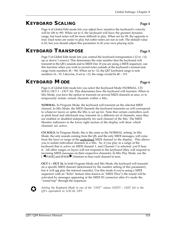## **KEYBOARD SCALING Page 4**

Page 4 of Global Edit mode lets you adjust how sensitive the keyboard's velocity will be (00 to 99). When set to 0, the keyboard will have the greatest dynamic range, but loud notes will be more difficult to play. When set for 99, the opposite is true: loud notes are easier to play but softer notes are not as soft. The default value is 65, but you should adjust this parameter to fit your own playing style.

# **KEYBOARD TRANSPOSE** Page 5

Page 5 of Global Edit mode lets you control the keyboard transposition (-12 to +12; up or down 1 octave). This determines the note number that the keyboard will transmit to the QS's sounds and to MIDI Out. If you are using a MIDI sequencer, use this function when you wish to record notes outside of the keyboard's normal note range (note numbers 36 – 96). When set to -12, the QS7 keyboard range is note numbers  $16 - 91$ . Likewise, if set to  $+12$ , the range would be  $40 - 115$ .

# **KEYBOARD MODE** Page 6

Page 6 of Global Edit mode lets you select the Keyboard Mode (NORMAL, CH SOLO, OUT 1 – OUT 16). This determines how the keyboard will function. When in Mix Mode, you have the option to transmit on several MIDI channels at once, or to temporarily isolate certain channels within a Mix.

**NORMAL.** In Program Mode, the keyboard will transmit on the selected MIDI channel. In Mix Mode, the MIDI channels the keyboard transmits on will correspond to whatever layers or splits the Mix is set up for. Note that certain controllers such as pitch bend and aftertouch may transmit on a different set of channels, since they are enabled or disabled independently for each channel of the Mix. The MIDI Monitor indicators in the lower right section of the display will show which channels are active.

**CH SOLO.** In Program Mode, this is the same as the NORMAL setting. In Mix Mode, the only sounds coming from the QS, and the only MIDI messages, will come from the layer or range of the underlined MIDI channel in the display. This allows you to isolate individual channels in a Mix. So, if you play in a range of the keyboard that is active on MIDI channel 1, and Channel 1 is selected, you'll hear it. All other ranges or layers will not respond to the keyboard (they will respond to incoming MIDI messages on their respective channels). In Mix Play Mode, use the  $[$   $\bigcap$  PAGE] and  $[$ PAGE $\bigtriangleup$ ] buttons to hear each channel in turn.

**OUT 1 – OUT 16.** In both Program Mode and Mix Mode, the keyboard will transmit on a specific MIDI channel (determined by the number setting of this parameter), but it will not play the internal sound(s). Use this mode if you're using a MIDI sequencer with an "Echo" feature (also known as "MIDI Thru"); the sound will be activated by messages appearing at the MIDI IN connector after it's made the "round trip" through the sequencer.



*Setting the Keyboard Mode to one of the "OUT" values (OUT1 – OUT 16) is the QS's equivalent to LOCAL OFF.*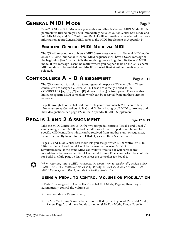# **GENERAL MIDI MODE Page 7**

Page 7 of Global Edit Mode lets you enable and disable General MIDI Mode. If this parameter is turned on, you will immediately be taken out of Global Edit Mode and into Mix Mode, and Mix 00 of Preset Bank 4 will automatically be selected. For more information about General MIDI, refer to the MIDI Supplement in Appendix B.

## **ENABLING GENERAL MIDI MODE VIA MIDI**

The QS will respond to a universal MIDI Sysex message to turn General MIDI mode on or off. Some (but not all) General MIDI sequences will have a Sysex message at the beginning (bar 1) which tells the receiving device to go into its General MIDI mode. If this message is sent, no matter where you happen to be on the QS, General MIDI mode will be enabled, and Mix 00 of Preset Bank 4 will automatically be selected.

# **CONTROLLERS A – D ASSIGNMENT Page 8 – 11**

The QS allows you to assign up to four general purpose MIDI controllers. These controllers are assigned a letter, A–D. These are directly linked to the CONTROLLER [A], [B], [C] and [D] sliders on the QS's front panel. They are also linked to specific MIDI controllers which can be received from another synth or sequencer.

Page 8 through 11 of Global Edit mode lets you choose which MIDI controllers (0 to 120) to assign as Controllers A, B, C and D. For a listing of all MIDI controllers and their designations, see page 127 in the Appendix B: MIDI Supplement.

# **PEDALS 1 AND 2 ASSIGNMENT** Page 12 & 13

Like the MIDI Controllers A–D, the two footpedal controls (Pedal 1 and Pedal 2) can be assigned to a MIDI controller. Although these two pedals are linked to specific MIDI controllers which can be received from another synth or sequencer, Pedal 1 is directly linked to the [PEDAL 1] jack on the QS's rear panel.

Pages 12 and 13 of Global Edit mode lets you assign which MIDI controllers (0 to 120) that Pedal 1 and Pedal 2 will be transmitted as over MIDI Out. Simultaneously, if the same MIDI controller is received it will control any modulations that use either Pedal 1 or Pedal 2. Page 12 lets you select the controller for Pedal 1, while page 13 lets you select the controller for Pedal 2.



*When recording into a MIDI sequencer, be careful not to accidentally assign either Pedal 1 or 2 to a controller which may already be used by another control (like MIDI Volume/controller 7, or Mod Wheel/controller 1).*

### **USING A PEDAL TO CONTROL V OLUME OR MODULATION**

If Pedal 1 is assigned to Controller 7 (Global Edit Mode, Page 4), then they will automatically control the volume of:

- any Sounds in a Program, and;
- in Mix Mode, any Sounds that are controlled by the Keyboard (Mix Edit Mode, Range, Page 2) and have Pedals turned on (Mix Edit Mode, Range, Page 3).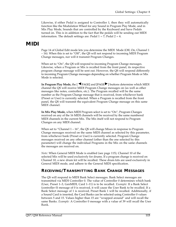Likewise, if either Pedal is assigned to Controller 1, then they will automatically function like the Modulation Wheel for any Sound in Program Play Mode, and in Mix Play Mode, Sounds that are controlled by the Keyboard and have Pedals turned on. This is in addition to the fact that the pedals will be sending out MIDI information. The default settings are: Pedal  $1 = 7$ ; Pedal  $2 = 4$ .

## **MIDI**

Page 14 of Global Edit mode lets you determine the MIDI Mode (Off, On, Channel 1 – 16). When this is set to "Off", the QS will not respond to incoming MIDI Program Change messages, nor will it transmit Program Changes.

When set to "On", the QS will respond to incoming Program Change messages. Likewise, when a Program or Mix is recalled from the front panel, its respective program change message will be sent out. However, the QS will respond differently to incoming Program Change messages depending on whether Program Mode or Mix Mode is selected.

In Program Play Mode, the [  $\blacktriangleleft$  PAGE] and [PAGE  $\blacktriangleright$ ] buttons determine which MIDI channel the QS will receive MIDI Program Change messages on (as well as other messages like notes, controllers, etc.). The Program recalled will be the same number as the Program Change message that is received, from whichever bank (Preset or User) is currently selected. When a Program is recalled from the front panel, the QS will transmit the equivalent Program Change message on this same MIDI channel.

**In Mix Play Mode,** when MIDI Program select is set to "On", Program Changes received on any of the 16 MIDI channels will be received by the same numbered MIDI channels in the current Mix. The Mix itself will not respond to Program Changes on any MIDI channel.

When set to "Channel 1 – 16", the QS will change Mixes in response to Program Change messages received on the same MIDI channel as selected by this parameter, from whichever bank (Preset or User) is currently selected. Program Change messages received on any other channel (other than the one selected by this parameter) will change the individual Programs in the Mix on the same channels the messages are received on.

*Note:* When General MIDI Mode is enabled (see page 115), Channel 10 of the selected Mix will be used exclusively for drums. If a program change is received on Channel 10, a new drum kit will be recalled. These drum kits are used exclusively in General MIDI mode, and adhere to the General MIDI specification.

### **RECEIVING/TRANSMITTING BANK CHANGE MESSAGES**

The QS will respond to MIDI Bank Select messages. Bank Select messages are transmitted via MIDI Controller 0. The value of Controller 0 determines which bank (User, Preset 1–3, GenMIDI, Card 1–11) is to be recalled. *Example:* If a Bank Select (controller 0) message of 0 is received, it will cause the User Bank to be recalled. If a Bank Select message of 1 is received, Preset Bank 1 will be recalled. Additionally, if a Sound Card is inserted, the Card Banks can be selected using Controller 0 values between 5 and 15. Values higher than 15 are "wrapped around" and will recall the same Banks. *Example:* A Controller 0 message with a value of 39 will recall the User Bank.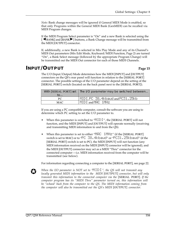*Note:* Bank change messages will be ignored if General MIDI Mode is enabled, so that only Programs within the General MIDI Bank (GenMIDI) can be recalled via MIDI Program changes.

If the MIDI Program Select parameter is "On" and a new Bank is selected using the [ ▲ BANK] and [BANK ▲ ] buttons, a Bank Change message will be transmitted from the MIDI [OUTPUT] connector.

If, additionally, a new Bank is selected in Mix Play Mode and any of its Channel's MIDI Out parameters (Mix Edit Mode, Keyboard/MIDI Function, Page 2) are turned "On", a Bank Select message (followed by the appropriate Program Change) will be transmitted out the MIDI Out connector for each of those MIDI Channels.

## **INPUT/OUTPUT** Page 15

The I/O (Input/Output) Mode determines how the MIDI [INPUT] and [OUTPUT] connectors on the QS's rear panel will function in relation to the [SERIAL PORT] connector. The possible settings of the I/O parameter depend on the setting of the [SERIAL PORT] switch (located on the back panel next to the [SERIAL PORT]).

|      | With [SERIAL PORT] set   The I/O parameter may be switched between |
|------|--------------------------------------------------------------------|
| IO   |                                                                    |
| PC.  | MIDI,PC 38.4kbaud and PC31.25kb                                    |
| MAC. | MIDI and MAC 1MHz                                                  |

If you are using a PC compatible computer, consult the software you are using to determine which PC setting to set the I/O parameter to.

- When this parameter is switched to " $\text{NIDI}$ ", the [SERIAL PORT] will not function, and the MIDI [INPUT] and [OUTPUT] will operate normally (receiving and transmitting MIDI information to and from the QS).
- When this parameter is set to either "MAC 1MHz" (if the [SERIAL PORT] switch is set to MAC) or to "PC 38.4kbaud" or "PC31.25kbaud" (if the [SERIAL PORT] switch is set to PC), the MIDI [INPUT] will not function (any MIDI information received on the MIDI [INPUT] connector will be ignored), and the MIDI [OUTPUT] connector may act as a MIDI "Thru" connector for the connected computer —i.e. MIDI information received from the computer will be transmitted (see below).

For information regarding connecting a computer to the [SERIAL PORT], see page 22.



*When the I/O parameter is NOT set to "*MIDI*", the QS will not transmit any locally generated MIDI information to the MIDI* [OUTPUT] *connector, but will only transmit this information to the connected computer via the* [SERIAL PORT]*. If the computer program has its "MIDI Thru" parameter turned on, this information will be "echoed' back from the computer to the QS. The MIDI information coming from the computer will also be transmitted out the QS's MIDI* [OUTPUT] *connector*.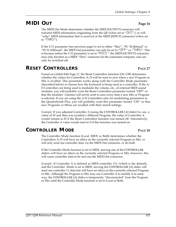# **MIDI OUT** Page 16

The MIDI Out Mode determines whether the MIDI [OUTPUT] connector will transmit MIDI information originating from the QS (when set to " $\Box \Box T$ "), or will "echo" MIDI information that is received at the MIDI [INPUT] connector (when set to "THRU").

If the I/O parameter (see previous page) is set to either "Mac", "PC 38.4kbaud" or "PC31.25kbaud", the MIDI Out parameter can only be set to "OFF" or "THRU". This is because unless the I/O parameter is set to " $MIDI'$ ", the MIDI [OUTPUT] connector may only function as a MIDI "Thru" connector for the connected computer, and can only be switched off.

# **RESET CONTROLLERS PAGE 17**

Found on Global Edit Page 17, the Reset Controllers function (On/Off) determines whether the values for Controllers A–D will be reset to zero when a new Program or Mix is recalled. This parameter works along with the Controller Mode parameter (described below) to choose how the keyboard is being used as a controller. If the A-D Controllers are being used to modulate the volume, etc., of external MIDI sound modules, you will probably want the Reset Controllers parameter turned "OFF" so that the modules' volumes will not be reset to zero every time a new Mix or Program is selected. If you are using the A-D Controllers only for modulating parameters in the QuadraSynth Plus, you will probably want this parameter turned "ON" so that new Programs or Mixes are recalled with their stored settings.

*Example:* If you adjusted Controller A (using the CONTROLLER [A] slider) to, say, a value of 25 and then you recalled a different Program, the value of Controller A would remain at 25 if the Reset Controllers function was turned off. Alternatively, the Controller A value would reset to 0 if this function was turned on.

# **CONTROLLER MODE** PAGE 18

The Controller Mode function (Local, MIDI, or Both) determines whether the Controllers A–D will have an affect on the currently selected Program or Mix, or will only send out controller data via the MIDI Out connector, or do both.

If the Controller Mode function is set to MIDI, moving one of the CONTROLLER sliders will have no affect on the currently selected Program or Mix; however, this will cause controller data to be sent out the MIDI Out connector.

*Example:* If Controller A is defined as MIDI controller #11 (which is the default), and the Controller Mode is set to MIDI, moving the CONTROLLER [A] slider will send out controller 11 data but will have no effect on the currently selected Program or Mix. Although the Program or Mix may use Controller A to modify it in some way, the CONTROLLER [A] slider is temporarily "disconnected" from the Program or Mix until the Controller Mode function is set to Local or Both.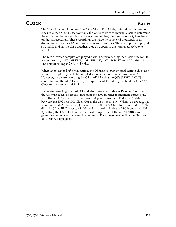# **CLOCK** PAGE 19

The Clock function, found on Page 18 of Global Edit Mode, determines the sample clock rate the QS will use. Normally the QS uses its own internal clock to determine the actual number of samples per second. Remember, the sounds in the QS are based on digital recordings. These recordings are made up of several thousands of tiny digital audio "snapshots", otherwise known as samples. These samples are played so quickly and run so close together, they all appear to the human ear to be one sound.

The rate at which samples are played back is determined by the Clock function. It has four settings: Int. 48kHz, Int. 44.1k, Ext. 48kHz and Ext. 44.1k. The default setting is Int 48kHz.

When set to either  $\text{I}^{\dagger}$  ernal setting, the QS uses its own internal sample clock as a reference for playing back the sampled sounds that make up a Program or Mix. However, if you are recording the QS to ADAT using the QS's [DIGITAL OUT] connector and the ADAT is using a sample rate of 44.1 kHz, you should set the QS's Clock function to Int 44.1k.

If you are recording to an ADAT and also have a BRC Master Remote Controller, the QS must receive a clock signal from the BRC in order to maintain perfect sync with the ADAT system. This requires that you connect a BNC-to-BNC cable between the BRC's 48 kHz Clock Out to the QS's [48 kHz IN]. When you are ready to record onto ADAT from the OS, be sure to set the OS's Clock function to either  $E \times t$ .  $48k$ Hz (if the BRC is set to 48 kHz) ot  $Ext$  44. 1k (if the BRC is set to 44.1kHz). By setting the QS's clock to the identical sample rate of the ADAT/BRC, you guarantee perfect sync between the two units. For more on connecting the BNC-to-BNC cable, see page 26.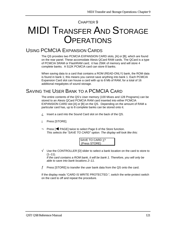### CHAPTER 9

# MIDI TRANSFER AND STORAGE **OPERATIONS**

# USING PCMCIA EXPANSION CARDS

The QS provides two PCMCIA EXPANSION CARD slots, [A] or [B], which are found on the rear panel. These accomodate Alesis QCard RAM cards. The QCard is a type of PCMCIA SRAM or FlashRAM card; it has 256K of memory and will store 4 complete banks. A 512K PCMCIA card can store 8 banks.

When saving data to a card that contains a ROM (READ-ONLY) bank, the ROM data is found in bank 1; this means you cannot save anything into bank 1. Each PCMCIA Expansion Card slot can house a card with up to 8 Mb of RAM, for a total of 16 additional megabytes of sound storage.

# SAVING THE USER BANK TO A PCMCIA CARD

The entire contents of the QS's User memory (100 Mixes and 128 Programs) can be stored to an Alesis QCard PCMCIA RAM card inserted into either PCMCIA EXPANSION CARD slot [A] or [B] on the QS. Depending on the amount of RAM a particular card has, up to 8 complete banks can be stored onto it.

- i. Insert a card into the Sound Card slot on the back of the QS.
- ¡ Press [STORE].
- ¬ Press [ PAGE] twice to select Page 6 of the Store function. This selects the "SAVE TO CARD" option. The display will look like this:



Use the CONTROLLER [D] slider to select a bank location on the card to store to  $(1-11)$ .

If the card contains a ROM bank, it will be bank 1. Therefore, you will only be able to save into bank locations 2–11.

f Press [STORE] to transfer the user bank data from the QS onto the card.

If the display reads "CARD IS WRITE PROTECTED.", switch the write-protect switch on the card to off and repeat the procedure.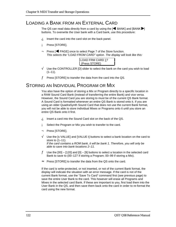# LOADING A BANK FROM AN EXTERNAL CARD

The QS can read data directly from a card by using the  $[$  **BANK**] and  $[BANK]$ buttons. To overwrite the User bank with a Card bank, use this procedure:

- $i$ , Insert the card into the card slot on the back panel.
- ¡ Press [STORE].
- ¬ Press [ PAGE] once to select Page 7 of the Store function. This selects the "LOAD FROM CARD" option. The display will look like this:



- Use the CONTROLLER [D] slider to select the bank on the card you wish to load  $(1-11)$ .
- $f$  Press [STORE] to transfer the data from the card into the QS.

## STORING AN INDIVIDUAL PROGRAM OR MIX

You also have the option of storing a Mix or Program directly to a specific location in a RAM Sound Card Bank (instead of transferring the entire Bank) and vice versa. However, the Sound Card you are storing to must be of the current QS Bank format. A Sound Card is formatted whenever an entire QS Bank is stored onto it. If you are using an older QuadraSynth Sound Card that does not use the current Bank format, you will not be able to store individual Mixes or Programs onto it until you store an entire QS Bank onto it first.

- ¿ Insert a card into the Sound Card slot on the back of the QS.
- ¡ Select the Program or Mix you wish to transfer to the card.
- ¬ Press [STORE].
- $\sqrt{ }$  Use the [s VALUE] and [VALUE t] buttons to select a bank location on the card to store to (1–11). If the card contains a ROM bank, it will be bank 1. Therefore, you will only be able to save into bank locations 2–11.
- f Use the  $[00] [120]$  and  $[0] [9]$  buttons to select a location in the selected card Bank to save to (00–127 if storing a Program; 00–99 if storing a Mix).
- ≈ Press [STORE] to transfer the data from the QS onto the card.

If the card is write-protected, or not inserted, or not of the current Bank format, the display will indicate the situation with an error message. If the card is not of the current Bank format, use the "Save To Card" command first (see previous page) to save the entire User Bank to the card. This however will erase all Programs and Mixes in the selected card Bank. If these are important to you, first load them into the User Bank in the QS, and then save them back onto the card in order to re-format the card using the new format.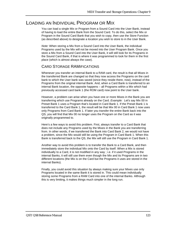# LOADING AN INDIVIDUAL PROGRAM OR MIX

You can load a single Mix or Program from a Sound Card into the User Bank, instead of having to load the entire Bank from the Sound Card. To do this, select the Mix or Program in the Sound Card Bank that you wish to copy, then use the Store Function (as described above) to designate a location you wish to store to in the User Bank.

Note: When storing a Mix from a Sound Card into the User Bank, the individual Programs used by the Mix will not be moved into the User Program Bank. Once you store a Mix from a Sound Card into the User Bank, it will still look for its Programs in the Sound Card Bank, if that is where it was programmed to look for them in the first place (which is almost always the case).

### CARD STORAGE RAMIFICATIONS

Whenever you transfer an internal Bank to a RAM card, the result is that all Mixes in the transferred Bank are changed so that they now access the Programs on the card bank to which the User bank was saved (since they reside there, now), instead of the Programs from the original internal Bank. And, when a Card Bank is transferred to an internal Bank location, the opposite happens – all Programs within a Mix which had previously accessed card bank 1 (the ROM card) now point to the User bank.

However, a problem can arise when you have one or more Mixes in the Bank you are transferring which use Programs already on the Card. Example: Let's say Mix 00 in Preset Bank 1 uses a Program that's located in Card Bank 1. If the Preset Bank 1 is transferred to the Card Bank 1, the result will be that Mix 00 in Card Bank 1 now uses only Programs from Card Bank 1. If later you transfer the entire Bank back into the QS, you will find that Mix 00 no longer uses the Program on the Card as it was originally programmed to.

Here's a few ways to avoid this problem. First, always transfer to a Card Bank that does not include any Programs used by the Mixes in the Bank you are transferring from. In other words, if we transferred the Bank into Card Bank 2, we would not have a problem, since the Mix would still be using the Program in Card Bank 1. When this Bank is transferred back to the QS, the Mix will still use the Program in Card Bank 1.

Another way to avoid this problem is to transfer the Bank to a Card Bank, and then immediately store the individual Mix onto the Card by itself. When a Mix is stored individually to a Card, it is not modified in any way ; i.e. if it used Programs in the internal Banks, it will still use them even though the Mix and its Programs are in two different locations (the Mix is on the Card but the Programs it uses are stored in the internal Banks).

Finally, you could avoid this situation by always making sure your Mixes use only Programs located in the same Bank it is stored in. This could mean individually storing some Programs from a RAM Card into one of the internal Banks. Although this is very limiting, it makes things much simpler in the long run.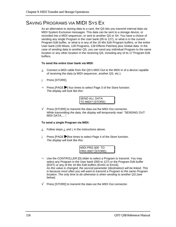# SAVING PROGRAMS VIA MIDI SYS EX

As an alternative to storing data to a card, the QS lets you transmit internal data via MIDI System Exclusive messages. This data can be sent to a storage device, or recorded into a MIDI sequencer, or sent to another QS or S4. You have a choice of sending any single Program in the User bank (00 to 127), or what is in the current Program Edit buffer, or what is in any of the 16 Mix Edit Program buffers, or the entire User bank (100 Mixes, 128 Programs, 128 Effects Patches) plus Global data. In the case of sending data to another QS, you can send any individual Program to the same location or any other location in the receiving QS, including any of its 17 Program Edit buffers.

### **To send the entire User bank via MIDI:**

- ¿ Connect a MIDI cable from the QS's MIDI Out to the MIDI In of a device capable of receiving the data (a MIDI sequencer, another QS, etc.).
- ¡ Press [STORE].
- ¬ Press [PAGE ] four times to select Page 3 of the Store function. The display will look like this:

SEND ALL DATA TO MIDI? (STORE)

Press [STORE] to transmit the data out the MIDI Out connector. While transmitting the data, the display will temporarily read "SENDING OUT MIDI DATA.....".

### **To send a single Program via MIDI:**

- ¿ Follow steps ¿ and ¡ in the instructions above.
- Press [PAGE **I** ] five times to select Page 4 of the Store function. The display will look like this:

| MIDI PRG 000 TO         |  |
|-------------------------|--|
| <b>PRG 000? (STORE)</b> |  |

- ¬ Use the CONTROLLER [D] slider to select a Program to transmit. You may select any Program in the User bank (000 to 127) or the Program Edit buffer (EDIT) or any of the 16 Mix Edit buffers (Em01 to Em16). As this value is changed, the second parameter (destination) will be linked. This is because most often you will want to transmit a Program to the same Program location. The only time to do otherwise is when sending to another QS (see below).
- Press [STORE] to transmit the data out the MIDI Out connector.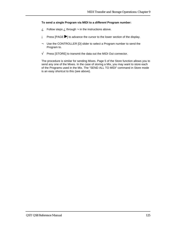### **To send a single Program via MIDI to a different Program number:**

- ¿ Follow steps ¿ through ¬ in the instructions above.
- ¡ Press [PAGE ] to advance the cursor to the lower section of the display.
- ¬ Use the CONTROLLER [D] slider to select a Program number to send the Program to.
- $\sqrt{\phantom{a}}$  Press [STORE] to transmit the data out the MIDI Out connector.

The procedure is similar for sending Mixes. Page 5 of the Store function allows you to send any one of the Mixes. In the case of storing a Mix, you may want to store each of the Programs used in the Mix. The "SEND ALL TO MIDI" command in Store mode is an easy shortcut to this (see above).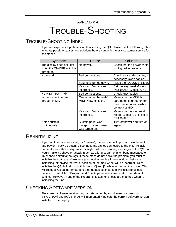# APPENDIX A TROUBLE-SHOOTING

# TROUBLE-SHOOTING INDEX

If you are experience problems while operating the QS, please use the following table to locate possible causes and solutions before contacting Alesis customer service for assistance.

| Symptom                                                               | Cause                                                         | Solution                                                                                               |
|-----------------------------------------------------------------------|---------------------------------------------------------------|--------------------------------------------------------------------------------------------------------|
| The display does not light<br>when the ON/OFF switch is<br>turned on. | No power.                                                     | Check that the power cable<br>is plugged in properly.                                                  |
| No sound.                                                             | Bad connections.                                              | Check your audio cables; if<br>necessary, swap cables.                                                 |
|                                                                       | Volume is turned down.                                        | Raise the [VOLUME] slider.                                                                             |
|                                                                       | Keyboard Mode is set<br>incorrectly.                          | Set the Keyboard Mode to<br>"NORMAL" (Global, p. 6).                                                   |
| No MIDI input in Mix                                                  | Bad connections.                                              | Check MIDI cables.                                                                                     |
| mode (cannot control<br>through MIDI).                                | One or more channels'<br>MIDI IN switch is off.               | Make sure the MIDI IN<br>parameter is turned on for<br>the channel(s) you wish to<br>control via MIDI. |
|                                                                       | Keyboard Mode is set<br>incorrectly.                          | Make sure the Keyboard<br>Mode (Global p. 6) is set to<br>"NORMAL".                                    |
| Notes sustain<br>continuously.                                        | Sustain pedal was<br>plugged in after power<br>was turned on. | Turn off power and turn on<br>again.                                                                   |

## RE-INITIALIZING

If your unit behaves erratically or "freezes", the first step is to power down the unit. and power it back up again. Disconnect any cables connected to the MIDI IN jack, and make sure that a sequencer or keyboard is not sending messages to the QS that would make it behave erratically (such as a long stream of pitch bend messages on 16 channels simultaneously). If these steps do not solve the problem, you must reinitialize the software. Make sure your mod wheel is all the way down before reinitializing, otherwise the "zero" position of the mod wheel will be incorrect. To reinitialize the QS, hold down both buttons [0] and [3] while turning on the power. This will reset all Global parameters to their default settings, and will initialize all edit buffers so that all Mix, Program and Effects parameters are reset to their default settings. However, none of the Programs, Mixes, or Effects are changed when reinitializing the unit.

# CHECKING SOFTWARE VERSION

The current software version may be determined by simultaneously pressing [PROGRAM] and [00]. The QS will momentarily indicate the current software version installed in the display.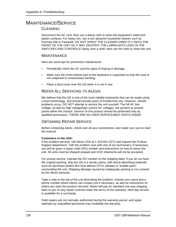# MAINTENANCE/SERVICE

### **CLEANING**

Disconnect the AC cord, then use a damp cloth to clean the keyboard's metal and plastic surfaces. For heavy dirt, use a non-abrasive household cleaner such as Formula 409 or Fantastik. DO NOT SPRAY THE CLEANER DIRECTLY ONTO THE FRONT OF THE UNIT AS IT MAY DESTROY THE LUBRICANTS USED IN THE SWITCHES AND CONTROLS! Spray onto a cloth, then use the cloth to clean the unit.

### **MAINTENANCE**

Here are some tips for preventive maintenance.

- Periodically check the AC cord for signs of fraying or damage.
- Make sure the entire bottom part of the keyboard is supported so that the case is not subjected to unnecessary bending.
- Place a dust cover over the QS when it is not in use.

### REFER ALL SERVICING TO ALESIS

We believe that the QS is one of the most reliable keyboards that can be made using current technology, and should provide years of trouble-free use. However, should problems occur, DO NOT attempt to service the unit yourself. The full AC line voltage, as well as high voltage/high current DC voltages, are present at several points within the chassis. Service on this product should be performed only by qualified technicians. THERE ARE NO USER-SERVICEABLE PARTS INSIDE.

### OBTAINING REPAIR SERVICE

Before contacting Alesis, check over all your connections, and make sure you've read the manual.

### **Customers in the USA:**

If the problem persists, call Alesis USA at 1-310-841-2272 and request the Product Support department. Talk the problem over with one of our technicians; if necessary, you will be given a repair order (RO) number and instructions on how to return the unit. All units must be shipped prepaid and COD shipments will not be accepted.

For prompt service, indicate the RO number on the shipping label. If you do not have the original packing, ship the QS in a sturdy carton, with shock-absorbing materials such as styrofoam pellets (the kind without CFCs, please) or "bubble-pack" surrounding the unit. Shipping damage caused by inadequate packing is not covered by the Alesis warranty.

Tape a note to the top of the unit describing the problem, include your name and a phone number where Alesis can contact you if necessary, as well as instructions on where you want the product returned. Alesis will pay for standard one-way shipping back to you on any repair covered under the terms of this warranty. Next day service is available for a surcharge.

Field repairs are not normally authorized during the warranty period, and repair attempts by unqualified personnel may invalidate the warranty.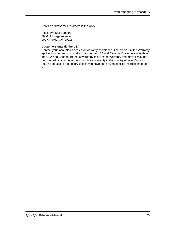Service address for customers in the USA:

Alesis Product Support 3630 Holdrege Avenue Los Angeles, CA 90016

### **Customers outside the USA:**

Contact your local Alesis dealer for warranty assistance. The Alesis Limited Warranty applies only to products sold to users in the USA and Canada. Customers outside of the USA and Canada are not covered by this Limited Warranty and may or may not be covered by an independent distributor warranty in the country of sale. Do not return products to the factory unless you have been given specific instructions to do so.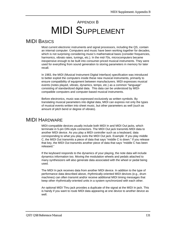# APPENDIX B MIDI SUPPLEMENT

# MIDI BASICS

Most current electronic instruments and signal processors, including the QS, contain an internal computer. Computers and music have been working together for decades, which is not surprising considering music's mathematical basis (consider frequencies, harmonics, vibrato rates, tunings, etc.). In the mid-70s, microcomputers became inexpensive enough to be built into consumer-priced musical instruments. They were used for everything from sound generation to storing parameters in memory for later recall.

In 1983, the MIDI (Musical Instrument Digital Interface) specification was introduced to better exploit the computers inside these new musical instruments, primarily to ensure compatibility of equipment between manufacturers. MIDI expresses musical events (notes played, vibrato, dynamics, tempo, etc.) as a common "language" consisting of standardized digital data. This data can be understood by MIDIcompatible computers and computer-based musical instruments.

Before electronics, music was expressed exclusively as written symbols. By translating musical parameters into digital data, MIDI can express not only the types of musical events written into sheet music, but other parameters as well (such as amount of pitch bend or degree of vibrato).

# MIDI HARDWARE

MIDI-compatible devices usually include both MIDI In and MIDI Out jacks, which terminate in 5-pin DIN-style connectors. The MIDI Out jack transmits MIDI data to another MIDI device. As you play a MIDI controller such as a keyboard, data corresponding to what you play exits the MIDI Out jack. Example: If you play middle C, the MIDI Out transmits a piece of data that says "middle C is down." If you release that key, the MIDI Out transmits another piece of data that says "middle C has been released."

If the keyboard responds to the dynamics of your playing, the note data will include dynamics information too. Moving the modulation wheels and pedals attached to many synthesizers will also generate data associated with the wheel or pedal being used.

The MIDI In jack receives data from another MIDI device. In addition to the type of performance data described above, rhythmically-oriented MIDI devices (e.g., drum machines) can often transmit and/or receive additional MIDI timing messages that keep other rhythmically-oriented units in a system synchronized with each other.

An optional MIDI Thru jack provides a duplicate of the signal at the MIDI In jack. This is handy if you want to route MIDI data appearing at one device to another device as well.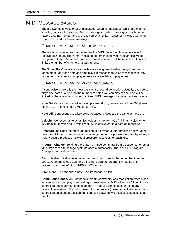# MIDI MESSAGE BASICS

The are two main types of MIDI messages. Channel messages, which are channelspecific, consist of Voice and Mode messages. System messages, which do not have a channel number and are received by all units in a system, include Common, Real Time, and Exclusive messages.

### CHANNEL MESSAGES: MODE MESSAGES

There are two messages that determine the MIDI mode (i.e., how a device will receive MIDI data). The "Omni" message determines how many channels will be recognized. Omni On means that data from all channels will be received; Omni Off limits the number of channels, usually to one.

The "Mono/Poly" message deals with voice assignment within the synthesizer. In Mono mode, only one note at a time plays in response to voice messages; in Poly mode, as many voices can play notes as are available to play notes.

### CHANNEL MESSAGES: VOICE MESSAGES

A synthesizer's voice is the most basic unit of sound generation. Usually, each voice plays one note at a time, so the number of notes you can play at one time will be limited by the available number of voices. MIDI messages that affect voices include:

**Note On.** Corresponds to a key being pressed down; values range from 000 (lowest note) to 127 (highest note). Middle C is 60.

**Note Off.** Corresponds to a key being released; values are the same as note on.

**Velocity.** Corresponds to dynamics; values range from 001 (minimum velocity) to 127 (maximum velocity). A velocity of 000 is equivalent to a note-off message.

**Pressure.** Indicates the pressure applied to a keyboard after pressing a key. Mono pressure (Aftertouch) represents the average amount of pressure applied by all keys. Poly Pressure produces individual pressure messages for each key.

**Program Change.** Sending a Program Change command from a sequencer or other MIDI keyboard can change synth patches automatically. There are 128 Program Change command numbers.

Also note that not all units number programs consistently. Some number them as 000-127, others as 001-128, and still others arrange programs in banks of 8 programs (such as A1-A8, B1-B8, C1-C8, etc.).

**Pitch Bend.** This "bends" a note from its standard pitch.

**Continuous Controller.** Footpedals, breath controllers, and modulation wheels can vary sounds as you play, thus adding expressiveness. MIDI allows for 64 continuous controllers (these act like potentiometers in that you can choose one of many different values) and 58 continuous/switch controllers (these can act like continuous controllers but some are assumed to choose between two possible states, such as on/off).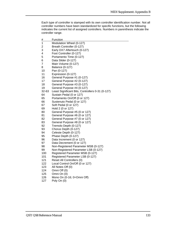Each type of controller is stamped with its own controller identification number. Not all controller numbers have been standardized for specific functions, but the following indicates the current list of assigned controllers. Numbers in parenthesis indicate the controller range.

| <u>#</u> | <b>Function</b>                                  |
|----------|--------------------------------------------------|
| 1        | Modulation Wheel (0-127)                         |
| 2        | Breath Controller (0-127)                        |
| 3        | Early DX7 Aftertouch (0-127)                     |
| 4        | Foot Controller (0-127)                          |
| 5        | Portamento Time (0-127)                          |
| 6        | Data Slider (0-127)                              |
| 7        | Main Volume (0-127)                              |
| 8        | <b>Balance (0-127)</b>                           |
| 10       | Pan (0-127)                                      |
| 11       | Expression (0-127)                               |
| 16       | General Purpose #1 (0-127)                       |
| 17       | General Purpose #2 (0-127)                       |
| 18       | General Purpose #3 (0-127)                       |
| 19       | General Purpose #4 (0-127)                       |
| 32-63    | Least Significant Bits, Controllers 0-31 (0-127) |
| 64       | Sustain Pedal (0 or 127)                         |
| 65       | Portamento On/Off (0 or 127)                     |
| 66       | Sustenuto Pedal (0 or 127)                       |
| 67       | Soft Pedal (0 or 127)                            |
| 69       | Hold 2 (0 or 127)                                |
| 80       | General Purpose #5 (0 or 127)                    |
| 81       | General Purpose #6 (0 or 127)                    |
| 82       | General Purpose #7 (0 or 127)                    |
| 83       | General Purpose #8 (0 or 127)                    |
| 92       | Tremolo Depth (0-127)                            |
| 93       | Chorus Depth (0-127)                             |
| 94       | Celeste Depth (0-127)                            |
| 95       | Phase Depth (0-127)                              |
| 96       | Data Increment (0 or 127)                        |
| 97       | Data Decrement (0 or 127)                        |
| 98       | Non-Registered Parameter MSB (0-127)             |
| 99       | Non-Registered Parameter LSB (0-127)             |
| 100      | Registered Parameter MSB (0-127)                 |
| 101      | Registered Parameter LSB (0-127)                 |
| 121      | Reset All Controllers (0)                        |
| 122      | Local Control On/Off (0 or 127)                  |
| 123      | All Notes Off (0)                                |
| 124      | Omni Off (0)                                     |
| 125      | Omni On (0)                                      |
| 126      | Mono On (0-16; 0=Omni Off)                       |

Poly On (0)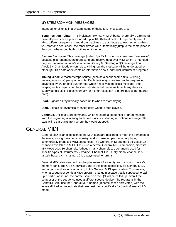### SYSTEM COMMON MESSAGES

Intended for all units in a system, some of these MIDI messages are:

**Song Position Pointer.** This indicates how many "MIDI beats" (normally a 16th note) have elapsed since a piece started (up to 16,384 total beats). It is primarily used to allow different sequencers and drum machines to auto-locate to each other so that if you start one sequencer, the other device will automatically jump to the same place in the song, whereupon both continue on together.

**System Exclusive.** This message (called Sys Ex for short) is considered "exclusive" because different manufacturers send and receive data over MIDI which is intended only for that manufacturer's equipment. Example: Sending a QS message to an Alesis D4 Drum Module won't do anything, but the message will be understood by other QS. This data often contains information about individual instrument programs.

**Timing Clock.** A master tempo source (such as a sequencer) emits 24 timing messages (clocks) per quarter note. Each device synchronized to the sequencer advances by 1/24th of a quarter note when it receives the clock message, thus keeping units in sync after they've both started at the same time. Many devices subdivide this clock signal internally for higher resolution (e.g., 96 pulses per quarter note).

**Start.** Signals all rhythmically-based units when to start playing.

**Stop.** Signals all rhythmically-based units when to stop playing.

**Continue.** Unlike a Start command, which re-starts a sequencer or drum machine from the beginning of a song each time it occurs, sending a continue message after stop will re-start units from where they were stopped.

# GENERAL MIDI

General MIDI is an extension of the MIDI standard designed to meet the demands of the ever-growing multimedia industry, and to make simple the act of playing commercially produced MIDI sequences. The General MIDI standard utilizes all 16 channels available in MIDI. The QS is a perfect General MIDI companion, since its Mix Mode uses 16 channels. Although many channels are commonly used for specific types of instruments (*Example:* Channel 1 is usually piano, channel 2 is usually bass, etc.), channel 10 is always used for drums.

General MIDI also standardizes the placement of sound types in a sound device's memory bank. The QS's GenMIDI Bank is designed specifically for General MIDI, and organizes it sounds according to the General MIDI specification. This means, when a sequencer sends a MIDI program change message that is supposed to call up a particular sound, the correct sound on the QS will be called up, even if the composer of the sequence used a different sound device. The Programs in the GenMIDI Bank use the General MIDI names (in some cases abreviated) with the letters GM added to indicate their are designed specifically for use in General MIDI mode.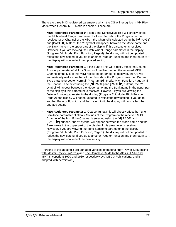There are three MIDI registered parameters which the QS will recognize in Mix Play Mode when General MIDI Mode is enabled. These are:

- **MIDI Registered Parameter 0** (Pitch Bend Sensitivity): This will directly effect the Pitch Wheel Range parameter of all four Sounds of the Program on the received MIDI Channel of the Mix. If the Channel is selected using the [ PAGE] and [PAGE  $\blacktriangleright$ ] buttons, the "\*" symbol will appear between the Mode name and the Bank name in the upper part of the display if this parameter is received. However, if you are viewing the Pitch Wheel Range parameter in the display (Program Edit Mode, Pitch Function, Page 4), the display will not be updated to reflect the new setting. If you go to another Page or Function and then return to it, the display will now reflect the updated setting.
- **MIDI Registered Parameter 1** (Fine Tune): This will directly effect the Detune Amount parameter of all four Sounds of the Program on the received MIDI Channel of the Mix. If this MIDI registered parameter is received, the QS will automatically make sure that all four Sounds of the Program have their Detune Type parameter set to "Normal" (Program Edit Mode, Pitch Function, Page 3). If the Channel is selected using the [  $\blacksquare$  PAGE] and [PAGE  $\blacksquare$ ] buttons, the "\*" symbol will appear between the Mode name and the Bank name in the upper part of the display if this parameter is received. However, if you are viewing the Detune Amount parameter in the display (Program Edit Mode, Pitch Function, Page 2), the display will not be updated to reflect the new setting. If you go to another Page or Function and then return to it, the display will now reflect the updated setting.
- **MIDI Registered Parameter 2** (Coarse Tune):This will directly effect the Tune Semitone parameter of all four Sounds of the Program on the received MIDI Channel of the Mix. If the Channel is selected using the [ PAGE] and [PAGE ] buttons, tthe "\*" symbol will appear between the Mode name and the Bank name in the upper part of the display if this parameter is received. However, if you are viewing the Tune Semitone parameter in the display (Program Edit Mode, Pitch Function, Page 1), the display will not be updated to reflect the new setting. If you go to another Page or Function and then return to it, the display will now reflect the new setting.

(Portions of this appendix are abridged versions of material from Power Sequencing with Master Tracks Pro/Pro 4 and The Complete Guide to the Alesis HR-16 and MMT-8, copyright 1990 and 1989 respectively by AMSCO Publications, and is adapted with permission.)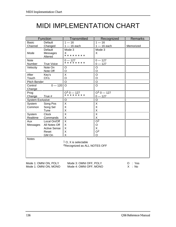# MIDI IMPLEMENTATION CHART

|                         | Function            | Transmitted                              | Recognized               | Remarks   |
|-------------------------|---------------------|------------------------------------------|--------------------------|-----------|
| <b>Basic</b>            | Default             | $1 - 16$                                 | $1 - 16$                 |           |
| Channel                 | Changed             | $1 - 16$ each                            | $1 - 16$ each            | Memorized |
|                         | Default             | Mode 3                                   | Mode 3                   |           |
| Mode                    | Messages            | X.<br>* * * * * * * *                    | X                        |           |
|                         | Altered             |                                          |                          |           |
| <b>Note</b>             |                     | $0 - 127$<br>*********                   | $0 - 127$                |           |
| Number                  | <b>True Voice</b>   |                                          | $0 - 127$                |           |
| Velocity                | Note On             | $\circ$                                  | $\circ$                  |           |
|                         | Note Off            | $\circ$                                  | $\circ$                  |           |
| After                   | Key's               | $\overline{\mathsf{x}}$                  | $\overline{O}$           |           |
| Touch                   | Ch's                | O                                        | $\circ$                  |           |
| Pitch Bender            |                     | $\overline{O}$                           | $\circ$                  |           |
| Control                 | $0 - 120$           | $\circ$                                  | $\circ$                  |           |
| Change                  |                     |                                          |                          |           |
| Prog                    |                     | $Q^1$ 0 $-$ 127<br>* * * * * * * *       | $\overline{O^1}$ 0 — 127 |           |
| Change                  | True #              |                                          | $0 - 127$                |           |
| <b>System Exclusive</b> |                     | $\circ$                                  | $\circ$                  |           |
| System                  | Song Pos            | $\mathsf X$                              | $\pmb{\times}$           |           |
| Common                  | Song Sel            | X                                        | $\sf X$                  |           |
|                         | Tune                | X                                        | X                        |           |
| System                  | <b>Clock</b>        | $\overline{\mathsf{x}}$                  | $\overline{X}$           |           |
| Realtime                | Commands            | Χ                                        | $\mathsf X$              |           |
| Aux                     | Local On/Off        | X                                        | $\overline{O^2}$         |           |
| Messages                | All Notes Off       | X                                        | $\mathsf O$              |           |
|                         | <b>Active Sense</b> | X                                        | $\mathsf{X}$             |           |
|                         | Reset               | X                                        | O <sup>2</sup>           |           |
|                         | GM On               | Χ                                        | $\circ$                  |           |
| <b>Notes</b>            |                     |                                          |                          |           |
|                         |                     | $1$ O, X is selectable                   |                          |           |
|                         |                     | <sup>2</sup> Recognized as ALL NOTES OFF |                          |           |
|                         |                     |                                          |                          |           |
|                         |                     |                                          |                          |           |
|                         |                     |                                          |                          |           |
|                         |                     |                                          |                          |           |

Mode 1: OMNI ON, MONO

Mode 1: OMNI ON, POLY Mode 3: OMNI OFF, POLY O : Yes<br>
Mode 1: OMNI ON, MONO Mode 4: OMNI OFF, MONO X: No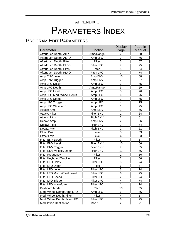# APPENDIX C: PARAMETERS INDEX

# PROGRAM EDIT PARAMETERS

| Parameter                       | <b>Function</b>   | <b>Display</b><br>Page | Page in<br>Manual |
|---------------------------------|-------------------|------------------------|-------------------|
| Aftertouch Depth: Amp           | Amp/Range         | 2                      | 58                |
| Aftertouch Depth: ALFO          | Amp LFO           | 7                      | 76                |
| Aftertouch Depth: Filter        | Filter            | 5                      | 57                |
| Aftertouch Depth: FLFO          | <b>Filter LFO</b> | $\overline{7}$         | 75                |
| Aftertouch Depth: Pitch         | Pitch             | 5                      | 54                |
| Aftertouch Depth: PLFO          | Pitch LFO         | $\overline{7}$         | 74                |
| Amp ENV Level                   | Amp ENV           | 10                     | 68                |
| Amp ENV Trigger                 | Amp ENV           | $\overline{7}$         | 67                |
| Amp LFO Delay                   | Amp LFO           | 3                      | 75                |
| Amp LFO Depth                   | Amp/Range         | 3                      | 59                |
| Amp LFO Level                   | Amp LFO           | 5                      | 76                |
| Amp LFO Mod. Wheel Depth        | Amp LFO           | $\overline{6}$         | 76                |
| Amp LFO Speed                   | Amp LFO           | $\overline{2}$         | 75                |
| Amp LFO Trigger                 | Amp LFO           | 4                      | 75                |
| Amp LFO Waveform                | Amp LFO           | 1                      | 75                |
| Attack: Amp                     | Amp ENV           | 1                      | 66                |
| Attack: Filter                  | <b>Filter ENV</b> | 1                      | 64                |
| Attack: Pitch                   | Pitch ENV         | $\overline{2}$         | 61                |
| Decay: Amp                      | Amp ENV           | $\overline{2}$         | 66                |
| Decay: Filter                   | <b>Filter ENV</b> | $\overline{2}$         | 64                |
| Decay: Pitch                    | Pitch ENV         | $\overline{2}$         | 61                |
| <b>Effect Bus</b>               | Level             | 5                      | 53                |
| <b>Effect Level</b>             | Level             | 4                      | 53                |
| Filter ENV Depth                | Filter            | $\overline{7}$         | 57                |
| Filter ENV Level                | <b>Filter ENV</b> | 10                     | 66                |
| Filter ENV Trigger              | <b>Filter ENV</b> | 7                      | 65                |
| Filter ENV Velocity Depth       | Filter ENV        | 11                     | 66                |
| <b>Filter Frequency</b>         | Filter            | 1                      | 56                |
| <b>Filter Keyboard Tracking</b> | Filter            | $\overline{2}$         | 56                |
| Filter LFO Delay                | <b>Filter LFO</b> | 3                      | 74                |
| Filter LFO Depth                | Filter            | 6                      | 57                |
| Filter LFO Level                | <b>Filter LFO</b> | 5                      | 74                |
| Filter LFO Mod. Wheel Level     | <b>Filter LFO</b> | 6                      | 75                |
| Filter LFO Speed                | <b>Filter LFO</b> | $\overline{2}$         | 74                |
| Filter LFO Trigger              | <b>Filter LFO</b> | 4                      | 74                |
| Filter LFO Waveform             | <b>Filter LFO</b> | $\overline{1}$         | 74                |
| Keyboard Mode                   | Pitch             | 10                     | 55                |
| Mod. Wheel Depth: Amp LFO       | Amp LFO           | 6                      | 76                |
| Mod. Wheel Depth: Filter        | Filter            | 4                      | 57                |
| Mod. Wheel Depth: Filter LFO    | <b>Filter LFO</b> | 6                      | 75                |
| <b>Modulation Destination</b>   | Mod $1-6$         | $\overline{2}$         | 71                |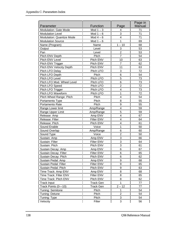| Mod $1-3$<br>71<br><b>Modulation: Gate Mode</b><br>4<br>3<br><b>Modulation Level</b><br>Mod $1-6$<br>71<br>$\overline{4}$<br>71<br>Modulation: Quantize Mode<br>Mod $4-6$<br>1<br><b>Modulation Source</b><br>Mod $1-6$<br>69<br>$1 - 10$<br>Name (Program)<br>Name<br>68<br>3<br>53<br>Level<br>Output<br>$\overline{2}$<br>53<br>Pan<br>Level<br>$\overline{7}$<br>Pitch ENV Depth<br>Pitch<br>54<br>Pitch ENV<br>10<br>63<br>Pitch ENV Level<br>$\overline{7}$<br>62<br>Pitch ENV Trigger<br>Pitch ENV<br>Pitch ENV Velocity Depth<br>Pitch ENV<br>11<br>63<br>3<br>72<br>Pitch LFO Delay<br>Pitch LFO<br>6<br>54<br>Pitch LFO Depth<br>Pitch<br>5<br>Pitch LFO<br>73<br>Pitch LFO Level<br>6<br>73<br>Pitch LFO Mod. Wheel Level<br>Pitch LFO<br>$\overline{2}$<br>72<br>Pitch LFO<br>Pitch LFO Speed<br>Pitch LFO Trigger<br>Pitch LFO<br>4<br>73<br>1<br>72<br>Pitch LFO Waveform<br>Pitch LFO<br>4<br>Pitch Wheel Range: Pitch<br>Pitch<br>54<br>8<br>Pitch<br>55<br>Portamento Type<br>9<br>Portamento Rate<br>Pitch<br>55<br>$\overline{\mathbf{4}}$<br>59<br>Amp/Range<br>Range Lower limit<br>5<br>59<br>Range Upper Limit<br>Amp/Range<br>Release: Amp<br>Amp ENV<br>4<br>67<br>Release: Filter<br><b>Filter ENV</b><br>4<br>64<br>$\overline{4}$<br>Release: Pitch<br>Pitch ENV<br>61<br>1<br>Voice<br>50<br>Sound Enable<br>6<br>60<br>Sound Overlap<br>Amp/Range<br>$\overline{2}$<br>Voice<br>50<br>Sound Type<br>3<br>Sustain: Amp<br>Amp ENV<br>66<br>3<br>Sustain: Filter<br>Filter ENV<br>64<br>3<br>Sustain: Pitch<br>Pitch ENV<br>61<br>67<br>6<br>Sustain Decay: Amp<br>Amp ENV<br>6<br><b>Filter ENV</b><br>65<br>Sustain Decay: Filter<br>6<br>Sustain Decay: Pitch<br>Pitch ENV<br>62<br>9<br>Amp ENV<br>68<br>Sustain Pedal: Amp<br>9<br>65<br>Sustain Pedal: Filter<br>Filter ENV<br>9<br>Sustain Pedal: Pitch<br>Pitch ENV<br>63<br>8<br>Time Track: Amp ENV<br>Amp ENV<br>68<br>8<br>Filter ENV<br>65<br>Time Track: Filter ENV<br>8<br>Time Track: Pitch ENV<br>Pitch ENV<br>62<br>$\mathbf{1}$<br>77<br><b>Track Input</b><br><b>Track Gen</b><br>$2 - 12$<br>Track Points (0-10)<br>Track Gen<br>77<br>1<br>Tuning: Semitone<br>Pitch<br>54<br>$\overline{c}$<br>Tuning: Detune<br>Pitch<br>54 |              |                 |                | Page in |
|---------------------------------------------------------------------------------------------------------------------------------------------------------------------------------------------------------------------------------------------------------------------------------------------------------------------------------------------------------------------------------------------------------------------------------------------------------------------------------------------------------------------------------------------------------------------------------------------------------------------------------------------------------------------------------------------------------------------------------------------------------------------------------------------------------------------------------------------------------------------------------------------------------------------------------------------------------------------------------------------------------------------------------------------------------------------------------------------------------------------------------------------------------------------------------------------------------------------------------------------------------------------------------------------------------------------------------------------------------------------------------------------------------------------------------------------------------------------------------------------------------------------------------------------------------------------------------------------------------------------------------------------------------------------------------------------------------------------------------------------------------------------------------------------------------------------------------------------------------------------------------------------------------------------------------------------------------------------------------------------------------------------------------------------------------------------------------------------------------------------------------------------------------------------------------------------------------------------------------|--------------|-----------------|----------------|---------|
|                                                                                                                                                                                                                                                                                                                                                                                                                                                                                                                                                                                                                                                                                                                                                                                                                                                                                                                                                                                                                                                                                                                                                                                                                                                                                                                                                                                                                                                                                                                                                                                                                                                                                                                                                                                                                                                                                                                                                                                                                                                                                                                                                                                                                                 | Parameter    | <b>Function</b> | Page           | Manual  |
|                                                                                                                                                                                                                                                                                                                                                                                                                                                                                                                                                                                                                                                                                                                                                                                                                                                                                                                                                                                                                                                                                                                                                                                                                                                                                                                                                                                                                                                                                                                                                                                                                                                                                                                                                                                                                                                                                                                                                                                                                                                                                                                                                                                                                                 |              |                 |                |         |
|                                                                                                                                                                                                                                                                                                                                                                                                                                                                                                                                                                                                                                                                                                                                                                                                                                                                                                                                                                                                                                                                                                                                                                                                                                                                                                                                                                                                                                                                                                                                                                                                                                                                                                                                                                                                                                                                                                                                                                                                                                                                                                                                                                                                                                 |              |                 |                |         |
|                                                                                                                                                                                                                                                                                                                                                                                                                                                                                                                                                                                                                                                                                                                                                                                                                                                                                                                                                                                                                                                                                                                                                                                                                                                                                                                                                                                                                                                                                                                                                                                                                                                                                                                                                                                                                                                                                                                                                                                                                                                                                                                                                                                                                                 |              |                 |                |         |
|                                                                                                                                                                                                                                                                                                                                                                                                                                                                                                                                                                                                                                                                                                                                                                                                                                                                                                                                                                                                                                                                                                                                                                                                                                                                                                                                                                                                                                                                                                                                                                                                                                                                                                                                                                                                                                                                                                                                                                                                                                                                                                                                                                                                                                 |              |                 |                |         |
|                                                                                                                                                                                                                                                                                                                                                                                                                                                                                                                                                                                                                                                                                                                                                                                                                                                                                                                                                                                                                                                                                                                                                                                                                                                                                                                                                                                                                                                                                                                                                                                                                                                                                                                                                                                                                                                                                                                                                                                                                                                                                                                                                                                                                                 |              |                 |                |         |
|                                                                                                                                                                                                                                                                                                                                                                                                                                                                                                                                                                                                                                                                                                                                                                                                                                                                                                                                                                                                                                                                                                                                                                                                                                                                                                                                                                                                                                                                                                                                                                                                                                                                                                                                                                                                                                                                                                                                                                                                                                                                                                                                                                                                                                 |              |                 |                |         |
|                                                                                                                                                                                                                                                                                                                                                                                                                                                                                                                                                                                                                                                                                                                                                                                                                                                                                                                                                                                                                                                                                                                                                                                                                                                                                                                                                                                                                                                                                                                                                                                                                                                                                                                                                                                                                                                                                                                                                                                                                                                                                                                                                                                                                                 |              |                 |                |         |
|                                                                                                                                                                                                                                                                                                                                                                                                                                                                                                                                                                                                                                                                                                                                                                                                                                                                                                                                                                                                                                                                                                                                                                                                                                                                                                                                                                                                                                                                                                                                                                                                                                                                                                                                                                                                                                                                                                                                                                                                                                                                                                                                                                                                                                 |              |                 |                |         |
|                                                                                                                                                                                                                                                                                                                                                                                                                                                                                                                                                                                                                                                                                                                                                                                                                                                                                                                                                                                                                                                                                                                                                                                                                                                                                                                                                                                                                                                                                                                                                                                                                                                                                                                                                                                                                                                                                                                                                                                                                                                                                                                                                                                                                                 |              |                 |                |         |
|                                                                                                                                                                                                                                                                                                                                                                                                                                                                                                                                                                                                                                                                                                                                                                                                                                                                                                                                                                                                                                                                                                                                                                                                                                                                                                                                                                                                                                                                                                                                                                                                                                                                                                                                                                                                                                                                                                                                                                                                                                                                                                                                                                                                                                 |              |                 |                |         |
|                                                                                                                                                                                                                                                                                                                                                                                                                                                                                                                                                                                                                                                                                                                                                                                                                                                                                                                                                                                                                                                                                                                                                                                                                                                                                                                                                                                                                                                                                                                                                                                                                                                                                                                                                                                                                                                                                                                                                                                                                                                                                                                                                                                                                                 |              |                 |                |         |
|                                                                                                                                                                                                                                                                                                                                                                                                                                                                                                                                                                                                                                                                                                                                                                                                                                                                                                                                                                                                                                                                                                                                                                                                                                                                                                                                                                                                                                                                                                                                                                                                                                                                                                                                                                                                                                                                                                                                                                                                                                                                                                                                                                                                                                 |              |                 |                |         |
|                                                                                                                                                                                                                                                                                                                                                                                                                                                                                                                                                                                                                                                                                                                                                                                                                                                                                                                                                                                                                                                                                                                                                                                                                                                                                                                                                                                                                                                                                                                                                                                                                                                                                                                                                                                                                                                                                                                                                                                                                                                                                                                                                                                                                                 |              |                 |                |         |
|                                                                                                                                                                                                                                                                                                                                                                                                                                                                                                                                                                                                                                                                                                                                                                                                                                                                                                                                                                                                                                                                                                                                                                                                                                                                                                                                                                                                                                                                                                                                                                                                                                                                                                                                                                                                                                                                                                                                                                                                                                                                                                                                                                                                                                 |              |                 |                |         |
|                                                                                                                                                                                                                                                                                                                                                                                                                                                                                                                                                                                                                                                                                                                                                                                                                                                                                                                                                                                                                                                                                                                                                                                                                                                                                                                                                                                                                                                                                                                                                                                                                                                                                                                                                                                                                                                                                                                                                                                                                                                                                                                                                                                                                                 |              |                 |                |         |
|                                                                                                                                                                                                                                                                                                                                                                                                                                                                                                                                                                                                                                                                                                                                                                                                                                                                                                                                                                                                                                                                                                                                                                                                                                                                                                                                                                                                                                                                                                                                                                                                                                                                                                                                                                                                                                                                                                                                                                                                                                                                                                                                                                                                                                 |              |                 |                |         |
|                                                                                                                                                                                                                                                                                                                                                                                                                                                                                                                                                                                                                                                                                                                                                                                                                                                                                                                                                                                                                                                                                                                                                                                                                                                                                                                                                                                                                                                                                                                                                                                                                                                                                                                                                                                                                                                                                                                                                                                                                                                                                                                                                                                                                                 |              |                 |                |         |
|                                                                                                                                                                                                                                                                                                                                                                                                                                                                                                                                                                                                                                                                                                                                                                                                                                                                                                                                                                                                                                                                                                                                                                                                                                                                                                                                                                                                                                                                                                                                                                                                                                                                                                                                                                                                                                                                                                                                                                                                                                                                                                                                                                                                                                 |              |                 |                |         |
|                                                                                                                                                                                                                                                                                                                                                                                                                                                                                                                                                                                                                                                                                                                                                                                                                                                                                                                                                                                                                                                                                                                                                                                                                                                                                                                                                                                                                                                                                                                                                                                                                                                                                                                                                                                                                                                                                                                                                                                                                                                                                                                                                                                                                                 |              |                 |                |         |
|                                                                                                                                                                                                                                                                                                                                                                                                                                                                                                                                                                                                                                                                                                                                                                                                                                                                                                                                                                                                                                                                                                                                                                                                                                                                                                                                                                                                                                                                                                                                                                                                                                                                                                                                                                                                                                                                                                                                                                                                                                                                                                                                                                                                                                 |              |                 |                |         |
|                                                                                                                                                                                                                                                                                                                                                                                                                                                                                                                                                                                                                                                                                                                                                                                                                                                                                                                                                                                                                                                                                                                                                                                                                                                                                                                                                                                                                                                                                                                                                                                                                                                                                                                                                                                                                                                                                                                                                                                                                                                                                                                                                                                                                                 |              |                 |                |         |
|                                                                                                                                                                                                                                                                                                                                                                                                                                                                                                                                                                                                                                                                                                                                                                                                                                                                                                                                                                                                                                                                                                                                                                                                                                                                                                                                                                                                                                                                                                                                                                                                                                                                                                                                                                                                                                                                                                                                                                                                                                                                                                                                                                                                                                 |              |                 |                |         |
|                                                                                                                                                                                                                                                                                                                                                                                                                                                                                                                                                                                                                                                                                                                                                                                                                                                                                                                                                                                                                                                                                                                                                                                                                                                                                                                                                                                                                                                                                                                                                                                                                                                                                                                                                                                                                                                                                                                                                                                                                                                                                                                                                                                                                                 |              |                 |                |         |
|                                                                                                                                                                                                                                                                                                                                                                                                                                                                                                                                                                                                                                                                                                                                                                                                                                                                                                                                                                                                                                                                                                                                                                                                                                                                                                                                                                                                                                                                                                                                                                                                                                                                                                                                                                                                                                                                                                                                                                                                                                                                                                                                                                                                                                 |              |                 |                |         |
|                                                                                                                                                                                                                                                                                                                                                                                                                                                                                                                                                                                                                                                                                                                                                                                                                                                                                                                                                                                                                                                                                                                                                                                                                                                                                                                                                                                                                                                                                                                                                                                                                                                                                                                                                                                                                                                                                                                                                                                                                                                                                                                                                                                                                                 |              |                 |                |         |
|                                                                                                                                                                                                                                                                                                                                                                                                                                                                                                                                                                                                                                                                                                                                                                                                                                                                                                                                                                                                                                                                                                                                                                                                                                                                                                                                                                                                                                                                                                                                                                                                                                                                                                                                                                                                                                                                                                                                                                                                                                                                                                                                                                                                                                 |              |                 |                |         |
|                                                                                                                                                                                                                                                                                                                                                                                                                                                                                                                                                                                                                                                                                                                                                                                                                                                                                                                                                                                                                                                                                                                                                                                                                                                                                                                                                                                                                                                                                                                                                                                                                                                                                                                                                                                                                                                                                                                                                                                                                                                                                                                                                                                                                                 |              |                 |                |         |
|                                                                                                                                                                                                                                                                                                                                                                                                                                                                                                                                                                                                                                                                                                                                                                                                                                                                                                                                                                                                                                                                                                                                                                                                                                                                                                                                                                                                                                                                                                                                                                                                                                                                                                                                                                                                                                                                                                                                                                                                                                                                                                                                                                                                                                 |              |                 |                |         |
|                                                                                                                                                                                                                                                                                                                                                                                                                                                                                                                                                                                                                                                                                                                                                                                                                                                                                                                                                                                                                                                                                                                                                                                                                                                                                                                                                                                                                                                                                                                                                                                                                                                                                                                                                                                                                                                                                                                                                                                                                                                                                                                                                                                                                                 |              |                 |                |         |
|                                                                                                                                                                                                                                                                                                                                                                                                                                                                                                                                                                                                                                                                                                                                                                                                                                                                                                                                                                                                                                                                                                                                                                                                                                                                                                                                                                                                                                                                                                                                                                                                                                                                                                                                                                                                                                                                                                                                                                                                                                                                                                                                                                                                                                 |              |                 |                |         |
|                                                                                                                                                                                                                                                                                                                                                                                                                                                                                                                                                                                                                                                                                                                                                                                                                                                                                                                                                                                                                                                                                                                                                                                                                                                                                                                                                                                                                                                                                                                                                                                                                                                                                                                                                                                                                                                                                                                                                                                                                                                                                                                                                                                                                                 |              |                 |                |         |
|                                                                                                                                                                                                                                                                                                                                                                                                                                                                                                                                                                                                                                                                                                                                                                                                                                                                                                                                                                                                                                                                                                                                                                                                                                                                                                                                                                                                                                                                                                                                                                                                                                                                                                                                                                                                                                                                                                                                                                                                                                                                                                                                                                                                                                 |              |                 |                |         |
|                                                                                                                                                                                                                                                                                                                                                                                                                                                                                                                                                                                                                                                                                                                                                                                                                                                                                                                                                                                                                                                                                                                                                                                                                                                                                                                                                                                                                                                                                                                                                                                                                                                                                                                                                                                                                                                                                                                                                                                                                                                                                                                                                                                                                                 |              |                 |                |         |
|                                                                                                                                                                                                                                                                                                                                                                                                                                                                                                                                                                                                                                                                                                                                                                                                                                                                                                                                                                                                                                                                                                                                                                                                                                                                                                                                                                                                                                                                                                                                                                                                                                                                                                                                                                                                                                                                                                                                                                                                                                                                                                                                                                                                                                 |              |                 |                |         |
|                                                                                                                                                                                                                                                                                                                                                                                                                                                                                                                                                                                                                                                                                                                                                                                                                                                                                                                                                                                                                                                                                                                                                                                                                                                                                                                                                                                                                                                                                                                                                                                                                                                                                                                                                                                                                                                                                                                                                                                                                                                                                                                                                                                                                                 |              |                 |                |         |
|                                                                                                                                                                                                                                                                                                                                                                                                                                                                                                                                                                                                                                                                                                                                                                                                                                                                                                                                                                                                                                                                                                                                                                                                                                                                                                                                                                                                                                                                                                                                                                                                                                                                                                                                                                                                                                                                                                                                                                                                                                                                                                                                                                                                                                 |              |                 |                |         |
|                                                                                                                                                                                                                                                                                                                                                                                                                                                                                                                                                                                                                                                                                                                                                                                                                                                                                                                                                                                                                                                                                                                                                                                                                                                                                                                                                                                                                                                                                                                                                                                                                                                                                                                                                                                                                                                                                                                                                                                                                                                                                                                                                                                                                                 |              |                 |                |         |
|                                                                                                                                                                                                                                                                                                                                                                                                                                                                                                                                                                                                                                                                                                                                                                                                                                                                                                                                                                                                                                                                                                                                                                                                                                                                                                                                                                                                                                                                                                                                                                                                                                                                                                                                                                                                                                                                                                                                                                                                                                                                                                                                                                                                                                 |              |                 |                |         |
|                                                                                                                                                                                                                                                                                                                                                                                                                                                                                                                                                                                                                                                                                                                                                                                                                                                                                                                                                                                                                                                                                                                                                                                                                                                                                                                                                                                                                                                                                                                                                                                                                                                                                                                                                                                                                                                                                                                                                                                                                                                                                                                                                                                                                                 |              |                 |                |         |
|                                                                                                                                                                                                                                                                                                                                                                                                                                                                                                                                                                                                                                                                                                                                                                                                                                                                                                                                                                                                                                                                                                                                                                                                                                                                                                                                                                                                                                                                                                                                                                                                                                                                                                                                                                                                                                                                                                                                                                                                                                                                                                                                                                                                                                 |              |                 |                |         |
|                                                                                                                                                                                                                                                                                                                                                                                                                                                                                                                                                                                                                                                                                                                                                                                                                                                                                                                                                                                                                                                                                                                                                                                                                                                                                                                                                                                                                                                                                                                                                                                                                                                                                                                                                                                                                                                                                                                                                                                                                                                                                                                                                                                                                                 |              |                 |                |         |
|                                                                                                                                                                                                                                                                                                                                                                                                                                                                                                                                                                                                                                                                                                                                                                                                                                                                                                                                                                                                                                                                                                                                                                                                                                                                                                                                                                                                                                                                                                                                                                                                                                                                                                                                                                                                                                                                                                                                                                                                                                                                                                                                                                                                                                 |              |                 |                |         |
|                                                                                                                                                                                                                                                                                                                                                                                                                                                                                                                                                                                                                                                                                                                                                                                                                                                                                                                                                                                                                                                                                                                                                                                                                                                                                                                                                                                                                                                                                                                                                                                                                                                                                                                                                                                                                                                                                                                                                                                                                                                                                                                                                                                                                                 |              |                 |                |         |
|                                                                                                                                                                                                                                                                                                                                                                                                                                                                                                                                                                                                                                                                                                                                                                                                                                                                                                                                                                                                                                                                                                                                                                                                                                                                                                                                                                                                                                                                                                                                                                                                                                                                                                                                                                                                                                                                                                                                                                                                                                                                                                                                                                                                                                 |              |                 |                |         |
|                                                                                                                                                                                                                                                                                                                                                                                                                                                                                                                                                                                                                                                                                                                                                                                                                                                                                                                                                                                                                                                                                                                                                                                                                                                                                                                                                                                                                                                                                                                                                                                                                                                                                                                                                                                                                                                                                                                                                                                                                                                                                                                                                                                                                                 |              |                 |                |         |
|                                                                                                                                                                                                                                                                                                                                                                                                                                                                                                                                                                                                                                                                                                                                                                                                                                                                                                                                                                                                                                                                                                                                                                                                                                                                                                                                                                                                                                                                                                                                                                                                                                                                                                                                                                                                                                                                                                                                                                                                                                                                                                                                                                                                                                 | Tuning: Type | Pitch           | $\overline{3}$ | 54      |
| 3<br>Filter<br>Velocity<br>56                                                                                                                                                                                                                                                                                                                                                                                                                                                                                                                                                                                                                                                                                                                                                                                                                                                                                                                                                                                                                                                                                                                                                                                                                                                                                                                                                                                                                                                                                                                                                                                                                                                                                                                                                                                                                                                                                                                                                                                                                                                                                                                                                                                                   |              |                 |                |         |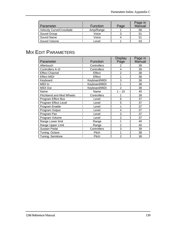| Parameter                       | <b>Function</b> | Page | Page in<br>Manual |
|---------------------------------|-----------------|------|-------------------|
| <b>Velocity Curve/Crossfade</b> | Amp/Range       |      | 58                |
| Sound Group                     | Voice           |      | 51                |
| Sound Name                      | Voice           |      | 51                |
| Sound Volume                    | Level           |      | 53                |

# MIX EDIT PARAMETERS

|                          |                 | Display        | Page in |
|--------------------------|-----------------|----------------|---------|
| Parameter                | <b>Function</b> | Page           | Manual  |
| Aftertouch               | Controllers     | 2              | 39      |
| Controllers A-D          | Controllers     | 4              | 39      |
| <b>Effect Channel</b>    | Effect          | $\overline{2}$ | 38      |
| <b>Effect MIDI</b>       | Effect          | 1              | 38      |
| Keyboard                 | Keyboard/MIDI   | 3              | 38      |
| MIDI In                  | Keyboard/MIDI   | 1              | 38      |
| <b>MIDI Out</b>          | Keyboard/MIDI   | $\overline{2}$ | 38      |
| Name                     | Name            | $1 - 10$       | 40      |
| Pitchbend and Mod Wheels | Controllers     |                | 39      |
| Program Effect Bus       | Level           | 6              | 37      |
| Program Effect Level     | Level           | 5              | 37      |
| Program Enable           | Level           | 1              | 37      |
| Program Output           | Level           | 4              | 37      |
| Program Pan              | Level           | 3              | 37      |
| Program Volume           | Level           | $\overline{2}$ | 37      |
| Range Lower limit        | Range           | 1              | 40      |
| Range Upper Limit        | Range           | $\overline{2}$ | 40      |
| <b>Sustain Pedal</b>     | Controllers     | 3              | 39      |
| Tuning: Octave           | Pitch           |                | 38      |
| Tuning: Semitone         | Pitch           | $\overline{2}$ | 38      |